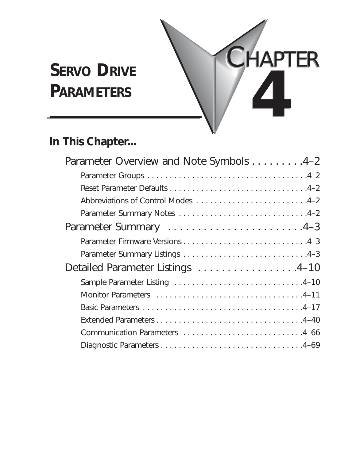# **SERVO DRIVE**



# **In This Chapter...**

| Parameter Overview and Note Symbols 4-2 |
|-----------------------------------------|
|                                         |
|                                         |
| Abbreviations of Control Modes 4-2      |
|                                         |
|                                         |
|                                         |
|                                         |
| Detailed Parameter Listings 4-10        |
|                                         |
|                                         |
|                                         |
|                                         |
|                                         |
|                                         |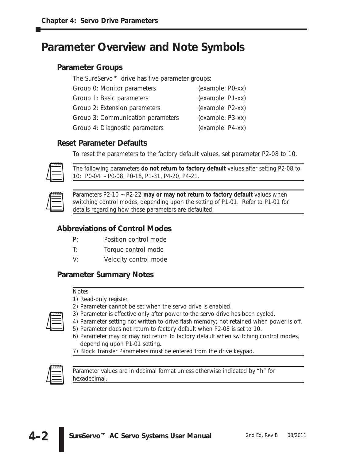# **Parameter Overview and Note Symbols**

## **Parameter Groups**

| The SureServo <sup>™</sup> drive has five parameter groups: |                  |  |  |  |  |  |
|-------------------------------------------------------------|------------------|--|--|--|--|--|
| Group 0: Monitor parameters                                 | (example: PO-xx) |  |  |  |  |  |
| Group 1: Basic parameters                                   | (example: P1-xx) |  |  |  |  |  |
| Group 2: Extension parameters                               | (example: P2-xx) |  |  |  |  |  |
| Group 3: Communication parameters                           | (example: P3-xx) |  |  |  |  |  |
| Group 4: Diagnostic parameters                              | (example: P4-xx) |  |  |  |  |  |
|                                                             |                  |  |  |  |  |  |

## **Reset Parameter Defaults**

To reset the parameters to the factory default values, set parameter P2-08 to 10.



*The following parameters do not return to factory default values after setting P2-08 to 10: P0-04 ~ P0-08, P0-18, P1-31, P4-20, P4-21.*



*Parameters P2-10 ~ P2-22 may or may not return to factory default values when switching control modes, depending upon the setting of P1-01. Refer to P1-01 for details regarding how these parameters are defaulted.*

## **Abbreviations of Control Modes**

- P: Position control mode
- T: Torque control mode
- V: Velocity control mode

## **Parameter Summary Notes**

## *Notes:*

- *1) Read-only register.*
- 
- *3) Parameter is effective only after power to the servo drive has been cycled.*
- *4) Parameter setting not written to drive flash memory; not retained when power is off.*
- *5) Parameter does not return to factory default when P2-08 is set to 10.*

*2) Parameter cannot be set when the servo drive is enabled.*

- *6) Parameter may or may not return to factory default when switching control modes, depending upon P1-01 setting.*
- *7) Block Transfer Parameters must be entered from the drive keypad.*



*Parameter values are in decimal format unless otherwise indicated by "h" for hexadecimal.*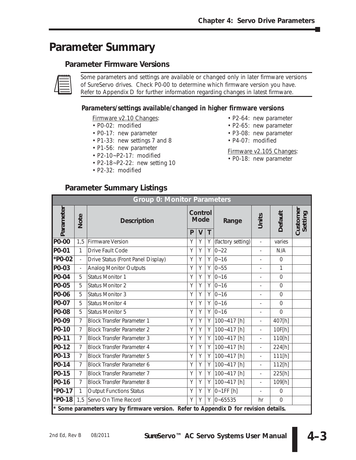# **Parameter Summary**

## **Parameter Firmware Versions**



*Some parameters and settings are available or changed only in later firmware versions of SureServo drives. Check P0-00 to determine which firmware version you have. Refer to Appendix D for further information regarding changes in latest firmware.*

## **Parameters/settings available/changed in higher firmware versions**

Firmware v2.10 Changes:

- P0-02: modified
- P0-17: new parameter
- P1-33: new settings 7 and 8
- P1-56: new parameter
- P2-10~P2-17: modified
- P2-18~P2-22: new setting 10
- P2-32: modified
- P2-64: new parameter
- P2-65: new parameter
- P3-08: new parameter
- P4-07: modified

Firmware v2.105 Changes:

• P0-18: new parameter

| <b>Group 0: Monitor Parameters</b> |                          |                                                                                       |                                             |   |   |                   |                          |                |                     |
|------------------------------------|--------------------------|---------------------------------------------------------------------------------------|---------------------------------------------|---|---|-------------------|--------------------------|----------------|---------------------|
| Parameter                          | Note                     | <b>Description</b>                                                                    | Control<br><b>Mode</b><br>P<br>$\mathsf{V}$ |   | T | Range             | Units                    | Default        | Customer<br>Setting |
| P0-00                              | 1,5                      | <b>Firmware Version</b>                                                               | Y                                           | Y | Y | (factory setting) | $\overline{\phantom{a}}$ | varies         |                     |
| P0-01                              | $\mathbf{1}$             | Drive Fault Code                                                                      | Y                                           | Y | Y | $ 0 - 22 $        | $\overline{\phantom{a}}$ | N/A            |                     |
| *P0-02                             | $\frac{1}{2}$            | Drive Status (Front Panel Display)                                                    | Y                                           | Y |   | $Y$ 0~16          | $\overline{\phantom{a}}$ | $\overline{0}$ |                     |
| P0-03                              | $\overline{\phantom{a}}$ | <b>Analog Monitor Outputs</b>                                                         | Y                                           | Y |   | $Y$ 0~55          | $\overline{\phantom{a}}$ | 1              |                     |
| P0-04                              | 5                        | <b>Status Monitor 1</b>                                                               | Y                                           | Y | Y | $ 0 - 16$         | $\overline{\phantom{a}}$ | $\overline{0}$ |                     |
| P0-05                              | 5                        | <b>Status Monitor 2</b>                                                               | Y                                           | Y | Y | $ 0 - 16$         | $\overline{\phantom{0}}$ | $\overline{0}$ |                     |
| P0-06                              | 5                        | <b>Status Monitor 3</b>                                                               | Y                                           | Y | Y | $0 - 16$          | $\overline{\phantom{a}}$ | $\overline{0}$ |                     |
| P0-07                              | 5                        | <b>Status Monitor 4</b>                                                               | Y                                           | Y | Y | $ 0 - 16$         | $\overline{\phantom{a}}$ | $\overline{0}$ |                     |
| P0-08                              | 5                        | <b>Status Monitor 5</b>                                                               | Y                                           | Y | Y | $ 0 - 16$         | $\overline{\phantom{a}}$ | $\overline{0}$ |                     |
| P0-09                              | $\overline{7}$           | <b>Block Transfer Parameter 1</b>                                                     | Y                                           | Y | Y | 100~417 [h]       | $\overline{\phantom{a}}$ | 407[h]         |                     |
| P0-10                              | $\overline{7}$           | <b>Block Transfer Parameter 2</b>                                                     | Y                                           | Y | Y | 100~417 [h]       | $\overline{\phantom{0}}$ | 10F[h]         |                     |
| P0-11                              | $\overline{7}$           | <b>Block Transfer Parameter 3</b>                                                     | Y                                           | Y | Y | 100~417 [h]       | $\overline{a}$           | 110[h]         |                     |
| P0-12                              | $\overline{7}$           | <b>Block Transfer Parameter 4</b>                                                     | Y                                           | Y | Y | 100~417 [h]       | $\overline{\phantom{a}}$ | 224[h]         |                     |
| P0-13                              | $\overline{7}$           | <b>Block Transfer Parameter 5</b>                                                     | Y                                           | Y | Υ | 100~417 [h]       | $\overline{\phantom{0}}$ | 111[h]         |                     |
| $P0$ -14                           | $\overline{7}$           | <b>Block Transfer Parameter 6</b>                                                     | Y                                           | Y | Y | 100~417 [h]       | $\overline{\phantom{a}}$ | 112[h]         |                     |
| P0-15                              | $\overline{7}$           | <b>Block Transfer Parameter 7</b>                                                     | Y                                           | Y | Y | 100~417 [h]       | $\overline{\phantom{0}}$ | 225[h]         |                     |
| P0-16                              | $\overline{7}$           | <b>Block Transfer Parameter 8</b>                                                     | Y                                           | Y | Y | 100~417 [h]       | $\overline{\phantom{a}}$ | 109[h]         |                     |
| $*P0-17$                           | $\mathbf{1}$             | <b>Output Functions Status</b>                                                        | Y                                           | Y | Υ | $0-1FF$ [h]       |                          | $\Omega$       |                     |
| *P0-18                             | 1,5                      | Servo On Time Record                                                                  | Υ                                           | Y | Y | $ 0 - 65535$      | hr                       | $\overline{0}$ |                     |
|                                    |                          | * Some parameters vary by firmware version. Refer to Appendix D for revision details. |                                             |   |   |                   |                          |                |                     |

## **Parameter Summary Listings**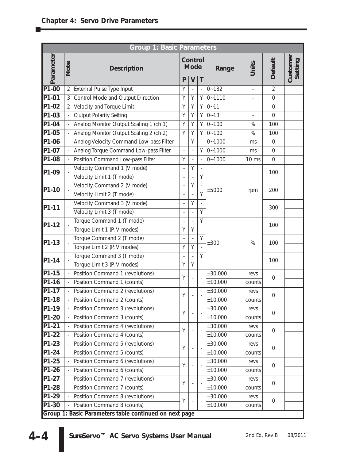| <b>Group 1: Basic Parameters</b> |                |                                                        |                          |                        |   |            |                          |                |                     |
|----------------------------------|----------------|--------------------------------------------------------|--------------------------|------------------------|---|------------|--------------------------|----------------|---------------------|
| Parameter                        | Note           | <b>Description</b>                                     |                          | Control<br><b>Mode</b> |   | Range      | Units                    | <b>Default</b> | Customer<br>Setting |
|                                  |                |                                                        | P                        | $\mathsf{V}$           | T |            |                          |                |                     |
| P1-00                            | $\overline{2}$ | External Pulse Type Input                              | Υ                        |                        |   | $0 - 132$  | $\overline{\phantom{0}}$ | $\overline{2}$ |                     |
| P1-01                            |                | Control Mode and Output Direction                      | Υ                        | Υ                      | Υ | $0 - 1110$ | $\overline{\phantom{0}}$ | $\mathbf 0$    |                     |
| P1-02                            | $\overline{2}$ | Velocity and Torque Limit                              | Y                        | Y                      | Y | $0 - 11$   |                          | $\mathbf 0$    |                     |
| P1-03                            |                | <b>Output Polarity Setting</b>                         | Υ                        | Υ                      | Υ | $0 - 13$   | $\overline{\phantom{0}}$ | $\mathbf 0$    |                     |
| P1-04                            |                | Analog Monitor Output Scaling 1 (ch 1)                 | Υ                        | Υ                      | Υ | $0 - 100$  | %                        | 100            |                     |
| P1-05                            |                | Analog Monitor Output Scaling 2 (ch 2)                 | Y                        | Υ                      | Υ | $0 - 100$  | %                        | 100            |                     |
| P1-06                            |                | Analog Velocity Command Low-pass Filter                |                          | Y                      |   | $0 - 1000$ | ms                       | $\overline{0}$ |                     |
| P1-07                            |                | Analog Torque Command Low-pass Filter                  | $\overline{\phantom{0}}$ | $\overline{a}$         | Υ | $0 - 1000$ | ms                       | $\mathbf 0$    |                     |
| P1-08                            |                | Position Command Low-pass Filter                       | Υ                        |                        |   | $0 - 1000$ | 10 ms                    | $\mathbf 0$    |                     |
| P1-09                            |                | Velocity Command 1 (V mode)                            | $\overline{a}$           | Υ                      |   |            |                          | 100            |                     |
|                                  |                | Velocity Limit 1 (T mode)                              |                          |                        | Y |            |                          |                |                     |
| P1-10                            |                | Velocity Command 2 (V mode)                            | $\overline{a}$           | Υ                      |   | ±5000      |                          | 200            |                     |
|                                  |                | Velocity Limit 2 (T mode)                              |                          |                        | Υ |            | rpm                      |                |                     |
| P1-11                            |                | Velocity Command 3 (V mode)                            | $\overline{a}$           | Y                      |   |            |                          | 300            |                     |
|                                  |                | Velocity Limit 3 (T mode)                              | $\overline{a}$           |                        | Y |            |                          |                |                     |
| P1-12                            |                | Torque Command 1 (T mode)                              |                          |                        | Y |            |                          | 100<br>100     |                     |
|                                  |                | Torque Limit 1 (P, V modes)                            | Υ                        | Y                      |   |            |                          |                |                     |
|                                  |                | Torque Command 2 (T mode)                              |                          |                        | Y |            | %                        |                |                     |
| P1-13                            |                | Torque Limit 2 (P, V modes)                            | Υ                        | Y                      |   | ±300       |                          |                |                     |
|                                  |                | Torque Command 3 (T mode)                              |                          |                        | Y |            |                          |                |                     |
| P1-14                            |                | Torque Limit 3 (P, V modes)                            | Υ                        | Y                      |   |            |                          | 100            |                     |
| $P1-15$                          |                | Position Command 1 (revolutions)                       |                          |                        |   | ±30,000    | revs                     |                |                     |
| P1-16                            |                | Position Command 1 (counts)                            | Υ                        |                        |   | ±10,000    | counts                   | $\mathbf 0$    |                     |
| $P1-17$                          |                | Position Command 2 (revolutions)                       |                          |                        |   | ±30,000    | revs                     |                |                     |
| P1-18                            |                | Position Command 2 (counts)                            | Υ                        |                        |   | ±10,000    | counts                   | $\mathbf 0$    |                     |
| P1-19                            |                | Position Command 3 (revolutions)                       |                          |                        |   | ±30,000    | revs                     |                |                     |
| P1-20                            |                | Position Command 3 (counts)                            | Υ                        |                        |   | ±10,000    | counts                   | $\Omega$       |                     |
| P1-21                            |                | Position Command 4 (revolutions)                       |                          |                        |   | ±30,000    | revs                     |                |                     |
| P1-22                            |                | Position Command 4 (counts)                            | Y                        |                        |   | ±10,000    | counts                   | $\mathbf 0$    |                     |
| P1-23                            |                | Position Command 5 (revolutions)                       |                          |                        |   | ±30,000    | revs                     |                |                     |
| P1-24                            |                | Position Command 5 (counts)                            | Υ                        |                        |   | ±10,000    | counts                   | 0              |                     |
| P1-25                            |                | Position Command 6 (revolutions)                       |                          |                        |   | ±30,000    | revs                     |                |                     |
| P1-26                            |                | Position Command 6 (counts)                            | Y                        |                        |   | ±10,000    | counts                   | $\Omega$       |                     |
| P1-27                            |                | Position Command 7 (revolutions)                       |                          |                        |   | ±30,000    | revs                     |                |                     |
| P1-28                            |                | Position Command 7 (counts)                            | Υ                        |                        |   | ±10,000    | counts                   | $\Omega$       |                     |
| P1-29                            |                | Position Command 8 (revolutions)                       |                          |                        |   | ±30,000    | revs                     |                |                     |
| P1-30                            |                | Position Command 8 (counts)                            | Υ                        |                        |   | ±10,000    | counts                   | $\overline{0}$ |                     |
|                                  |                | Group 1: Basic Parameters table continued on next page |                          |                        |   |            |                          |                |                     |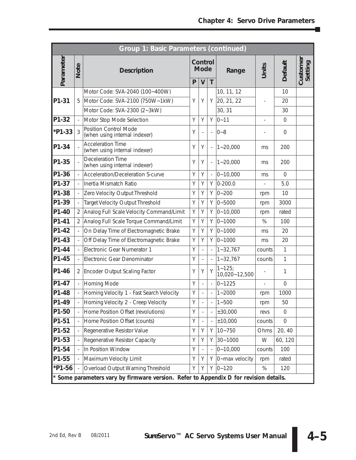÷

|           |                          | Group 1: Basic Parameters (continued)                                                 |   |                          |    |                            |                          |                |                     |
|-----------|--------------------------|---------------------------------------------------------------------------------------|---|--------------------------|----|----------------------------|--------------------------|----------------|---------------------|
| Parameter | <b>Note</b>              | <b>Description</b>                                                                    |   | Control<br><b>Mode</b>   |    | Range                      | Units                    | Default        | Customer<br>Setting |
|           |                          |                                                                                       | P | $\overline{V}$           | T  |                            |                          |                |                     |
|           |                          | Motor Code: SVA-2040 (100~400W)                                                       |   |                          |    | 10, 11, 12                 |                          | 10             |                     |
| P1-31     | 5                        | Motor Code: SVA-2100 (750W~1kW)                                                       | Y | Υ                        | Υ  | 20, 21, 22                 |                          | 20             |                     |
|           |                          | Motor Code: SVA-2300 (2~3kW)                                                          |   |                          |    | 30, 31                     |                          | 30             |                     |
| P1-32     |                          | Motor Stop Mode Selection                                                             | Y | Y                        | Y  | $0 - 11$                   | $\overline{\phantom{0}}$ | $\overline{0}$ |                     |
| *P1-33    | 3                        | Position Control Mode<br>(when using internal indexer)                                | Υ |                          |    | $0 - 8$                    |                          | $\overline{0}$ |                     |
| P1-34     |                          | <b>Acceleration Time</b><br>(when using internal indexer)                             | Υ | Υ                        |    | $1 - 20,000$               | ms                       | 200            |                     |
| P1-35     |                          | <b>Deceleration Time</b><br>(when using internal indexer)                             | Υ | Υ                        |    | $1 - 20,000$               | ms                       | 200            |                     |
| P1-36     | $\overline{\phantom{0}}$ | Acceleration/Deceleration S-curve                                                     | Y | Υ                        |    | $0 - 10,000$               | ms                       | $\Omega$       |                     |
| P1-37     |                          | Inertia Mismatch Ratio                                                                | Y | Y                        | Y. | $0 - 200.0$                |                          | 5.0            |                     |
| P1-38     |                          | Zero Velocity Output Threshold                                                        | Y | Y                        | Y. | $0 - 200$                  | rpm                      | 10             |                     |
| P1-39     | $\overline{\phantom{a}}$ | <b>Target Velocity Output Threshold</b>                                               | Υ | Υ                        | Υ  | $0 - 5000$                 | rpm                      | 3000           |                     |
| P1-40     | 2                        | Analog Full Scale Velocity Command/Limit                                              | Y | Υ                        | Υ  | $0 - 10,000$               | rpm                      | rated          |                     |
| P1-41     | $\overline{2}$           | Analog Full Scale Torque Command/Limit                                                | Υ | Y                        | Υ  | $0 - 1000$                 | %                        | 100            |                     |
| P1-42     | $\frac{1}{2}$            | On Delay Time of Electromagnetic Brake                                                | Υ | Υ                        | Υ  | $0 - 1000$                 | ms                       | 20             |                     |
| P1-43     |                          | Off Delay Time of Electromagnetic Brake                                               | Y | Υ                        | Υ  | $0 - 1000$                 | ms                       | 20             |                     |
| P1-44     | $\overline{\phantom{0}}$ | Electronic Gear Numerator 1                                                           | Y |                          |    | $1 - 32,767$               | counts                   | $\mathbf{1}$   |                     |
| P1-45     |                          | Electronic Gear Denominator                                                           | Y |                          |    | $1 - 32,767$               | counts                   | $\mathbf{1}$   |                     |
| P1-46     |                          | 2 Encoder Output Scaling Factor                                                       | Υ | Υ                        | Y  | $1 - 125$<br>10,020~12,500 |                          | 1              |                     |
| P1-47     |                          | Homing Mode                                                                           | Y | $\overline{a}$           |    | $0 - 1225$                 | $\overline{\phantom{0}}$ | $\mathbf 0$    |                     |
| P1-48     |                          | Homing Velocity 1 - Fast Search Velocity                                              | Υ | $\overline{\phantom{0}}$ |    | $1 - 2000$                 | rpm                      | 1000           |                     |
| P1-49     |                          | Homing Velocity 2 - Creep Velocity                                                    | Y |                          |    | $1 - 500$                  | rpm                      | 50             |                     |
| P1-50     |                          | Home Position Offset (revolutions)                                                    | Υ |                          |    | ±30,000                    | revs                     | $\Omega$       |                     |
| P1-51     |                          | Home Position Offset (counts)                                                         | Υ | $\overline{\phantom{0}}$ |    | ±10,000                    | counts                   | $\overline{0}$ |                     |
| P1-52     |                          | Regenerative Resistor Value                                                           | Υ | Υ                        | Υ  | $10 - 750$                 | Ohms                     | 20, 40         |                     |
| P1-53     |                          | Regenerative Resistor Capacity                                                        | Υ | Υ                        | Υ  | $30 - 1000$                | W                        | 60, 120        |                     |
| P1-54     |                          | In Position Window                                                                    | Υ |                          |    | $0 - 10,000$               | counts                   | 100            |                     |
| P1-55     |                          | Maximum Velocity Limit                                                                | Υ | Υ                        | Y. | 0~max velocity             | rpm                      | rated          |                     |
| *P1-56    |                          | Overload Output Warning Threshold                                                     | Y | Υ                        | Υ  | $0 - 120$                  | %                        | 120            |                     |
|           |                          | * Some parameters vary by firmware version. Refer to Appendix D for revision details. |   |                          |    |                            |                          |                |                     |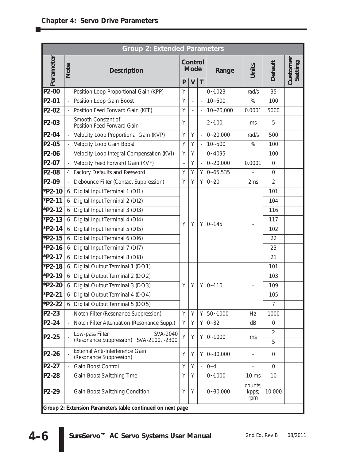|           |      | <b>Group 2: Extended Parameters</b>                                    |                |                          |                          |               |                          |                     |                     |  |
|-----------|------|------------------------------------------------------------------------|----------------|--------------------------|--------------------------|---------------|--------------------------|---------------------|---------------------|--|
| Parameter | Note | <b>Description</b>                                                     |                | Control<br><b>Mode</b>   |                          | Range         | Units                    | Default             | Customer<br>Setting |  |
|           |      |                                                                        | P              | $\mathsf{V}$             | T                        |               |                          |                     |                     |  |
| P2-00     |      | Position Loop Proportional Gain (KPP)                                  | Y              | $\overline{\phantom{0}}$ | $\overline{a}$           | $0 - 1023$    | rad/s                    | 35                  |                     |  |
| P2-01     |      | Position Loop Gain Boost                                               | Y              | $\frac{1}{2}$            | $\overline{a}$           | $10 - 500$    | %                        | 100                 |                     |  |
| P2-02     |      | Position Feed Forward Gain (KFF)                                       | Y              | $\frac{1}{2}$            |                          | $10 - 20,000$ | 0.0001                   | 5000                |                     |  |
| P2-03     |      | Smooth Constant of<br>Position Feed Forward Gain                       | Υ              | $\overline{\phantom{m}}$ | $\overline{\phantom{0}}$ | $2 - 100$     | ms                       | 5                   |                     |  |
| P2-04     |      | Velocity Loop Proportional Gain (KVP)                                  | Y              | Y                        |                          | $0 - 20,000$  | rad/s                    | 500                 |                     |  |
| P2-05     |      | Velocity Loop Gain Boost                                               | Υ              | Y                        |                          | $10 - 500$    | $\%$                     | 100                 |                     |  |
| P2-06     |      | Velocity Loop Integral Compensation (KVI)                              | Y              | Y                        | $\overline{a}$           | $0 - 4095$    | $\overline{\phantom{m}}$ | 100                 |                     |  |
| P2-07     |      | Velocity Feed Forward Gain (KVF)                                       | $\overline{a}$ | Y                        | $\overline{\phantom{a}}$ | $0 - 20,000$  | 0.0001                   | $\overline{0}$      |                     |  |
| P2-08     | 4    | <b>Factory Defaults and Password</b>                                   | Υ              | Y                        | Y                        | $0 - 65,535$  |                          | $\overline{0}$      |                     |  |
| P2-09     |      | Debounce Filter (Contact Suppression)                                  | Y              | Y                        | Υ                        | $0 - 20$      | 2ms                      | $\overline{2}$      |                     |  |
| *P2-10    | 6    | Digital Input Terminal 1 (DI1)                                         |                |                          |                          |               |                          | 101                 |                     |  |
| *P2-11    | 6    | Digital Input Terminal 2 (DI2)                                         |                |                          |                          |               |                          | 104                 |                     |  |
| $*P2-12$  | 6    | Digital Input Terminal 3 (DI3)                                         |                | Y<br>Y                   |                          |               |                          | 116                 |                     |  |
| *P2-13    | 6    | Digital Input Terminal 4 (DI4)                                         |                |                          |                          | $Y$ 0~145     |                          | 117                 |                     |  |
| $*P2-14$  | 6    | Digital Input Terminal 5 (DI5)                                         |                |                          |                          |               |                          | 102                 |                     |  |
| *P2-15    | 6    | Digital Input Terminal 6 (DI6)                                         |                |                          |                          |               |                          | 22                  |                     |  |
| *P2-16    | 6    | Digital Input Terminal 7 (DI7)                                         |                |                          |                          |               |                          |                     | 23                  |  |
| *P2-17    | 6    | Digital Input Terminal 8 (DI8)                                         |                |                          |                          |               |                          | 21                  |                     |  |
| *P2-18    | 6    | Digital Output Terminal 1 (DO1)                                        |                |                          |                          |               |                          | 101                 |                     |  |
| *P2-19    | 6    | Digital Output Terminal 2 (DO2)                                        |                |                          |                          |               |                          | 103                 |                     |  |
| *P2-20    | 6    | Digital Output Terminal 3 (DO3)                                        | Υ              | Y                        | Y                        | $0 - 110$     |                          | 109                 |                     |  |
| *P2-21    | 6    | Digital Output Terminal 4 (DO4)                                        |                |                          |                          |               |                          | 105                 |                     |  |
| *P2-22    | 6    | Digital Output Terminal 5 (DO5)                                        |                |                          |                          |               |                          | $\overline{7}$      |                     |  |
| P2-23     |      | Notch Filter (Resonance Suppression)                                   | Υ              | Y                        | Υ                        | 50~1000       | Hz                       | 1000                |                     |  |
| P2-24     |      | Notch Filter Attenuation (Resonance Supp.)                             | Y              | Υ                        | Υ                        | $0 - 32$      | dB                       | $\overline{0}$      |                     |  |
| P2-25     |      | Low-pass Filter<br>SVA-2040<br>(Resonance Suppression) SVA-2100, -2300 | Y              | Y                        | Y                        | $0 - 1000$    | ms                       | $\overline{2}$<br>5 |                     |  |
| P2-26     |      | External Anti-Interference Gain<br>(Resonance Suppression)             | Υ              | Υ                        |                          | $Y$ 0~30,000  |                          | $\overline{0}$      |                     |  |
| P2-27     |      | Gain Boost Control                                                     | Υ              | Υ                        | $\overline{\phantom{0}}$ | $0 - 4$       | $\overline{a}$           | $\Omega$            |                     |  |
| P2-28     |      | Gain Boost Switching Time                                              | Υ              | Y                        |                          | $0 - 1000$    | $10 \text{ ms}$          | 10                  |                     |  |
| P2-29     |      | Gain Boost Switching Condition                                         | Υ              | Y                        | $\overline{a}$           | $0 - 30,000$  | counts;<br>kpps;<br>rpm  | 10,000              |                     |  |
|           |      | Group 2: Extension Parameters table continued on next page             |                |                          |                          |               |                          |                     |                     |  |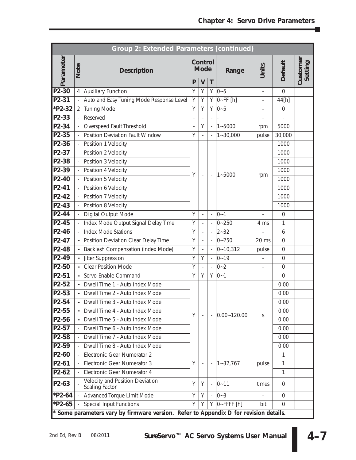П

|                             |                                            | Group 2: Extended Parameters (continued)                                              |        |                          |                          |                      |                          |                |                     |
|-----------------------------|--------------------------------------------|---------------------------------------------------------------------------------------|--------|--------------------------|--------------------------|----------------------|--------------------------|----------------|---------------------|
| Parameter                   | Note                                       | <b>Description</b>                                                                    |        | Control<br><b>Mode</b>   |                          | Range                | Units                    | <b>Default</b> | Customer<br>Setting |
|                             |                                            |                                                                                       | P      | $\mathsf{V}$             | T                        |                      |                          |                |                     |
| P2-30<br>P <sub>2</sub> -31 |                                            | 4 Auxiliary Function<br>Auto and Easy Tuning Mode Response Level                      | Υ<br>Y | Y<br>Υ                   | Y<br>Y                   | $0 - 5$              | $\overline{\phantom{m}}$ | $\mathbf 0$    |                     |
| *P2-32                      |                                            |                                                                                       | Υ      | Y                        | Υ                        | $0-FF[h]$<br>$0 - 5$ |                          | 44[h]          |                     |
| P2-33                       | $\overline{2}$<br>$\overline{\phantom{a}}$ | <b>Tuning Mode</b><br>Reserved                                                        |        |                          |                          |                      | $\overline{\phantom{0}}$ | $\mathbf 0$    |                     |
| P <sub>2</sub> -34          | $\overline{\phantom{a}}$                   | Overspeed Fault Threshold                                                             |        | Y                        |                          | $1 - 5000$           |                          | 5000           |                     |
| P2-35                       | $\overline{\phantom{a}}$                   | Position Deviation Fault Window                                                       | Y      |                          |                          | $1 - 30,000$         | rpm                      | 30,000         |                     |
| P2-36                       | $\overline{\phantom{a}}$                   | Position 1 Velocity                                                                   |        |                          |                          |                      | pulse                    | 1000           |                     |
| P2-37                       | $\overline{\phantom{a}}$                   | Position 2 Velocity                                                                   |        |                          |                          |                      |                          | 1000           |                     |
| P2-38                       | $\overline{\phantom{a}}$                   | Position 3 Velocity                                                                   |        |                          |                          |                      |                          | 1000           |                     |
| P2-39                       | $\overline{\phantom{a}}$                   | Position 4 Velocity                                                                   |        |                          |                          |                      |                          | 1000           |                     |
| P2-40                       | $\overline{\phantom{a}}$                   | Position 5 Velocity                                                                   | Υ      | $\overline{\phantom{a}}$ | $\overline{\phantom{a}}$ | $1 - 5000$           | rpm                      | 1000           |                     |
| P2-41                       | $\overline{\phantom{a}}$                   | Position 6 Velocity                                                                   |        |                          |                          |                      |                          | 1000           |                     |
| P2-42                       | $\overline{\phantom{a}}$                   | Position 7 Velocity                                                                   |        |                          |                          |                      |                          | 1000           |                     |
| P2-43                       | $\frac{1}{2}$                              | Position 8 Velocity                                                                   |        |                          |                          |                      |                          | 1000           |                     |
| P2-44                       |                                            | <b>Digital Output Mode</b>                                                            | Y      | $\overline{\phantom{0}}$ | $\overline{\phantom{m}}$ | $0 - 1$              | $\overline{\phantom{0}}$ | $\mathbf 0$    |                     |
| P2-45                       | $\overline{\phantom{a}}$                   | Index Mode Output Signal Delay Time                                                   | Υ      | $\overline{\phantom{0}}$ |                          | $0 - 250$            | 4 ms                     | 1              |                     |
| P2-46                       | $\overline{\phantom{a}}$                   | <b>Index Mode Stations</b>                                                            | Y      | $\overline{\phantom{0}}$ |                          | $2 - 32$             |                          | 6              |                     |
| P2-47                       | $\blacksquare$                             | Position Deviation Clear Delay Time                                                   | Y      | $\frac{1}{2}$            |                          | $0 - 250$            | $20 \text{ ms}$          | $\mathbf 0$    |                     |
| P2-48                       | $\blacksquare$                             | Backlash Compensation (Index Mode)                                                    | Y      |                          |                          | $0 - 10,312$         | pulse                    | $\mathbf 0$    |                     |
| P2-49                       | $\blacksquare$                             | Jitter Suppression                                                                    | Υ      | Υ                        |                          | $0 - 19$             | $\overline{\phantom{0}}$ | $\mathbf 0$    |                     |
| P2-50                       | ä,                                         | Clear Position Mode                                                                   | Y      |                          |                          | $0 - 2$              |                          | $\mathbf 0$    |                     |
| P2-51                       | $\blacksquare$                             | Servo Enable Command                                                                  | Y      | Υ                        | Υ                        | $0 - 1$              | $\frac{1}{2}$            | $\mathbf 0$    |                     |
| $\overline{P2-52}$          | $\mathbf{r}$                               | Dwell Time 1 - Auto Index Mode                                                        |        |                          |                          |                      |                          | 0.00           |                     |
| P2-53                       | $\blacksquare$                             | Dwell Time 2 - Auto Index Mode                                                        |        |                          |                          |                      |                          | 0.00           |                     |
| P2-54                       |                                            | Dwell Time 3 - Auto Index Mode                                                        |        |                          |                          |                      |                          | 0.00           |                     |
| P2-55                       |                                            | Dwell Time 4 - Auto Index Mode                                                        | Y      |                          |                          |                      |                          | 0.00           |                     |
| P2-56                       |                                            | Dwell Time 5 - Auto Index Mode                                                        |        |                          |                          | $ 0.00 - 120.00 $    | S                        | 0.00           |                     |
| P2-57                       |                                            | Dwell Time 6 - Auto Index Mode                                                        |        |                          |                          |                      |                          | 0.00           |                     |
| P2-58                       |                                            | Dwell Time 7 - Auto Index Mode                                                        |        |                          |                          |                      |                          | 0.00           |                     |
| P2-59                       |                                            | Dwell Time 8 - Auto Index Mode                                                        |        |                          |                          |                      |                          | 0.00           |                     |
| P2-60                       |                                            | Electronic Gear Numerator 2                                                           |        |                          |                          |                      |                          | 1              |                     |
| $P2-61$                     |                                            | Electronic Gear Numerator 3                                                           | Y      | $\overline{\phantom{a}}$ |                          | $1 - 32,767$         | pulse                    | 1              |                     |
| $P2-62$                     |                                            | Electronic Gear Numerator 4                                                           |        |                          |                          |                      |                          | 1              |                     |
| P2-63                       |                                            | Velocity and Position Deviation<br>Scaling Factor                                     | Υ      | Υ                        |                          | $0 - 11$             | times                    | $\overline{0}$ |                     |
| $*P2-64$                    | $\Box$                                     | Advanced Torque Limit Mode                                                            | Y      | Y                        |                          | $0 - 3$              |                          | $\Omega$       |                     |
| $*P2-65$                    |                                            | Special Input Functions                                                               | Υ      | Υ                        |                          | $Y$   0~FFFF [h]     | bit                      | $\Omega$       |                     |
|                             |                                            | * Some parameters vary by firmware version. Refer to Appendix D for revision details. |        |                          |                          |                      |                          |                |                     |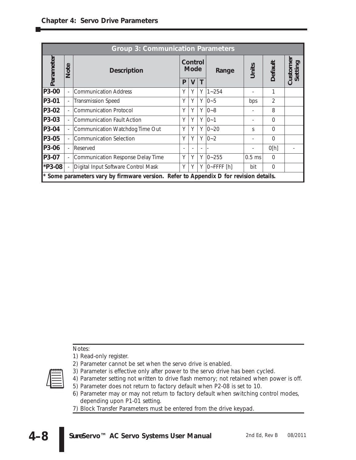|           | <b>Group 3: Communication Parameters</b> |                                                                                       |                        |   |   |                |          |                |      |  |  |  |  |  |  |  |  |  |  |  |  |  |  |  |  |  |  |  |  |  |  |  |  |  |  |       |       |         |     |
|-----------|------------------------------------------|---------------------------------------------------------------------------------------|------------------------|---|---|----------------|----------|----------------|------|--|--|--|--|--|--|--|--|--|--|--|--|--|--|--|--|--|--|--|--|--|--|--|--|--|--|-------|-------|---------|-----|
| Parameter | Note                                     | <b>Description</b>                                                                    | Control<br><b>Mode</b> |   |   |                |          |                |      |  |  |  |  |  |  |  |  |  |  |  |  |  |  |  |  |  |  |  |  |  |  |  |  |  |  | Range | Units | Default | mer |
|           |                                          |                                                                                       | P                      | V |   |                |          |                | Cust |  |  |  |  |  |  |  |  |  |  |  |  |  |  |  |  |  |  |  |  |  |  |  |  |  |  |       |       |         |     |
| P3-00     |                                          | <b>Communication Address</b>                                                          | Υ                      | Y | Υ | $1 - 254$      |          | 1              |      |  |  |  |  |  |  |  |  |  |  |  |  |  |  |  |  |  |  |  |  |  |  |  |  |  |  |       |       |         |     |
| P3-01     |                                          | <b>Transmission Speed</b>                                                             | Υ                      | Y | Υ | $0 - 5$        | bps      | $\overline{2}$ |      |  |  |  |  |  |  |  |  |  |  |  |  |  |  |  |  |  |  |  |  |  |  |  |  |  |  |       |       |         |     |
| P3-02     |                                          | <b>Communication Protocol</b>                                                         | Y                      | Y | Y | $0 - 8$        |          | 8              |      |  |  |  |  |  |  |  |  |  |  |  |  |  |  |  |  |  |  |  |  |  |  |  |  |  |  |       |       |         |     |
| P3-03     |                                          | <b>Communication Fault Action</b>                                                     | Υ                      | Y | Y | $0 - 1$        |          | $\Omega$       |      |  |  |  |  |  |  |  |  |  |  |  |  |  |  |  |  |  |  |  |  |  |  |  |  |  |  |       |       |         |     |
| P3-04     |                                          | Communication Watchdog Time Out                                                       | Y                      | Υ | Υ | $0 - 20$       | S        | $\Omega$       |      |  |  |  |  |  |  |  |  |  |  |  |  |  |  |  |  |  |  |  |  |  |  |  |  |  |  |       |       |         |     |
| P3-05     |                                          | <b>Communication Selection</b>                                                        | Y                      | Y | Y | $0 - 2$        |          | $\Omega$       |      |  |  |  |  |  |  |  |  |  |  |  |  |  |  |  |  |  |  |  |  |  |  |  |  |  |  |       |       |         |     |
| P3-06     |                                          | Reserved                                                                              |                        |   |   |                |          | O[h]           |      |  |  |  |  |  |  |  |  |  |  |  |  |  |  |  |  |  |  |  |  |  |  |  |  |  |  |       |       |         |     |
| P3-07     |                                          | Communication Response Delay Time                                                     | Y                      | Y | Υ | $0 - 255$      | $0.5$ ms | $\Omega$       |      |  |  |  |  |  |  |  |  |  |  |  |  |  |  |  |  |  |  |  |  |  |  |  |  |  |  |       |       |         |     |
| *P3-08    |                                          | Digital Input Software Control Mask                                                   | Y                      | Y | Y | $0$ - FFFF [h] | bit      | $\Omega$       |      |  |  |  |  |  |  |  |  |  |  |  |  |  |  |  |  |  |  |  |  |  |  |  |  |  |  |       |       |         |     |
|           |                                          | * Some parameters vary by firmware version. Refer to Appendix D for revision details. |                        |   |   |                |          |                |      |  |  |  |  |  |  |  |  |  |  |  |  |  |  |  |  |  |  |  |  |  |  |  |  |  |  |       |       |         |     |

*Notes:*

*1) Read-only register.*

- *2) Parameter cannot be set when the servo drive is enabled.*
- *3) Parameter is effective only after power to the servo drive has been cycled.*
- *4) Parameter setting not written to drive flash memory; not retained when power is off.*
- *5) Parameter does not return to factory default when P2-08 is set to 10.*
- *6) Parameter may or may not return to factory default when switching control modes, depending upon P1-01 setting.*
- *7) Block Transfer Parameters must be entered from the drive keypad.*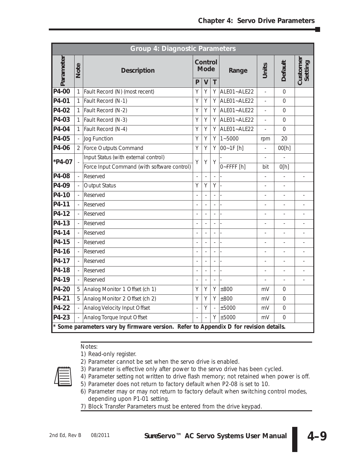| <b>Group 4: Diagnostic Parameters</b> |                          |                                                                                       |                          |                                               |                |             |                          |                          |                          |
|---------------------------------------|--------------------------|---------------------------------------------------------------------------------------|--------------------------|-----------------------------------------------|----------------|-------------|--------------------------|--------------------------|--------------------------|
| Parameter                             | Note                     | <b>Description</b>                                                                    | P                        | Control<br><b>Mode</b><br>$\overline{V}$<br>T |                | Range       | Units                    | <b>Default</b>           | Customer<br>Setting      |
| P4-00                                 | 1                        | Fault Record (N) (most recent)                                                        | Y                        | Y                                             | Υ              | ALE01~ALE22 | $\overline{a}$           | $\Omega$                 |                          |
| P4-01                                 | $\mathbf{1}$             | Fault Record (N-1)                                                                    | Y                        | Υ                                             | Y              | ALE01~ALE22 | $\overline{a}$           | 0                        |                          |
| P4-02                                 | $\mathbf{1}$             | Fault Record (N-2)                                                                    | Y                        | Y                                             | Y              | ALE01~ALE22 | $\overline{a}$           | $\Omega$                 |                          |
| P4-03                                 | 1                        | Fault Record (N-3)                                                                    | Y                        | Y                                             | Υ              | ALE01~ALE22 | $\overline{a}$           | 0                        |                          |
| P4-04                                 | $\mathbf{1}$             | Fault Record (N-4)                                                                    | Y                        | Y                                             | Y              | ALE01~ALE22 | $\frac{1}{2}$            | $\overline{0}$           |                          |
| P4-05                                 | $\overline{\phantom{a}}$ | Jog Function                                                                          | Y                        | Υ                                             | Υ              | $1 - 5000$  | rpm                      | 20                       |                          |
| P4-06                                 | $\overline{2}$           | Force Outputs Command                                                                 | Y                        | Y                                             | Y              | 00~1F [h]   |                          | 00[h]                    |                          |
| *P4-07                                |                          | Input Status (with external control)                                                  | Y                        | Y                                             | Y              |             |                          |                          |                          |
|                                       |                          | Force Input Command (with software control)                                           |                          |                                               |                | 0~FFFF[h]   | bit                      | O[h]                     |                          |
| P4-08                                 |                          | Reserved                                                                              | $\overline{a}$           | $\overline{a}$                                | $\overline{a}$ |             | $\overline{\phantom{a}}$ | $\frac{1}{2}$            | $\overline{\phantom{0}}$ |
| P4-09                                 |                          | <b>Output Status</b>                                                                  | Y                        | Υ                                             | Y              |             | $\overline{a}$           |                          |                          |
| P4-10                                 |                          | Reserved                                                                              | $\overline{a}$           | $\frac{1}{2}$                                 | $\overline{a}$ |             | $\overline{a}$           | $\overline{\phantom{0}}$ | $\overline{a}$           |
| P4-11                                 |                          | Reserved                                                                              |                          |                                               |                |             |                          |                          |                          |
| P4-12                                 |                          | Reserved                                                                              |                          | $\frac{1}{2}$                                 | $\overline{a}$ |             | $\overline{a}$           | $\overline{a}$           |                          |
| P4-13                                 | $\overline{\phantom{a}}$ | Reserved                                                                              |                          | $\overline{a}$                                | $\overline{a}$ |             | $\overline{a}$           | $\overline{a}$           | $\overline{a}$           |
| P4-14                                 |                          | Reserved                                                                              |                          | $\overline{a}$                                | $\overline{a}$ |             | $\overline{a}$           |                          |                          |
| P4-15                                 |                          | Reserved                                                                              | $\overline{a}$           | $\frac{1}{2}$                                 | $\overline{a}$ |             | $\equiv$                 | $\overline{a}$           | $\overline{a}$           |
| P4-16                                 | $\overline{\phantom{a}}$ | Reserved                                                                              |                          | $\overline{\phantom{0}}$                      | $\overline{a}$ |             | $\overline{a}$           | $\overline{a}$           |                          |
| P4-17                                 |                          | Reserved                                                                              |                          | $\overline{\phantom{a}}$                      | Ĭ.             |             | $\overline{\phantom{0}}$ | $\overline{a}$           |                          |
| P4-18                                 | $\overline{\phantom{a}}$ | Reserved                                                                              |                          | $\overline{a}$                                | $\overline{a}$ |             | $\overline{a}$           | $\overline{a}$           |                          |
| P4-19                                 |                          | Reserved                                                                              | $\overline{\phantom{0}}$ | $\overline{\phantom{a}}$                      | $\overline{a}$ |             | $\overline{\phantom{0}}$ | $\overline{a}$           | $\overline{\phantom{a}}$ |
| P4-20                                 | 5                        | Analog Monitor 1 Offset (ch 1)                                                        | Y                        | Υ                                             | Y              | ±800        | mV                       | 0                        |                          |
| P4-21                                 | 5                        | Analog Monitor 2 Offset (ch 2)                                                        | Y                        | Y                                             | Y              | ±800        | mV                       | $\Omega$                 |                          |
| P4-22                                 |                          | Analog Velocity Input Offset                                                          |                          | Y                                             | $\overline{a}$ | ±5000       | mV                       | $\mathbf 0$              |                          |
| P4-23                                 |                          | Analog Torque Input Offset                                                            |                          |                                               | Υ              | $\pm 5000$  | mV                       | $\Omega$                 |                          |
|                                       |                          | * Some parameters vary by firmware version. Refer to Appendix D for revision details. |                          |                                               |                |             |                          |                          |                          |

## *Notes:*

*1) Read-only register.*





- 
- *3) Parameter is effective only after power to the servo drive has been cycled.*
- *4) Parameter setting not written to drive flash memory; not retained when power is off.*
- *5) Parameter does not return to factory default when P2-08 is set to 10.*
- *6) Parameter may or may not return to factory default when switching control modes, depending upon P1-01 setting.*
- *7) Block Transfer Parameters must be entered from the drive keypad.*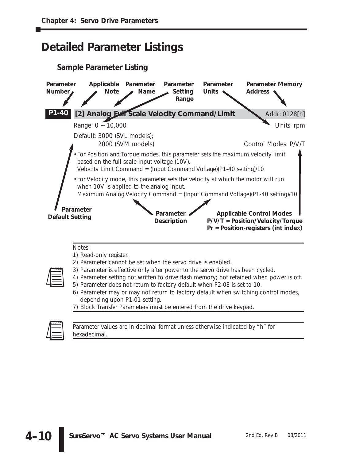## **Detailed Parameter Listings**





*Parameter values are in decimal format unless otherwise indicated by "h" for hexadecimal.*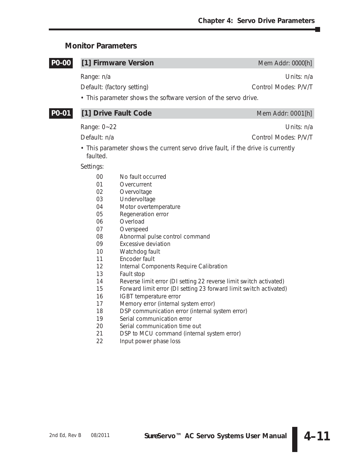## **Monitor Parameters**

| <b>PO-00</b> |                                                                      | [1] Firmware Version                                                                                                                                                                                                                       | Mem Addr: 0000[h]                  |
|--------------|----------------------------------------------------------------------|--------------------------------------------------------------------------------------------------------------------------------------------------------------------------------------------------------------------------------------------|------------------------------------|
|              | Range: n/a                                                           | Default: (factory setting)                                                                                                                                                                                                                 | Units: n/a<br>Control Modes: P/V/T |
|              |                                                                      | • This parameter shows the software version of the servo drive.                                                                                                                                                                            |                                    |
| P0-01        |                                                                      | [1] Drive Fault Code                                                                                                                                                                                                                       | Mem Addr: 0001[h]                  |
|              | Range: 0~22                                                          |                                                                                                                                                                                                                                            | Units: n/a                         |
|              | Default: n/a                                                         |                                                                                                                                                                                                                                            | Control Modes: P/V/T               |
|              | faulted.                                                             | • This parameter shows the current servo drive fault, if the drive is currently                                                                                                                                                            |                                    |
|              | Settings:                                                            |                                                                                                                                                                                                                                            |                                    |
|              | 00<br>01<br>02<br>03<br>04<br>05<br>06<br>07<br>08<br>09<br>10<br>11 | No fault occurred<br>Overcurrent<br>Overvoltage<br>Undervoltage<br>Motor overtemperature<br>Regeneration error<br>Overload<br>Overspeed<br>Abnormal pulse control command<br><b>Excessive deviation</b><br>Watchdog fault<br>Encoder fault |                                    |
|              | 12<br>1つ                                                             | Internal Components Require Calibration<br>Equilt ctop                                                                                                                                                                                     |                                    |

- 13 Fault stop
- 14 Reverse limit error (DI setting 22 reverse limit switch activated)
- 15 Forward limit error (DI setting 23 forward limit switch activated)
- 16 IGBT temperature error
- 17 Memory error (internal system error)
- 18 DSP communication error (internal system error)
- 19 Serial communication error<br>20 Serial communication time
- Serial communication time out
- 21 DSP to MCU command (internal system error)
- 22 Input power phase loss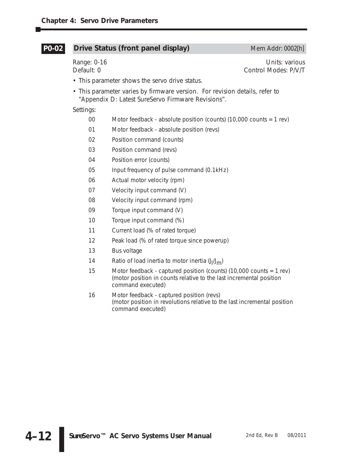#### **Drive Status (front panel display)** Mem Addr: 0002[h] **P0-02**

Range: 0-16 Units: various Default: 0 Control Modes: P/V/T

- This parameter shows the servo drive status.
- This parameter varies by firmware version. For revision details, refer to "Appendix D: Latest *Sure*Servo Firmware Revisions".

Settings:

- 00 Motor feedback absolute position (counts) (10,000 counts = 1 rev)
- 01 Motor feedback absolute position (revs)
- 02 Position command (counts)
- 03 Position command (revs)
- 04 Position error (counts)
- 05 Input frequency of pulse command (0.1kHz)
- 06 Actual motor velocity (rpm)
- 07 Velocity input command (V)
- 08 Velocity input command (rpm)
- 09 Torque input command (V)
- 10 Torque input command (%)
- 11 Current load (% of rated torque)
- 12 Peak load (% of rated torque since powerup)
- 13 Bus voltage
- 14 Ratio of load inertia to motor inertia (J<sub>I</sub>/J<sub>m</sub>)
- 15 Motor feedback captured position (counts) (10,000 counts = 1 rev) (motor position in counts relative to the last incremental position command executed)
- 16 Motor feedback captured position (revs) (motor position in revolutions relative to the last incremental position command executed)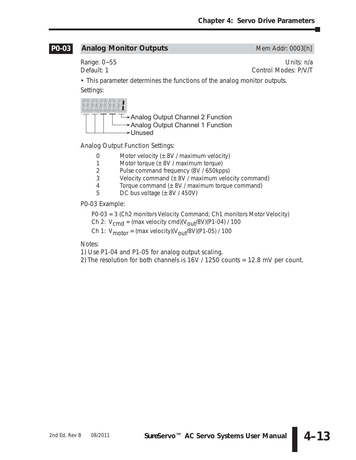#### **Analog Monitor Outputs** Mem Addr: 0003[h] **P0-03**

Range: 0~55 Units: n/a Default: 1 Control Modes: P/V/T

• This parameter determines the functions of the analog monitor outputs. Settings:



Analog Output Function Settings:

- 0 Motor velocity  $(\pm 8V / \text{maximum velocity})$
- 1 Motor torque  $(\pm 8V / \text{maximum torque})$
- 2 Pulse command frequency (8V / 650kpps)
- 3 Velocity command  $(\pm 8V / \text{maximum velocity command})$
- 4 Torque command  $(\pm 8V / \text{maximum torque command})$
- 5 DC bus voltage  $(\pm 8V / 450V)$

P0-03 Example:

- P0-03 = 3 (Ch2 monitors Velocity Command; Ch1 monitors Motor Velocity)
- Ch 2:  $V_{cmd} = (max velocity cmd)(V_{out}/8V)(P1-04) / 100$
- Ch 1:  $V_{\text{motor}} = (max$  velocity)( $V_{\text{out}}$ /8V)(P1-05) / 100

Notes:

1) Use P1-04 and P1-05 for analog output scaling.

2) The resolution for both channels is 16V / 1250 counts = 12.8 mV per count.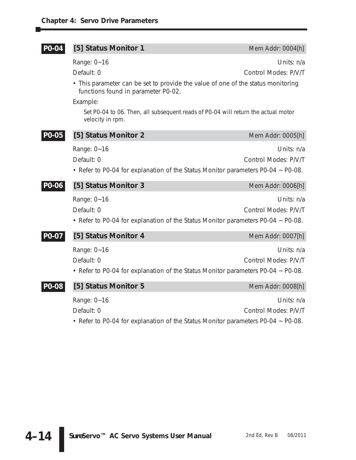| P0-04 | [5] Status Monitor 1                                                                                                                | Mem Addr: 0004[h]                  |
|-------|-------------------------------------------------------------------------------------------------------------------------------------|------------------------------------|
|       | Range: 0~16<br>Default: 0                                                                                                           | Units: n/a<br>Control Modes: P/V/T |
|       | • This parameter can be set to provide the value of one of the status monitoring<br>functions found in parameter P0-02.<br>Example: |                                    |
|       | Set P0-04 to 06. Then, all subsequent reads of P0-04 will return the actual motor<br>velocity in rpm.                               |                                    |
| PO-05 | [5] Status Monitor 2                                                                                                                | Mem Addr: 0005[h]                  |
|       | Range: 0~16<br>Default: 0<br>• Refer to P0-04 for explanation of the Status Monitor parameters P0-04 ~ P0-08.                       | Units: n/a<br>Control Modes: P/V/T |
| PO-06 | [5] Status Monitor 3                                                                                                                | Mem Addr: 0006[h]                  |
|       | Range: 0~16<br>Default: 0<br>• Refer to P0-04 for explanation of the Status Monitor parameters P0-04 ~ P0-08.                       | Units: n/a<br>Control Modes: P/V/T |
| PO-07 | [5] Status Monitor 4                                                                                                                | Mem Addr: 0007[h]                  |
|       | Range: 0~16<br>Default: 0<br>• Refer to P0-04 for explanation of the Status Monitor parameters P0-04 ~ P0-08.                       | Units: n/a<br>Control Modes: P/V/T |
| PO-08 | [5] Status Monitor 5                                                                                                                | Mem Addr: 0008[h]                  |
|       | Range: 0~16<br>Default: 0<br>• Refer to P0-04 for explanation of the Status Monitor parameters P0-04 ~ P0-08.                       | Units: n/a<br>Control Modes: P/V/T |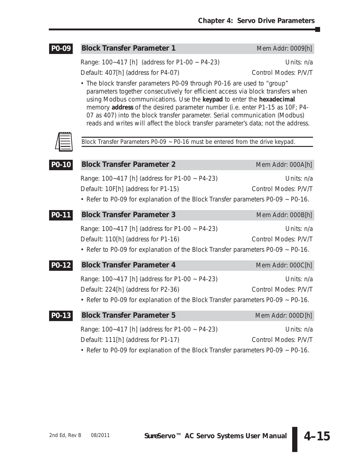#### **Block Transfer Parameter 1** Mem Addr: 0009[h] **P0-09**

Range: 100~417 [h] (address for P1-00 ~ P4-23) Units: n/a Default: 407[h] (address for P4-07) Control Modes: P/V/T

• The block transfer parameters P0-09 through P0-16 are used to "group" parameters together consecutively for efficient access via block transfers when using Modbus communications. Use the **keypad** to enter the **hexadecimal** memory **address** of the desired parameter number (i.e. enter P1-15 as 10F; P4- 07 as 407) into the block transfer parameter. Serial communication (Modbus) reads and writes will affect the block transfer parameter's data; not the address.



*Block Transfer Parameters P0-09 ~ P0-16 must be entered from the drive keypad.*

| PO-10              | <b>Block Transfer Parameter 2</b>                                                | Mem Addr: 000A[h]    |
|--------------------|----------------------------------------------------------------------------------|----------------------|
|                    | Range: 100~417 [h] (address for P1-00 ~ P4-23)                                   | Units: n/a           |
|                    | Default: 10F[h] (address for P1-15)                                              | Control Modes: P/V/T |
|                    | • Refer to P0-09 for explanation of the Block Transfer parameters P0-09 ~ P0-16. |                      |
| P0-11              | <b>Block Transfer Parameter 3</b>                                                | Mem Addr: 000B[h]    |
|                    | Range: 100~417 [h] (address for P1-00 ~ P4-23)                                   | Units: n/a           |
|                    | Default: 110[h] (address for P1-16)                                              | Control Modes: P/V/T |
|                    | • Refer to P0-09 for explanation of the Block Transfer parameters P0-09 ~ P0-16. |                      |
| P <sub>0</sub> -12 | <b>Block Transfer Parameter 4</b>                                                | Mem Addr: 000C[h]    |
|                    | Range: 100~417 [h] (address for P1-00 ~ P4-23)                                   | Units: n/a           |
|                    | Default: 224[h] (address for P2-36)                                              | Control Modes: P/V/T |
|                    | • Refer to P0-09 for explanation of the Block Transfer parameters P0-09 ~ P0-16. |                      |
| P0-13              | <b>Block Transfer Parameter 5</b>                                                | Mem Addr: 000D[h]    |
|                    | Range: 100~417 [h] (address for P1-00 ~ P4-23)                                   | Units: n/a           |
|                    | Default: 111[h] (address for P1-17)                                              | Control Modes: P/V/T |
|                    | • Refer to P0-09 for explanation of the Block Transfer parameters P0-09 ~ P0-16. |                      |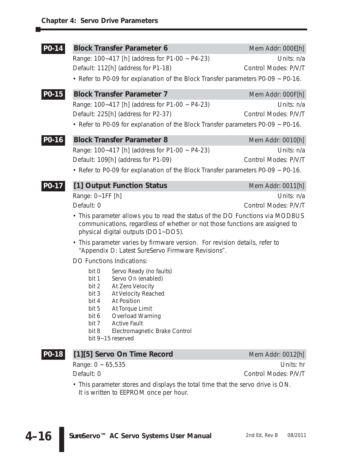| P0-14 | <b>Block Transfer Parameter 6</b><br>Range: 100~417 [h] (address for P1-00 ~ P4-23)<br>Default: 112[h] (address for P1-18)<br>• Refer to P0-09 for explanation of the Block Transfer parameters P0-09 ~ P0-16.                                                                                                                                                                                                                                                                                                                                                                                                                                                                                                                                                | Mem Addr: 000E[h]<br>Units: n/a<br>Control Modes: P/V/T |
|-------|---------------------------------------------------------------------------------------------------------------------------------------------------------------------------------------------------------------------------------------------------------------------------------------------------------------------------------------------------------------------------------------------------------------------------------------------------------------------------------------------------------------------------------------------------------------------------------------------------------------------------------------------------------------------------------------------------------------------------------------------------------------|---------------------------------------------------------|
| PO-15 | <b>Block Transfer Parameter 7</b><br>Range: 100~417 [h] (address for P1-00 ~ P4-23)<br>Default: 225[h] (address for P2-37)<br>• Refer to P0-09 for explanation of the Block Transfer parameters P0-09 ~ P0-16.                                                                                                                                                                                                                                                                                                                                                                                                                                                                                                                                                | Mem Addr: 000F[h]<br>Units: n/a<br>Control Modes: P/V/T |
| P0-16 | <b>Block Transfer Parameter 8</b><br>Range: 100~417 [h] (address for P1-00 ~ P4-23)<br>Default: 109[h] (address for P1-09)<br>• Refer to P0-09 for explanation of the Block Transfer parameters P0-09 ~ P0-16.                                                                                                                                                                                                                                                                                                                                                                                                                                                                                                                                                | Mem Addr: 0010[h]<br>Units: n/a<br>Control Modes: P/V/T |
| P0-17 | [1] Output Function Status<br>Range: 0~1FF [h]<br>Default: 0<br>• This parameter allows you to read the status of the DO Functions via MODBUS<br>communications, regardless of whether or not those functions are assigned to<br>physical digital outputs (DO1~DO5).<br>• This parameter varies by firmware version. For revision details, refer to<br>"Appendix D: Latest SureServo Firmware Revisions".<br><b>DO Functions Indications:</b><br>bit 0<br>Servo Ready (no faults)<br>Servo On (enabled)<br>bit 1<br>bit 2<br>At Zero Velocity<br>bit 3<br>At Velocity Reached<br>bit 4<br>At Position<br>bit 5<br>At Torque Limit<br>Overload Warning<br>bit 6<br>bit 7<br><b>Active Fault</b><br>bit 8<br>Electromagnetic Brake Control<br>bit 9~15 reserved | Mem Addr: 0011[h]<br>Units: n/a<br>Control Modes: P/V/T |
| P0-18 | [1][5] Servo On Time Record                                                                                                                                                                                                                                                                                                                                                                                                                                                                                                                                                                                                                                                                                                                                   | Mem Addr: 0012[h]                                       |
|       | Range: $0 \sim 65,535$<br>Default: 0                                                                                                                                                                                                                                                                                                                                                                                                                                                                                                                                                                                                                                                                                                                          | Units: hr<br>Control Modes: P/V/T                       |

• This parameter stores and displays the total time that the servo drive is ON. It is written to EEPROM once per hour.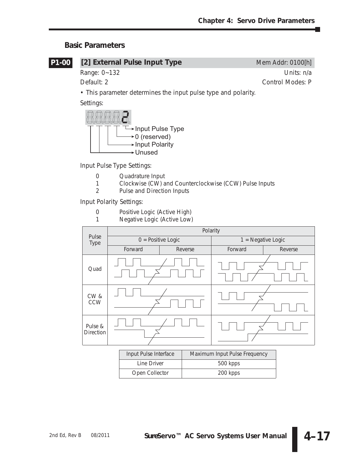## **Basic Parameters**



## **[2] External Pulse Input Type** Mem Addr: 0100[h]

Range: 0~132 Units: n/a Default: 2 Control Modes: P

• This parameter determines the input pulse type and polarity.

Settings:



Input Pulse Type Settings:

- 0 Quadrature Input<br>1 Clockwise (CW) a
- 1 Clockwise (CW) and Counterclockwise (CCW) Pulse Inputs
- 2 Pulse and Direction Inputs

Input Polarity Settings:

- 0 Positive Logic (Active High)
- 1 Negative Logic (Active Low)



| Input Pulse Interface | Maximum Input Pulse Frequency |
|-----------------------|-------------------------------|
| Line Driver           | 500 kpps                      |
| Open Collector        | 200 kpps                      |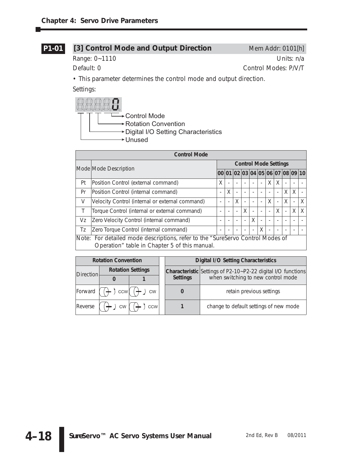## **P1-01**

## [3] Control Mode and Output Direction Mem Addr: 0101[h]

Range: 0~1110 Units: n/a

Default: 0 Control Modes: P/V/T

• This parameter determines the control mode and output direction.

Settings:



| <b>Control Mode</b> |                                                                                                                                 |                              |   |                          |          |                          |   |                          |                |   |                                  |   |  |
|---------------------|---------------------------------------------------------------------------------------------------------------------------------|------------------------------|---|--------------------------|----------|--------------------------|---|--------------------------|----------------|---|----------------------------------|---|--|
|                     |                                                                                                                                 | <b>Control Mode Settings</b> |   |                          |          |                          |   |                          |                |   |                                  |   |  |
|                     | Mode Mode Description                                                                                                           |                              |   |                          |          |                          |   |                          |                |   | 00 01 02 03 04 05 06 07 08 09 10 |   |  |
| Pt                  | Position Control (external command)                                                                                             | X                            |   |                          |          |                          |   | X                        | X              |   |                                  |   |  |
| Pr                  | Position Control (internal command)                                                                                             |                              | X |                          |          |                          |   |                          |                | X | X                                |   |  |
| V                   | Velocity Control (internal or external command)                                                                                 |                              |   | X                        |          |                          |   | X                        | $\overline{a}$ | X |                                  | X |  |
| Τ                   | Torque Control (internal or external command)                                                                                   |                              |   |                          | $\times$ | $\overline{\phantom{a}}$ |   |                          | X              |   | X                                | X |  |
| Vz                  | Zero Velocity Control (internal command)                                                                                        |                              |   | $\overline{\phantom{0}}$ | ÷,       | X                        |   | $\overline{\phantom{a}}$ |                |   |                                  |   |  |
| Tz                  | Zero Torque Control (internal command)                                                                                          |                              |   |                          |          | $\overline{a}$           | X | $\overline{\phantom{a}}$ |                |   |                                  |   |  |
|                     | Note: For detailed mode descriptions, refer to the "SureServo Control Modes of<br>Operation" table in Chapter 5 of this manual. |                              |   |                          |          |                          |   |                          |                |   |                                  |   |  |

|           | <b>Rotation Convention</b> |                          |                 | <b>Digital I/O Setting Characteristics</b>                          |
|-----------|----------------------------|--------------------------|-----------------|---------------------------------------------------------------------|
| Direction |                            | <b>Rotation Settings</b> |                 | <b>Characteristic</b> Settings of P2-10~P2-22 digital I/O functions |
|           |                            |                          | <b>Settings</b> | when switching to new control mode                                  |
| Forward ( | $, \text{ccw}$             | <b>CW</b>                |                 | retain previous settings                                            |
| Reverse   | <b>CW</b>                  | <b>CCW</b>               |                 | change to default settings of new mode                              |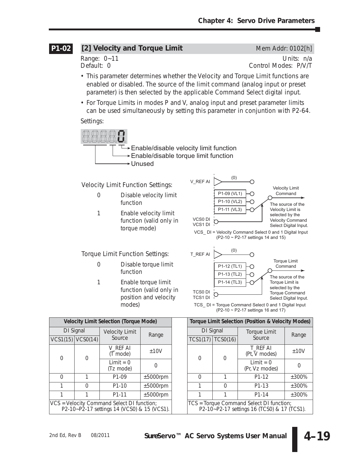#### [2] Velocity and Torque Limit Mem Addr: 0102[h] **P1-02**

Range: 0~11 Units: n/a<br>Default: 0 Control Modes: P/V/T Control Modes: P/V/T

- This parameter determines whether the Velocity and Torque Limit functions are enabled or disabled. The source of the limit command (analog input or preset parameter) is then selected by the applicable Command Select digital input.
- For Torque Limits in modes P and V, analog input and preset parameter limits can be used simultaneously by setting this parameter in conjuntion with P2-64.

Settings:



Torque Limit Function Settings:

- 0 Disable torque limit function
- 1 Enable torque limit function (valid only in position and velocity modes)



|                                                                                           |          |                       | Velocity Limit Selection (Torque Mode) |             |  |          |                       | Torque Limit Selection (Position & Velocity Mode                                        |              |  |
|-------------------------------------------------------------------------------------------|----------|-----------------------|----------------------------------------|-------------|--|----------|-----------------------|-----------------------------------------------------------------------------------------|--------------|--|
|                                                                                           |          | DI Signal             | <b>Velocity Limit</b>                  | Range       |  |          | DI Signal             | <b>Torque Limit</b>                                                                     | Range        |  |
|                                                                                           |          | $VCS1(15)$ $VCS0(14)$ | Source                                 |             |  |          | $TCS1(17)$ $TCS0(16)$ | Source                                                                                  |              |  |
|                                                                                           | $\Omega$ |                       | V REF AI<br>(T mode)                   | ±10V        |  | 0        |                       | T REF AI<br>(Pt, V modes)                                                               | ±10V         |  |
|                                                                                           |          |                       | $Limit = 0$<br>(Tz mode)               |             |  |          |                       | $Limit = 0$<br>(Pr, Vz modes)                                                           | <sup>n</sup> |  |
|                                                                                           | 0        |                       | P <sub>1</sub> -09                     | $±5000$ rpm |  | $\Omega$ |                       | P1-12                                                                                   | ±300%        |  |
|                                                                                           |          | $\Omega$              | $P1-10$                                | $±5000$ rpm |  |          | $\Omega$              | P <sub>1</sub> -13                                                                      | ±300%        |  |
|                                                                                           |          |                       | P1-11                                  | $±5000$ rpm |  |          |                       | P1-14                                                                                   | ±300%        |  |
| VCS = Velocity Command Select DI function;<br>P2-10~P2-17 settings 14 (VCS0) & 15 (VCS1). |          |                       |                                        |             |  |          |                       | TCS = Torque Command Select DI function;<br>P2-10~P2-17 settings 16 (TCS0) & 17 (TCS1). |              |  |

|                                                                                       |                    | Velocity Limit Selection (Torque Mode) |                |  |                             |                                                                                         | Torque Limit Selection (Position & Velocity Modes) |          |  |
|---------------------------------------------------------------------------------------|--------------------|----------------------------------------|----------------|--|-----------------------------|-----------------------------------------------------------------------------------------|----------------------------------------------------|----------|--|
| DI Signal                                                                             |                    | <b>Velocity Limit</b>                  | Range          |  | DI Signal                   |                                                                                         | <b>Torque Limit</b>                                | Range    |  |
|                                                                                       | (1(15)   VCSO(14)) | Source                                 |                |  | <b>TCS1(17)</b><br>TCSO(16) |                                                                                         | Source                                             |          |  |
| 0                                                                                     | $\Omega$           | V REF AI<br>(T mode)                   | ±10V           |  | 0                           | 0                                                                                       | T REF AI<br>(Pt, V modes)                          | ±10V     |  |
|                                                                                       |                    | $Limit = 0$<br>(Tz mode)               | Ω              |  |                             |                                                                                         | $Limit = 0$<br>(Pr, Vz modes)                      | $\Omega$ |  |
| 0                                                                                     |                    | P <sub>1</sub> -09                     | $\pm 5000$ rpm |  | 0                           |                                                                                         | P1-12                                              | $±300\%$ |  |
|                                                                                       | $\Omega$           | $P1-10$                                | $±5000$ rpm    |  |                             | $\Omega$                                                                                | P <sub>1</sub> -13                                 | $±300\%$ |  |
|                                                                                       |                    | P1-11                                  | $±5000$ rpm    |  |                             |                                                                                         | P1-14                                              | ±300%    |  |
| = Velocity Command Select DI function;<br>P2-10~P2-17 settings 14 (VCS0) & 15 (VCS1). |                    |                                        |                |  |                             | TCS = Torque Command Select DI function;<br>P2-10~P2-17 settings 16 (TCS0) & 17 (TCS1). |                                                    |          |  |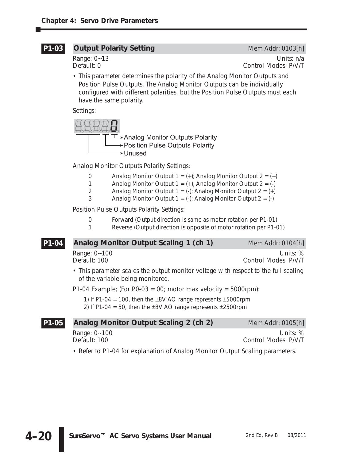#### **Output Polarity Setting** Mem Addr: 0103[h] **P1-03**

Range: 0~13 Units: n/a<br>Default: 0 Units: 0 Units: 0 Units: 0 Units: 0 Control Modes: P/V/T

• This parameter determines the polarity of the Analog Monitor Outputs and Position Pulse Outputs. The Analog Monitor Outputs can be individually configured with different polarities, but the Position Pulse Outputs must each have the same polarity.

Settings:



Analog Monitor Outputs Polarity Settings:

- 0 Analog Monitor Output  $1 = (+)$ ; Analog Monitor Output  $2 = (+)$
- 1 Analog Monitor Output  $1 = (+)$ ; Analog Monitor Output  $2 = (-)$
- 2 Analog Monitor Output  $1 = (-)$ ; Analog Monitor Output  $2 = (+)$
- 3 Analog Monitor Output  $1 = (-)$ ; Analog Monitor Output  $2 = (-)$

Position Pulse Outputs Polarity Settings:

- 0 Forward (Output direction is same as motor rotation per P1-01)
- 1 Reverse (Output direction is opposite of motor rotation per P1-01)

#### **Analog Monitor Output Scaling 1 (ch 1)** Mem Addr: 0104[h] **P1-04**

Range: 0~100 Units: % Default: 100 Control Modes: P/V/T

• This parameter scales the output monitor voltage with respect to the full scaling of the variable being monitored.

P1-04 Example; (For P0-03 = 00; motor max velocity = 5000rpm):

1) If P1-04 = 100, then the  $\pm 8V$  AO range represents  $\pm 5000$ rpm 2) If P1-04 = 50, then the  $\pm$ 8V AO range represents  $\pm$ 2500rpm

## **Analog Monitor Output Scaling 2 (ch 2)** Mem Addr: 0105[h] Range: 0~100 Units: % Default: 100 Control Modes: P/V/T **P1-05**

• Refer to P1-04 for explanation of Analog Monitor Output Scaling parameters.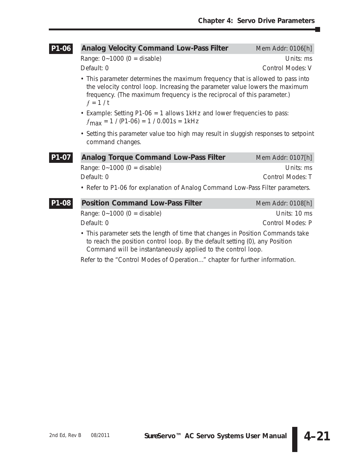Ð

| P1-06 | <b>Analog Velocity Command Low-Pass Filter</b>                                                                                                                                                                                                         | Mem Addr: 0106[h]       |  |  |  |  |  |  |
|-------|--------------------------------------------------------------------------------------------------------------------------------------------------------------------------------------------------------------------------------------------------------|-------------------------|--|--|--|--|--|--|
|       | Range: $0 - 1000$ (0 = disable)                                                                                                                                                                                                                        | Units: ms               |  |  |  |  |  |  |
|       | Default: 0                                                                                                                                                                                                                                             | <b>Control Modes: V</b> |  |  |  |  |  |  |
|       | • This parameter determines the maximum frequency that is allowed to pass into<br>the velocity control loop. Increasing the parameter value lowers the maximum<br>frequency. (The maximum frequency is the reciprocal of this parameter.)<br>$f = 1/t$ |                         |  |  |  |  |  |  |
|       | • Example: Setting P1-06 = 1 allows 1kHz and lower frequencies to pass:<br>$f_{\text{max}}$ = 1 / (P1-06) = 1 / 0.001s = 1kHz                                                                                                                          |                         |  |  |  |  |  |  |
|       | • Setting this parameter value too high may result in sluggish responses to setpoint<br>command changes.                                                                                                                                               |                         |  |  |  |  |  |  |
| P1-07 | <b>Analog Torque Command Low-Pass Filter</b>                                                                                                                                                                                                           | Mem Addr: 0107[h]       |  |  |  |  |  |  |
|       | Range: $0 - 1000$ (0 = disable)                                                                                                                                                                                                                        | Units: ms               |  |  |  |  |  |  |
|       | Default: 0                                                                                                                                                                                                                                             | <b>Control Modes: T</b> |  |  |  |  |  |  |
|       | • Refer to P1-06 for explanation of Analog Command Low-Pass Filter parameters.                                                                                                                                                                         |                         |  |  |  |  |  |  |
| P1-08 | <b>Position Command Low-Pass Filter</b>                                                                                                                                                                                                                | Mem Addr: 0108[h]       |  |  |  |  |  |  |
|       | Range: $0 - 1000$ (0 = disable)                                                                                                                                                                                                                        | Units: 10 ms            |  |  |  |  |  |  |
|       | Default: 0                                                                                                                                                                                                                                             | Control Modes: P        |  |  |  |  |  |  |
|       | • This parameter sets the length of time that changes in Position Commands take<br>to reach the position control loop. By the default setting (0), any Position<br>Command will be instantaneously applied to the control loop.                        |                         |  |  |  |  |  |  |
|       | Refer to the "Control Modes of Operation" chapter for further information.                                                                                                                                                                             |                         |  |  |  |  |  |  |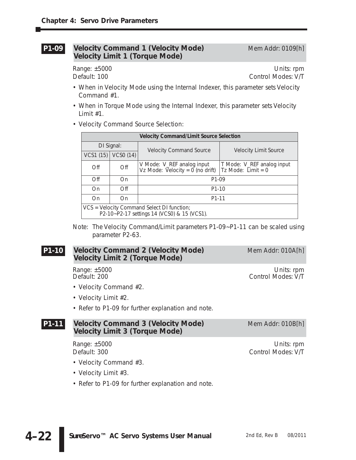#### **Velocity Command 1 (Velocity Mode)** Mem Addr: 0109[h] **Velocity Limit 1 (Torque Mode) P1-09**

Range: ±5000 Units: rpm Default: 100 Control Modes: V/T

- When in Velocity Mode using the Internal Indexer, this parameter sets Velocity Command #1.
- When in Torque Mode using the Internal Indexer, this parameter sets Velocity Limit #1.
- Velocity Command Source Selection:

| <b>Velocity Command/Limit Source Selection</b>                                            |                         |                                                                  |                                                    |  |  |  |  |  |
|-------------------------------------------------------------------------------------------|-------------------------|------------------------------------------------------------------|----------------------------------------------------|--|--|--|--|--|
|                                                                                           | DI Signal:              | <b>Velocity Command Source</b>                                   | <b>Velocity Limit Source</b>                       |  |  |  |  |  |
|                                                                                           | VCS1 $(15)$ VCS0 $(14)$ |                                                                  |                                                    |  |  |  |  |  |
| Off                                                                                       | Off                     | V Mode: V_REF analog input<br>$Vz$ Mode: Velocity = 0 (no drift) | T Mode: V_REF analog input<br>Tz Mode: $Limit = 0$ |  |  |  |  |  |
| Off                                                                                       | On                      | P <sub>1</sub> -09                                               |                                                    |  |  |  |  |  |
| On                                                                                        | $\bigcirc$ ff           | $P1-10$                                                          |                                                    |  |  |  |  |  |
| On                                                                                        | On                      | P1-11                                                            |                                                    |  |  |  |  |  |
| VCS = Velocity Command Select DI function;<br>P2-10~P2-17 settings 14 (VCS0) & 15 (VCS1). |                         |                                                                  |                                                    |  |  |  |  |  |

Note: The Velocity Command/Limit parameters P1-09~P1-11 can be scaled using parameter P2-63.

#### **Velocity Command 2 (Velocity Mode)** Mem Addr: 010A[h] **Velocity Limit 2 (Torque Mode) P1-10**

- Velocity Command #2.
- Velocity Limit #2.
- Refer to P1-09 for further explanation and note.

#### **Velocity Command 3 (Velocity Mode)** Mem Addr: 010B[h] **Velocity Limit 3 (Torque Mode) P1-11**

- Velocity Command #3.
- Velocity Limit #3.
- Refer to P1-09 for further explanation and note.

Range: ±5000 Units: rpm<br>Default: 200 Units: rpm Control Modes: V/T Control Modes: V/T

Range: ±5000 Units: rpm Default: 300 Control Modes: V/T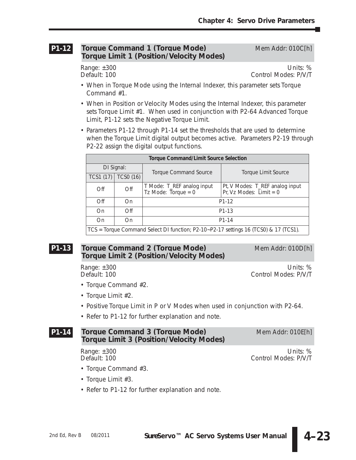#### **Torque Command 1 (Torque Mode)** Mem Addr: 010C[h] **Torque Limit 1 (Position/Velocity Modes) P1-12**

Range: ±300 Units: % Default: 100 Control Modes: P/V/T

- When in Torque Mode using the Internal Indexer, this parameter sets Torque Command #1.
- When in Position or Velocity Modes using the Internal Indexer, this parameter sets Torque Limit #1. When used in conjunction with P2-64 Advanced Torque Limit, P1-12 sets the Negative Torque Limit.
- Parameters P1-12 through P1-14 set the thresholds that are used to determine when the Torque Limit digital output becomes active. Parameters P2-19 through P2-22 assign the digital output functions.

| <b>Torque Command/Limit Source Selection</b>                                         |     |                                                     |                                                              |  |  |  |  |  |
|--------------------------------------------------------------------------------------|-----|-----------------------------------------------------|--------------------------------------------------------------|--|--|--|--|--|
| DI Signal:<br><b>TCSO (16)</b><br>TCS1 (17)                                          |     | <b>Torque Command Source</b>                        | <b>Torque Limit Source</b>                                   |  |  |  |  |  |
|                                                                                      |     |                                                     |                                                              |  |  |  |  |  |
| Off                                                                                  | Off | T Mode: T_REF analog input<br>Tz Mode: Torque = $0$ | Pt, V Modes: T_REF analog input<br>Pr, Vz Modes: Limit = $0$ |  |  |  |  |  |
| Off                                                                                  | On  |                                                     | P1-12                                                        |  |  |  |  |  |
| On                                                                                   | Off |                                                     | P <sub>1</sub> -13                                           |  |  |  |  |  |
| P1-14<br>On<br>On                                                                    |     |                                                     |                                                              |  |  |  |  |  |
| TCS = Torque Command Select DI function; P2-10~P2-17 settings 16 (TCS0) & 17 (TCS1). |     |                                                     |                                                              |  |  |  |  |  |

### **Torque Command 2 (Torque Mode)** Mem Addr: 010D[h] **Torque Limit 2 (Position/Velocity Modes) P1-13**

Range: ±300 Units: %<br>Default: 100 Units: % Control Modes: P/V/T Control Modes: P/V/T

- Torque Command #2.
- Torque Limit #2.
- Positive Torque Limit in P or V Modes when used in conjunction with P2-64.
- Refer to P1-12 for further explanation and note.

## **Torque Command 3 (Torque Mode)** Mem Addr: 010E[h] **Torque Limit 3 (Position/Velocity Modes)**

## Range: ±300 Units: % Control Modes: P/V/T

- Torque Command #3.
- Torque Limit #3.
- Refer to P1-12 for further explanation and note.

**P1-14**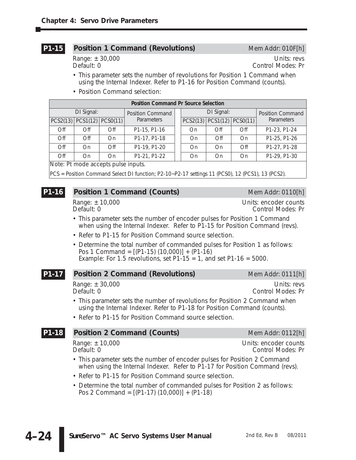#### **Position 1 Command (Revolutions)** Mem Addr: 010F[h] **P1-15**

Range: ± 30,000 Units: revs<br>Default: 0 Control Modes: Pr Control Modes: Pr

- This parameter sets the number of revolutions for Position 1 Command when using the Internal Indexer. Refer to P1-16 for Position Command (counts).
- Position Command selection:

| <b>Position Command Pr Source Selection</b> |               |                                  |                         |  |    |                                  |               |                         |  |  |
|---------------------------------------------|---------------|----------------------------------|-------------------------|--|----|----------------------------------|---------------|-------------------------|--|--|
| DI Signal:                                  |               |                                  | <b>Position Command</b> |  |    | DI Signal:                       |               | <b>Position Command</b> |  |  |
|                                             |               | $PCS2(13)$ $PCS1(12)$ $PCS0(11)$ | <b>Parameters</b>       |  |    | $PCS2(13)$ $PCS1(12)$ $PCS0(11)$ |               | <b>Parameters</b>       |  |  |
| Off                                         | $\bigcirc$ ff | Off                              | P1-15, P1-16            |  | On | $\bigcirc$ ff                    | Off           | P1-23, P1-24            |  |  |
| Off                                         | $\bigcirc$ ff | On                               | P1-17, P1-18            |  | On | $\bigcirc$ ff                    | On            | P1-25, P1-26            |  |  |
| Off                                         | On            | $\bigcirc$ ff                    | P1-19, P1-20            |  | On | On                               | $\bigcirc$ ff | P1-27, P1-28            |  |  |
| Off                                         | On            | On                               | P1-21, P1-22            |  | On | On                               | On            | P1-29, P1-30            |  |  |
| $\cdots$<br>.                               |               |                                  |                         |  |    |                                  |               |                         |  |  |

*Note: Pt mode accepts pulse inputs.*

PCS = Position Command Select DI function; P2-10~P2-17 settings 11 (PCS0), 12 (PCS1), 13 (PCS2).

#### **Position 1 Command (Counts)** Mem Addr: 0110[h] **P1-16**

Range: ± 10,000 Units: encoder counts Control Modes: Pr

- This parameter sets the number of encoder pulses for Position 1 Command when using the Internal Indexer. Refer to P1-15 for Position Command (revs).
- Refer to P1-15 for Position Command source selection.
- Determine the total number of commanded pulses for Position 1 as follows: Pos 1 Command =  $[(P1-15)(10,000)] + (P1-16)$ Example: For 1.5 revolutions, set  $P1-15 = 1$ , and set  $P1-16 = 5000$ .

#### **Position 2 Command (Revolutions)** Mem Addr: 0111[h] **P1-17**

Range: ± 30,000 Units: revs<br>Default: 0 Units: revs<br>Control Modes: Pr

Control Modes: Pr

- This parameter sets the number of revolutions for Position 2 Command when using the Internal Indexer. Refer to P1-18 for Position Command (counts).
- Refer to P1-15 for Position Command source selection.

#### **Position 2 Command (Counts)** Mem Addr: 0112[h] **P1-18**

Range: ± 10,000 Units: encoder counts<br>Default: 0 Control Modes: Pr

Control Modes: Pr

- 
- This parameter sets the number of encoder pulses for Position 2 Command when using the Internal Indexer. Refer to P1-17 for Position Command (revs).
- Refer to P1-15 for Position Command source selection.
- Determine the total number of commanded pulses for Position 2 as follows: Pos 2 Command =  $[(P1-17)(10,000)] + (P1-18)$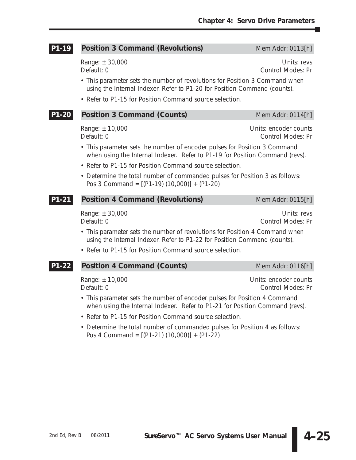| P1-19 | <b>Position 3 Command (Revolutions)</b>                                                                                                                   | Mem Addr: 0113[h]                                 |  |  |  |  |  |  |
|-------|-----------------------------------------------------------------------------------------------------------------------------------------------------------|---------------------------------------------------|--|--|--|--|--|--|
|       | Range: $\pm 30,000$<br>Default: 0                                                                                                                         | Units: revs<br><b>Control Modes: Pr</b>           |  |  |  |  |  |  |
|       | • This parameter sets the number of revolutions for Position 3 Command when<br>using the Internal Indexer. Refer to P1-20 for Position Command (counts).  |                                                   |  |  |  |  |  |  |
|       | • Refer to P1-15 for Position Command source selection.                                                                                                   |                                                   |  |  |  |  |  |  |
| P1-20 | <b>Position 3 Command (Counts)</b>                                                                                                                        | Mem Addr: 0114[h]                                 |  |  |  |  |  |  |
|       | Range: ± 10,000<br>Default: 0                                                                                                                             | Units: encoder counts<br><b>Control Modes: Pr</b> |  |  |  |  |  |  |
|       | • This parameter sets the number of encoder pulses for Position 3 Command<br>when using the Internal Indexer. Refer to P1-19 for Position Command (revs). |                                                   |  |  |  |  |  |  |
|       | • Refer to P1-15 for Position Command source selection.                                                                                                   |                                                   |  |  |  |  |  |  |
|       | • Determine the total number of commanded pulses for Position 3 as follows:<br>Pos 3 Command = $[(P1-19)(10,000)] + (P1-20)$                              |                                                   |  |  |  |  |  |  |
| P1-21 | <b>Position 4 Command (Revolutions)</b>                                                                                                                   | Mem Addr: 0115[h]                                 |  |  |  |  |  |  |
|       | Range: ± 30,000<br>Default: 0                                                                                                                             | Units: revs<br><b>Control Modes: Pr</b>           |  |  |  |  |  |  |
|       | • This parameter sets the number of revolutions for Position 4 Command when<br>using the Internal Indexer. Refer to P1-22 for Position Command (counts).  |                                                   |  |  |  |  |  |  |
|       | • Refer to P1-15 for Position Command source selection.                                                                                                   |                                                   |  |  |  |  |  |  |
| P1-22 | <b>Position 4 Command (Counts)</b>                                                                                                                        | Mem Addr: 0116[h]                                 |  |  |  |  |  |  |
|       | Range: ± 10,000<br>Default: 0                                                                                                                             | Units: encoder counts<br>Control Modes: Pr        |  |  |  |  |  |  |

- This parameter sets the number of encoder pulses for Position 4 Command when using the Internal Indexer. Refer to P1-21 for Position Command (revs).
- Refer to P1-15 for Position Command source selection.
- Determine the total number of commanded pulses for Position 4 as follows: Pos 4 Command = [(P1-21) (10,000)] + (P1-22)

 $\overline{\phantom{a}}$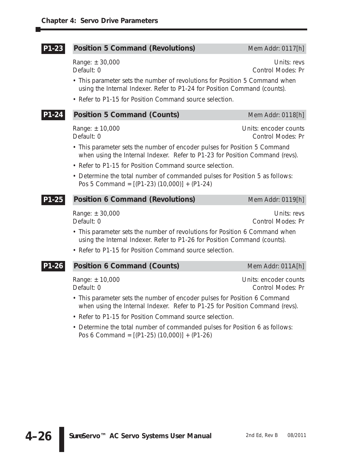#### **Position 5 Command (Revolutions)** Mem Addr: 0117[h] **P1-23**

Range:  $\pm 30,000$  Units: revs Default: 0 Control Modes: Pr

- This parameter sets the number of revolutions for Position 5 Command when using the Internal Indexer. Refer to P1-24 for Position Command (counts).
- Refer to P1-15 for Position Command source selection.

#### **Position 5 Command (Counts)** Mem Addr: 0118[h] **P1-24**

Range: ± 10,000 Change Counts: encoder counts Default: 0 Control Modes: Pr

- This parameter sets the number of encoder pulses for Position 5 Command when using the Internal Indexer. Refer to P1-23 for Position Command (revs).
- Refer to P1-15 for Position Command source selection.
- Determine the total number of commanded pulses for Position 5 as follows: Pos 5 Command = [(P1-23) (10,000)] + (P1-24)

#### **Position 6 Command (Revolutions)** Mem Addr: 0119[h] **P1-25**

Default: 0 Control Modes: Pr

- This parameter sets the number of revolutions for Position 6 Command when using the Internal Indexer. Refer to P1-26 for Position Command (counts).
- Refer to P1-15 for Position Command source selection.

#### **Position 6 Command (Counts)** Mem Addr: 011A[h] **P1-26**

Range: ± 10,000 Units: encoder counts Default: 0 Control Modes: Pr

- This parameter sets the number of encoder pulses for Position 6 Command when using the Internal Indexer. Refer to P1-25 for Position Command (revs).
- Refer to P1-15 for Position Command source selection.
- Determine the total number of commanded pulses for Position 6 as follows: Pos 6 Command = [(P1-25) (10,000)] + (P1-26)

Range: ± 30,000 Units: revs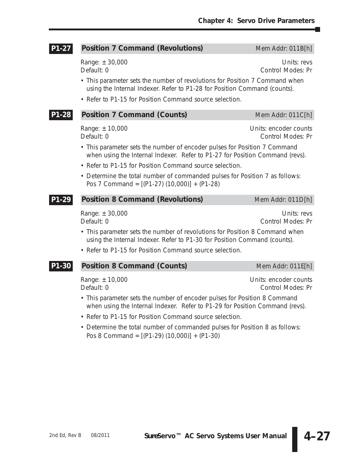| $P1 - 27$ | <b>Position 7 Command (Revolutions)</b>                                                                                                                   | Mem Addr: 011B[h]                                 |  |  |  |  |  |  |
|-----------|-----------------------------------------------------------------------------------------------------------------------------------------------------------|---------------------------------------------------|--|--|--|--|--|--|
|           | Range: ± 30,000<br>Default: 0                                                                                                                             | Units: revs<br>Control Modes: Pr                  |  |  |  |  |  |  |
|           | • This parameter sets the number of revolutions for Position 7 Command when<br>using the Internal Indexer. Refer to P1-28 for Position Command (counts).  |                                                   |  |  |  |  |  |  |
|           | • Refer to P1-15 for Position Command source selection.                                                                                                   |                                                   |  |  |  |  |  |  |
| P1-28     | <b>Position 7 Command (Counts)</b>                                                                                                                        | Mem Addr: 011C[h]                                 |  |  |  |  |  |  |
|           | Range: ± 10,000<br>Default: 0                                                                                                                             | Units: encoder counts<br><b>Control Modes: Pr</b> |  |  |  |  |  |  |
|           | • This parameter sets the number of encoder pulses for Position 7 Command<br>when using the Internal Indexer. Refer to P1-27 for Position Command (revs). |                                                   |  |  |  |  |  |  |
|           | • Refer to P1-15 for Position Command source selection.                                                                                                   |                                                   |  |  |  |  |  |  |
|           | • Determine the total number of commanded pulses for Position 7 as follows:<br>Pos 7 Command = $[(P1-27)(10,000)] + (P1-28)$                              |                                                   |  |  |  |  |  |  |
| P1-29     | <b>Position 8 Command (Revolutions)</b>                                                                                                                   | Mem Addr: 011D[h]                                 |  |  |  |  |  |  |
|           | Range: $\pm 30,000$<br>Default: 0                                                                                                                         | Units: revs<br><b>Control Modes: Pr</b>           |  |  |  |  |  |  |
|           | • This parameter sets the number of revolutions for Position 8 Command when<br>using the Internal Indexer. Refer to P1-30 for Position Command (counts).  |                                                   |  |  |  |  |  |  |
|           | • Refer to P1-15 for Position Command source selection.                                                                                                   |                                                   |  |  |  |  |  |  |
| P1-30     | <b>Position 8 Command (Counts)</b>                                                                                                                        | Mem Addr: 011E[h]                                 |  |  |  |  |  |  |
|           |                                                                                                                                                           |                                                   |  |  |  |  |  |  |

Range: ± 10,000 Units: encoder counts Default: 0 Control Modes: Pr

- This parameter sets the number of encoder pulses for Position 8 Command when using the Internal Indexer. Refer to P1-29 for Position Command (revs).
- Refer to P1-15 for Position Command source selection.
- Determine the total number of commanded pulses for Position 8 as follows: Pos 8 Command = [(P1-29) (10,000)] + (P1-30)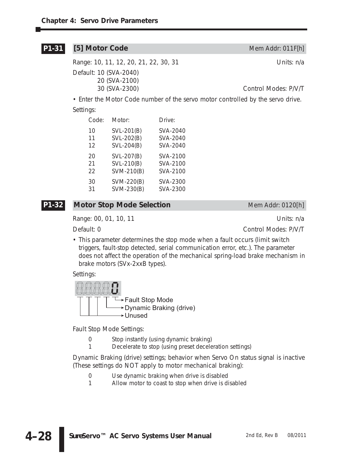## **[5] Motor Code** Mem Addr: 011F[h] Range: 10, 11, 12, 20, 21, 22, 30, 31 Units: n/a Default: 10 (SVA-2040) 20 (SVA-2100) 30 (SVA-2300) Control Modes: P/V/T **P1-31**

• Enter the Motor Code number of the servo motor controlled by the servo drive. Settings:

| Code: | Motor:     | Drive:   |
|-------|------------|----------|
| 10    | SVL-201(B) | SVA-2040 |
| 11    | SVL-202(B) | SVA-2040 |
| 12    | SVL-204(B) | SVA-2040 |
| 20    | SVL-207(B) | SVA-2100 |
| 21    | SVL-210(B) | SVA-2100 |
| 22    | SVM-210(B) | SVA-2100 |
| 30    | SVM-220(B) | SVA-2300 |
| 31    | SVM-230(B) | SVA-2300 |

## **P1-32**

## **Motor Stop Mode Selection** Mem Addr: 0120[h]

Range: 00, 01, 10, 11 **Decision 12** Decision 12 Decision 12 Decision 12 Decision 12 Decision 12 Decision 12 Decision 12

Default: 0 Control Modes: P/V/T

• This parameter determines the stop mode when a fault occurs (limit switch triggers, fault-stop detected, serial communication error, etc.). The parameter does not affect the operation of the mechanical spring-load brake mechanism in brake motors (SVx-2xxB types).

## Settings:



Fault Stop Mode Settings:

- 0 Stop instantly (using dynamic braking)
- 1 Decelerate to stop (using preset deceleration settings)

Dynamic Braking (drive) settings; behavior when Servo On status signal is inactive (These settings do NOT apply to motor mechanical braking):

- 0 Use dynamic braking when drive is disabled<br>1 Allow motor to coast to stop when drive is di
- Allow motor to coast to stop when drive is disabled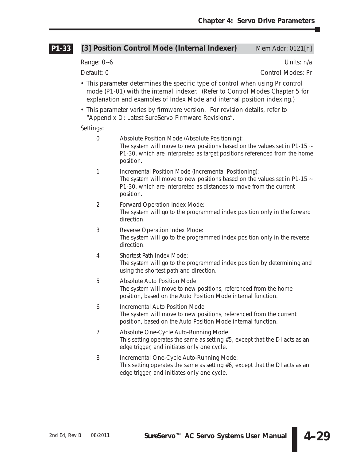÷

|                | [3] Position Control Mode (Internal Indexer)                                                                                                                                                                                               | Mem Addr: 0121[h] |
|----------------|--------------------------------------------------------------------------------------------------------------------------------------------------------------------------------------------------------------------------------------------|-------------------|
| Range: 0~6     |                                                                                                                                                                                                                                            | Units: n/a        |
| Default: 0     |                                                                                                                                                                                                                                            | Control Modes: Pr |
|                | • This parameter determines the specific type of control when using Pr control<br>mode (P1-01) with the internal indexer. (Refer to Control Modes Chapter 5 for<br>explanation and examples of Index Mode and internal position indexing.) |                   |
|                | • This parameter varies by firmware version. For revision details, refer to<br>"Appendix D: Latest SureServo Firmware Revisions".                                                                                                          |                   |
| Settings:      |                                                                                                                                                                                                                                            |                   |
| $\theta$       | Absolute Position Mode (Absolute Positioning):<br>The system will move to new positions based on the values set in P1-15 $\sim$<br>P1-30, which are interpreted as target positions referenced from the home<br>position.                  |                   |
| 1              | Incremental Position Mode (Incremental Positioning):<br>The system will move to new positions based on the values set in P1-15 $\sim$<br>P1-30, which are interpreted as distances to move from the current<br>position.                   |                   |
| $\overline{2}$ | Forward Operation Index Mode:<br>The system will go to the programmed index position only in the forward<br>direction.                                                                                                                     |                   |
| 3              | Reverse Operation Index Mode:<br>The system will go to the programmed index position only in the reverse<br>direction.                                                                                                                     |                   |
| 4              | Shortest Path Index Mode:<br>The system will go to the programmed index position by determining and<br>using the shortest path and direction.                                                                                              |                   |
| 5              | Absolute Auto Position Mode:<br>The system will move to new positions, referenced from the home<br>position, based on the Auto Position Mode internal function.                                                                            |                   |
| 6              | <b>Incremental Auto Position Mode</b><br>The system will move to new positions, referenced from the current<br>position, based on the Auto Position Mode internal function.                                                                |                   |
| 7              | Absolute One-Cycle Auto-Running Mode:<br>This setting operates the same as setting $#5$ , except that the DI acts as an<br>edge trigger, and initiates only one cycle.                                                                     |                   |
| 8              | Incremental One-Cycle Auto-Running Mode:<br>This setting operates the same as setting $#6$ , except that the DI acts as an<br>edge trigger, and initiates only one cycle.                                                                  |                   |
|                |                                                                                                                                                                                                                                            |                   |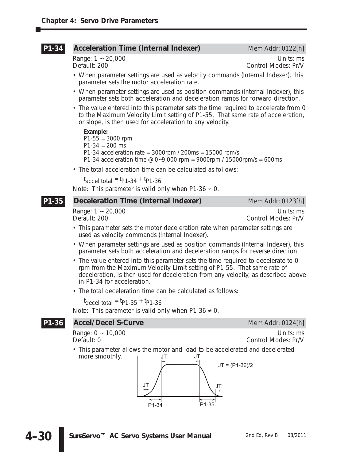#### **Acceleration Time (Internal Indexer)** Mem Addr: 0122[h] **P1-34**

Range: 1 ~ 20,000 Units: ms Control Modes: Pr/V

- When parameter settings are used as velocity commands (Internal Indexer), this parameter sets the motor acceleration rate.
- When parameter settings are used as position commands (Internal Indexer), this parameter sets both acceleration and deceleration ramps for forward direction.
- The value entered into this parameter sets the time required to accelerate from 0 to the Maximum Velocity Limit setting of P1-55. That same rate of acceleration, or slope, is then used for acceleration to any velocity.

## *Example:*

 $P1-55 = 3000$  rpm  $P1-34 = 200$  ms P1-34 acceleration rate =  $3000$ rpm /  $200$ ms = 15000 rpm/s P1-34 acceleration time  $\omega$  0~9,000 rpm = 9000rpm / 15000rpm/s = 600ms

• The total acceleration time can be calculated as follows:

 $t_{\text{accel total}}$  =  $t_{\text{P1-34}}$  +  $t_{\text{P1-36}}$ Note: This parameter is valid only when P1-36  $\neq$  0.

#### **Deceleration Time (Internal Indexer)** Mem Addr: 0123[h] **P1-35**

Range: 1 ~ 20,000 Units: ms<br>Default: 200 Units: ms Control Modes: Pr/V Control Modes: Pr/V

- This parameter sets the motor deceleration rate when parameter settings are used as velocity commands (Internal Indexer).
- When parameter settings are used as position commands (Internal Indexer), this parameter sets both acceleration and deceleration ramps for reverse direction.
- The value entered into this parameter sets the time required to decelerate to 0 rpm from the Maximum Velocity Limit setting of P1-55. That same rate of deceleration, is then used for deceleration from any velocity, as described above in P1-34 for acceleration.
- The total deceleration time can be calculated as follows:

 $t_{\text{decel total}}$  =  $t_{\text{P1-35}}$  +  $t_{\text{P1-36}}$ 

Note: This parameter is valid only when P1-36  $\neq$  0.

#### **Accel/Decel S-Curve** Mem Addr: 0124[h] **P1-36**

Range: 0 ~ 10,000 Units: ms

Default: 0 Control Modes: Pr/V

• This parameter allows the motor and load to be accelerated and decelerated more smoothly.  $\overline{J}$   $\overline{J}$   $\overline{J}$   $\overline{J}$ 

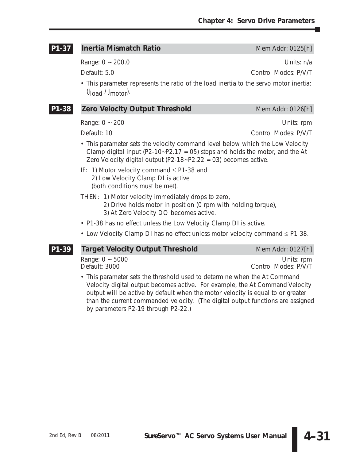#### **Inertia Mismatch Ratio** Mem Addr: 0125[h] **P1-37**

Range: 0 ~ 200.0 Units: n/a

Default: 5.0 Control Modes: P/V/T

• This parameter represents the ratio of the load inertia to the servo motor inertia:  $\theta$ load  $\theta$  Jmotor).

#### **Zero Velocity Output Threshold** Mem Addr: 0126[h] **P1-38**

Range: 0 ~ 200 Units: rpm

Default: 10 Control Modes: P/V/T

- This parameter sets the velocity command level below which the Low Velocity Clamp digital input (P2-10~P2.17 = 05) stops and holds the motor, and the At Zero Velocity digital output (P2-18~P2.22 = 03) becomes active.
- IF: 1) Motor velocity command  $\leq$  P1-38 and 2) Low Velocity Clamp DI is active (both conditions must be met).
- THEN: 1) Motor velocity immediately drops to zero,
	- 2) Drive holds motor in position (0 rpm with holding torque),
	- 3) At Zero Velocity DO becomes active.
- P1-38 has no effect unless the Low Velocity Clamp DI is active.
- Low Velocity Clamp DI has no effect unless motor velocity command ≤ P1-38.

#### **Target Velocity Output Threshold** Mem Addr: 0127[h] **P1-39**

Range: 0 ~ 5000 Contract Contract Contract Contract Contract Contract Contract Contract Contract Contract Contract Contract Contract Contract Contract Contract Contract Contract Contract Contract Contract Contract Contract Default: 3000 Control Modes: P/V/T

• This parameter sets the threshold used to determine when the At Command Velocity digital output becomes active. For example, the At Command Velocity output will be active by default when the motor velocity is equal to or greater than the current commanded velocity. (The digital output functions are assigned by parameters P2-19 through P2-22.)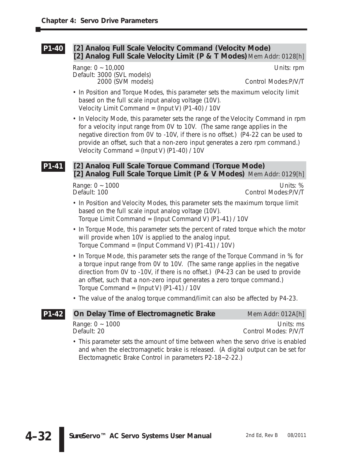#### **[2] Analog Full Scale Velocity Command (Velocity Mode) [2] Analog Full Scale Velocity Limit (P & T Modes)**Mem Addr: 0128[h] **P1-40**

Range: 0 ~ 10,000 Units: rpm Default: 3000 (SVL models)

2000 (SVM models) Control Modes:P/V/T

- In Position and Torque Modes, this parameter sets the maximum velocity limit based on the full scale input analog voltage (10V). Velocity Limit Command =  $(Input V)$  (P1-40) / 10V
- In Velocity Mode, this parameter sets the range of the Velocity Command in rpm for a velocity input range from 0V to 10V. (The same range applies in the negative direction from 0V to -10V, if there is no offset.) (P4-22 can be used to provide an offset, such that a non-zero input generates a zero rpm command.) Velocity Command = (Input V) (P1-40) / 10V

#### **[2] Analog Full Scale Torque Command (Torque Mode) [2] Analog Full Scale Torque Limit (P & V Modes)** Mem Addr: 0129[h] **P1-41**

Range: 0 ~ 1000 Units: %<br>Default: 100 Units: % Control Modes: P/V/T Control Modes: P/V/T

- In Position and Velocity Modes, this parameter sets the maximum torque limit based on the full scale input analog voltage (10V). Torque Limit Command = (Input Command V) (P1-41) / 10V
- In Torque Mode, this parameter sets the percent of rated torque which the motor will provide when 10V is applied to the analog input. Torque Command = (Input Command V) (P1-41) / 10V)
- In Torque Mode, this parameter sets the range of the Torque Command in % for a torque input range from 0V to 10V. (The same range applies in the negative direction from 0V to -10V, if there is no offset.) (P4-23 can be used to provide an offset, such that a non-zero input generates a zero torque command.) Torque Command =  $($ Input V $)$  (P1-41) / 10V
- The value of the analog torque command/limit can also be affected by P4-23.

| P1-42 | On Delay Time of Electromagnetic Brake                                           | Mem Addr: 012A[h]                 |
|-------|----------------------------------------------------------------------------------|-----------------------------------|
|       | Range: $0 \sim 1000$<br>Default: 20                                              | Units: ms<br>Control Modes: P/V/T |
|       | . This parameter sets the amount of time between when the serve drive is enabled |                                   |

• This parameter sets the amount of time between when the servo drive is enabled and when the electromagnetic brake is released. (A digital output can be set for Electomagnetic Brake Control in parameters P2-18~2-22.)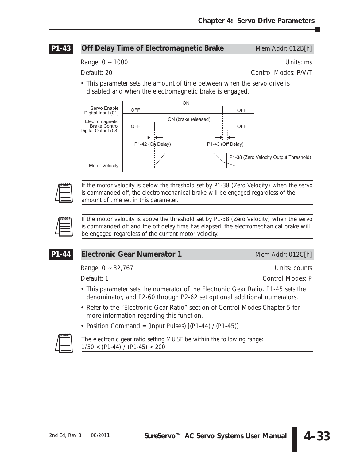#### **Off Delay Time of Electromagnetic Brake** Mem Addr: 012B[h] **P1-43**

Range: 0 ~ 1000 Units: ms

Default: 20 Control Modes: P/V/T

• This parameter sets the amount of time between when the servo drive is disabled and when the electromagnetic brake is engaged.





*If the motor velocity is below the threshold set by P1-38 (Zero Velocity) when the servo is commanded off, the electromechanical brake will be engaged regardless of the amount of time set in this parameter.*



*If the motor velocity is above the threshold set by P1-38 (Zero Velocity) when the servo is commanded off and the off delay time has elapsed, the electromechanical brake will be engaged regardless of the current motor velocity.*

## **P1-44**

## **Electronic Gear Numerator 1** Mem Addr: 012C[h]

Range: 0 ~ 32,767 Units: counts

Default: 1 Control Modes: P

- This parameter sets the numerator of the Electronic Gear Ratio. P1-45 sets the denominator, and P2-60 through P2-62 set optional additional numerators.
- Refer to the "Electronic Gear Ratio" section of Control Modes Chapter 5 for more information regarding this function.
- Position Command = (Input Pulses)  $[(P1-44) / (P1-45)]$



*The electronic gear ratio setting MUST be within the following range: 1/50 < (P1-44) / (P1-45) < 200.*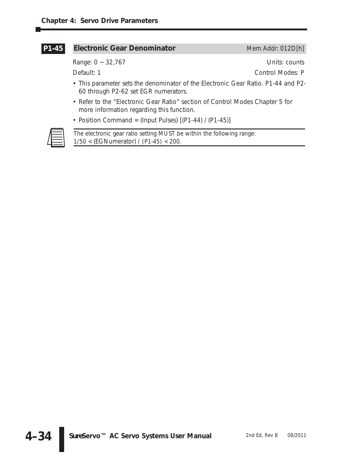#### **Electronic Gear Denominator** Mem Addr: 012D[h] **P1-45**

Range: 0 ~ 32,767 Units: counts

Default: 1 Control Modes: P

- This parameter sets the denominator of the Electronic Gear Ratio. P1-44 and P2- 60 through P2-62 set EGR numerators.
- Refer to the "Electronic Gear Ratio" section of Control Modes Chapter 5 for more information regarding this function.
- Position Command = (Input Pulses)  $[(P1-44) / (P1-45)]$



*The electronic gear ratio setting MUST be within the following range: 1/50 <* (EGNumerator) */ (P1-45) < 200.*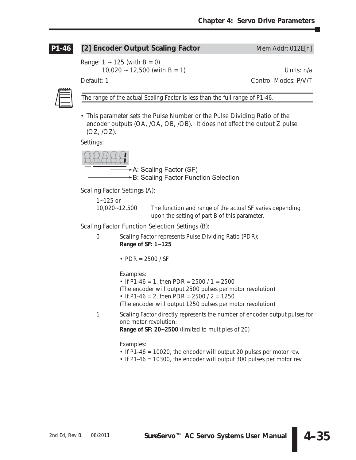#### **[2] Encoder Output Scaling Factor** Mem Addr: 012E[h] **P1-46**

Range:  $1 - 125$  (with  $B = 0$ )

 $10,020 \sim 12,500$  (with B = 1) Units: n/a

Default: 1 Control Modes: P/V/T



*The range of the actual Scaling Factor is less than the full range of P1-46.*

• This parameter sets the Pulse Number or the Pulse Dividing Ratio of the encoder outputs (OA, /OA, OB, /OB). It does not affect the output Z pulse (OZ, /OZ).

Settings:



Scaling Factor Settings (A):

1~125 or

10,020~12,500 The function and range of the actual SF varies depending upon the setting of part B of this parameter.

Scaling Factor Function Selection Settings (B):

0 Scaling Factor represents Pulse Dividing Ratio (PDR); **Range of SF: 1~125**

• PDR = 2500 / SF

Examples:

- If P1-46 = 1, then PDR =  $2500/1 = 2500$
- (The encoder will output 2500 pulses per motor revolution)

• If P1-46 = 2, then PDR =  $2500 / 2 = 1250$ 

(The encoder will output 1250 pulses per motor revolution)

1 Scaling Factor directly represents the number of encoder output pulses for one motor revolution;

**Range of SF: 20~2500** (limited to multiples of 20)

Examples:

- If P1-46 = 10020, the encoder will output 20 pulses per motor rev.
- If P1-46 = 10300, the encoder will output 300 pulses per motor rev.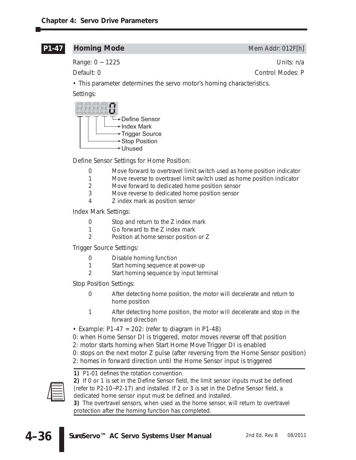## **P1-47**

Range: 0 ~ 1225 Units: n/a

**Homing Mode** Mem Addr: 012F[h]

Default: 0 Control Modes: P

• This parameter determines the servo motor's homing characteristics.

Settings:



Define Sensor Settings for Home Position:

- 0 Move forward to overtravel limit switch used as home position indicator
- 1 Move reverse to overtravel limit switch used as home position indicator
- 2 Move forward to dedicated home position sensor
- 3 Move reverse to dedicated home position sensor
- 4 Z index mark as position sensor

Index Mark Settings:

- 0 Stop and return to the Z index mark
- 1 Go forward to the Z index mark
- 2 Position at home sensor position or Z

Trigger Source Settings:

- 0 Disable homing function
- 1 Start homing sequence at power-up
- 2 Start homing sequence by input terminal

Stop Position Settings:

- 0 After detecting home position, the motor will decelerate and return to home position
- 1 After detecting home position, the motor will decelerate and stop in the forward direction
- Example:  $P1-47 = 202$ : (refer to diagram in P1-48)
- 0: when Home Sensor DI is triggered, motor moves reverse off that position
- 2: motor starts homing when Start Home Move Trigger DI is enabled
- 0: stops on the next motor Z pulse (after reversing from the Home Sensor position)
- 2: homes in forward direction until the Home Sensor input is triggered



*1) P1-01 defines the rotation convention.*

*2) If 0 or 1 is set in the Define Sensor field, the limit sensor inputs must be defined (refer to P2-10~P2-17) and installed. If 2 or 3 is set in the Define Sensor field, a dedicated home sensor input must be defined and installed.* 

*3) The overtravel sensors, when used as the home sensor, will return to overtravel protection after the homing function has completed.*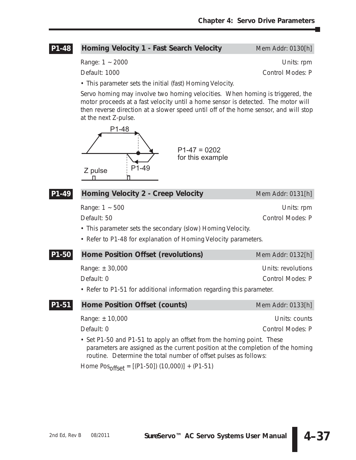#### **Homing Velocity 1 - Fast Search Velocity** Mem Addr: 0130[h] **P1-48**

Range: 1 ~ 2000 **Details** and the contract of the contract of the Units: rpm

Default: 1000 Control Modes: P

• This parameter sets the initial (fast) Homing Velocity.

Servo homing may involve two homing velocities. When homing is triggered, the motor proceeds at a fast velocity until a home sensor is detected. The motor will then reverse direction at a slower speed until off of the home sensor, and will stop at the next Z-pulse.



### **Homing Velocity 2 - Creep Velocity** Mem Addr: 0131[h] **P1-49**

Range: 1 ~ 500 Units: rpm

Default: 50 Control Modes: P

• This parameter sets the secondary (slow) Homing Velocity.

• Refer to P1-48 for explanation of Homing Velocity parameters.

| P1-50 | Home Position Offset (revolutions)                                    | Mem Addr: 0132[h]  |
|-------|-----------------------------------------------------------------------|--------------------|
|       | Range: $\pm 30,000$                                                   | Units: revolutions |
|       | Default: 0                                                            | Control Modes: P   |
|       | • Refer to P1-51 for additional information regarding this parameter. |                    |

| <b>P1-51</b> Home Position Offset (counts) | Mem Addr: 0133[h] |
|--------------------------------------------|-------------------|
| Range: ± 10,000                            | Units: counts     |

Default: 0 Control Modes: P

• Set P1-50 and P1-51 to apply an offset from the homing point. These parameters are assigned as the current position at the completion of the homing routine. Determine the total number of offset pulses as follows:

Home  $Pos_{offset} = [(P1-50]) (10,000)] + (P1-51)$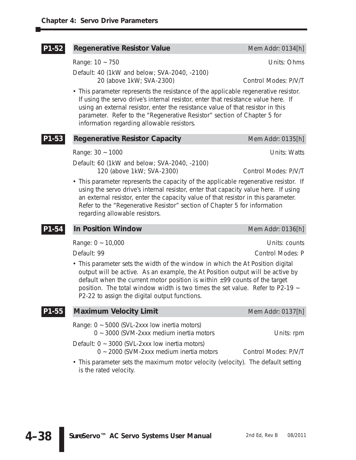| P1-52 | <b>Regenerative Resistor Value</b>                                                                                                                                                                                                                                                                                                                                                         | Mem Addr: 0134[h]                  |
|-------|--------------------------------------------------------------------------------------------------------------------------------------------------------------------------------------------------------------------------------------------------------------------------------------------------------------------------------------------------------------------------------------------|------------------------------------|
|       | Range: 10 ~ 750                                                                                                                                                                                                                                                                                                                                                                            | Units: Ohms                        |
|       | Default: 40 (1kW and below; SVA-2040, -2100)<br>20 (above 1kW; SVA-2300)                                                                                                                                                                                                                                                                                                                   | Control Modes: P/V/T               |
|       | • This parameter represents the resistance of the applicable regenerative resistor.<br>If using the servo drive's internal resistor, enter that resistance value here. If<br>using an external resistor, enter the resistance value of that resistor in this<br>parameter. Refer to the "Regenerative Resistor" section of Chapter 5 for<br>information regarding allowable resistors.     |                                    |
| P1-53 | <b>Regenerative Resistor Capacity</b>                                                                                                                                                                                                                                                                                                                                                      | Mem Addr: 0135[h]                  |
|       | Range: 30 ~ 1000                                                                                                                                                                                                                                                                                                                                                                           | Units: Watts                       |
|       | Default: 60 (1kW and below; SVA-2040, -2100)<br>120 (above 1kW; SVA-2300)                                                                                                                                                                                                                                                                                                                  | Control Modes: P/V/T               |
|       | • This parameter represents the capacity of the applicable regenerative resistor. If<br>using the servo drive's internal resistor, enter that capacity value here. If using<br>an external resistor, enter the capacity value of that resistor in this parameter.<br>Refer to the "Regenerative Resistor" section of Chapter 5 for information<br>regarding allowable resistors.           |                                    |
| P1-54 | <b>In Position Window</b>                                                                                                                                                                                                                                                                                                                                                                  | Mem Addr: 0136[h]                  |
|       | Range: $0 \sim 10,000$                                                                                                                                                                                                                                                                                                                                                                     | Units: counts                      |
|       | Default: 99                                                                                                                                                                                                                                                                                                                                                                                | Control Modes: P                   |
|       | • This parameter sets the width of the window in which the At Position digital<br>output will be active. As an example, the At Position output will be active by<br>default when the current motor position is within $\pm$ 99 counts of the target<br>position. The total window width is two times the set value. Refer to P2-19 $\sim$<br>P2-22 to assign the digital output functions. |                                    |
| P1-55 | <b>Maximum Velocity Limit</b>                                                                                                                                                                                                                                                                                                                                                              | Mem Addr: 0137[h]                  |
|       | Range: 0 ~ 5000 (SVL-2xxx low inertia motors)<br>0 ~ 3000 (SVM-2xxx medium inertia motors<br>Default: 0 ~ 3000 (SVL-2xxx low inertia motors)<br>0 ~ 2000 (SVM-2xxx medium inertia motors<br>• This parameter sets the maximum motor velocity (velocity). The default setting<br>is the rated velocity.                                                                                     | Units: rpm<br>Control Modes: P/V/T |
|       |                                                                                                                                                                                                                                                                                                                                                                                            |                                    |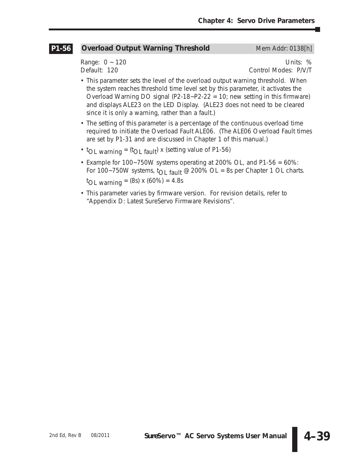#### **Overload Output Warning Threshold Mem Addr: 0138[h] P1-56**

Range: 0 ~ 120 Units: % Default: 120 Control Modes: P/V/T

- This parameter sets the level of the overload output warning threshold. When the system reaches threshold time level set by this parameter, it activates the Overload Warning DO signal  $(P2-18-P2-22 = 10)$ ; new setting in this firmware) and displays ALE23 on the LED Display. (ALE23 does not need to be cleared since it is only a warning, rather than a fault.)
- The setting of this parameter is a percentage of the continuous overload time required to initiate the Overload Fault ALE06. (The ALE06 Overload Fault times are set by P1-31 and are discussed in Chapter 1 of this manual.)
- $t_{OL}$  warning = ( $t_{OL}$  fault) x (setting value of P1-56)
- Example for 100~750W systems operating at 200% OL, and P1-56 = 60%: For 100~750W systems,  $t_{\text{O}}$  fault @ 200% OL = 8s per Chapter 1 OL charts. t OL warning = (8s) x (60%) = 4.8s
- This parameter varies by firmware version. For revision details, refer to "Appendix D: Latest *Sure*Servo Firmware Revisions".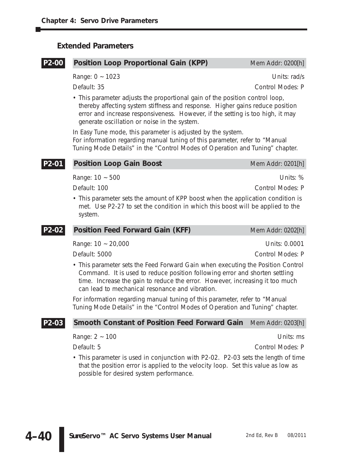### **Extended Parameters**

#### **Position Loop Proportional Gain (KPP)** Mem Addr: 0200[h] **P2-00**

Range: 0 ~ 1023 Units: rad/s

Default: 35 Control Modes: P

• This parameter adjusts the proportional gain of the position control loop, thereby affecting system stiffness and response. Higher gains reduce position error and increase responsiveness. However, if the setting is too high, it may generate oscillation or noise in the system.

In Easy Tune mode, this parameter is adjusted by the system. For information regarding manual tuning of this parameter, refer to "Manual Tuning Mode Details" in the "Control Modes of Operation and Tuning" chapter.

#### **Position Loop Gain Boost** Mem Addr: 0201[h] **P2-01**

Range: 10 ~ 500 Units: %

Default: 100 Control Modes: P

• This parameter sets the amount of KPP boost when the application condition is met. Use P2-27 to set the condition in which this boost will be applied to the system.

| $P2-02$<br><b>Position Feed Forward Gain (KFF)</b> | Mem Addr: 0202[h] |
|----------------------------------------------------|-------------------|
| Range: $10 - 20,000$                               | Units: 0.0001     |
| Default: 5000                                      | Control Modes: P  |
|                                                    |                   |

• This parameter sets the Feed Forward Gain when executing the Position Control Command. It is used to reduce position following error and shorten settling time. Increase the gain to reduce the error. However, increasing it too much can lead to mechanical resonance and vibration.

For information regarding manual tuning of this parameter, refer to "Manual Tuning Mode Details" in the "Control Modes of Operation and Tuning" chapter.

#### **Smooth Constant of Position Feed Forward Gain** Mem Addr: 0203[h] **P2-03**

Range:  $2 \sim 100$  Units: ms

Default: 5 Control Modes: P

• This parameter is used in conjunction with P2-02. P2-03 sets the length of time that the position error is applied to the velocity loop. Set this value as low as possible for desired system performance.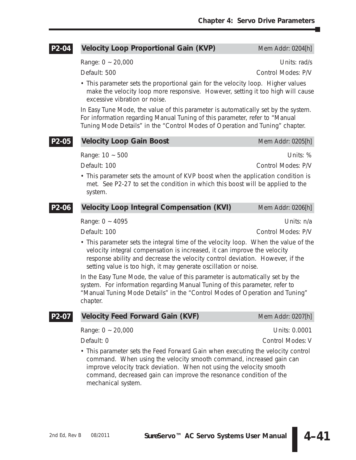#### **Velocity Loop Proportional Gain (KVP)** Mem Addr: 0204[h] **P2-04**

Range:  $0 \sim 20,000$  Units: rad/s

Default: 500 Control Modes: P/V

• This parameter sets the proportional gain for the velocity loop. Higher values make the velocity loop more responsive. However, setting it too high will cause excessive vibration or noise.

In Easy Tune Mode, the value of this parameter is automatically set by the system. For information regarding Manual Tuning of this parameter, refer to "Manual Tuning Mode Details" in the "Control Modes of Operation and Tuning" chapter.

| P2-05 | <b>Velocity Loop Gain Boost</b>                                                                                                                                                                                                                                                                                      | Mem Addr: 0205[h]  |
|-------|----------------------------------------------------------------------------------------------------------------------------------------------------------------------------------------------------------------------------------------------------------------------------------------------------------------------|--------------------|
|       | Range: $10 \sim 500$                                                                                                                                                                                                                                                                                                 | Units: %           |
|       | Default: 100                                                                                                                                                                                                                                                                                                         | Control Modes: P/V |
|       | • This parameter sets the amount of KVP boost when the application condition is<br>met. See P2-27 to set the condition in which this boost will be applied to the<br>system.                                                                                                                                         |                    |
| P2-06 | <b>Velocity Loop Integral Compensation (KVI)</b>                                                                                                                                                                                                                                                                     | Mem Addr: 0206[h]  |
|       | Range: $0 \sim 4095$                                                                                                                                                                                                                                                                                                 | Units: n/a         |
|       | Default: 100                                                                                                                                                                                                                                                                                                         | Control Modes: P/V |
|       | • This parameter sets the integral time of the velocity loop. When the value of the<br>velocity integral compensation is increased, it can improve the velocity<br>response ability and decrease the velocity control deviation. However, if the<br>setting value is too high, it may generate oscillation or noise. |                    |
|       | In the Easy Tune Mode the value of this parameter is automatically set by the                                                                                                                                                                                                                                        |                    |

In the Easy Tune Mode, the value of this parameter is automatically set by the system. For information regarding Manual Tuning of this parameter, refer to "Manual Tuning Mode Details" in the "Control Modes of Operation and Tuning" chapter.

| P2-07 Velocity Feed Forward Gain (KVF) | Mem Addr: 0207[h] |
|----------------------------------------|-------------------|
|                                        |                   |

Range: 0 ~ 20,000 Units: 0.0001

Default: 0 Control Modes: V

• This parameter sets the Feed Forward Gain when executing the velocity control command. When using the velocity smooth command, increased gain can improve velocity track deviation. When not using the velocity smooth command, decreased gain can improve the resonance condition of the mechanical system.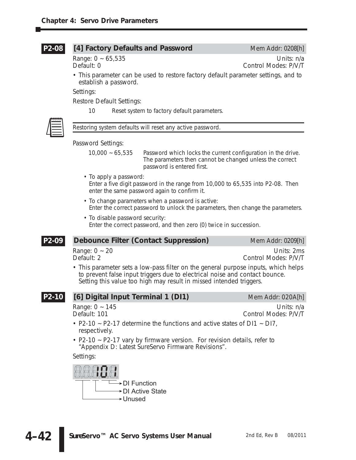#### [4] Factory Defaults and Password Mem Addr: 0208[h] **P2-08**

Range: 0 ~ 65,535 Units: n/a<br>Default: 0 Control Modes: P/V/T Control Modes: P/V/T

• This parameter can be used to restore factory default parameter settings, and to establish a password.

Settings:

Restore Default Settings:

10 Reset system to factory default parameters.



*Restoring system defaults will reset any active password.*

Password Settings:

10,000 ~ 65,535 Password which locks the current configuration in the drive. The parameters then cannot be changed unless the correct password is entered first.

- To apply a password: Enter a five digit password in the range from 10,000 to 65,535 into P2-08. Then enter the same password again to confirm it.
- To change parameters when a password is active: Enter the correct password to unlock the parameters, then change the parameters.
- To disable password security: Enter the correct password, and then zero (0) twice in succession.

#### **Debounce Filter (Contact Suppression)** Mem Addr: 0209[h] **P2-09**

Range: 0 ~ 20 Units: 2ms<br>
Default: 2 Units: 20 Units: 2ms<br>
Control Modes: P/V/T Control Modes: P/V/T

• This parameter sets a low-pass filter on the general purpose inputs, which helps to prevent false input triggers due to electrical noise and contact bounce. Setting this value too high may result in missed intended triggers.

#### **[6] Digital Input Terminal 1 (DI1)** Mem Addr: 020A[h] **P2-10**

Range: 0 ~ 145 Units: n/a<br>Default: 101 Units: n/a<br>Control Modes: P/V/T Control Modes: P/V/T

- P2-10  $\sim$  P2-17 determine the functions and active states of DI1  $\sim$  DI7, respectively.
- P2-10 ~ P2-17 vary by firmware version. For revision details, refer to "Appendix D: Latest *Sure*Servo Firmware Revisions".

Settings:

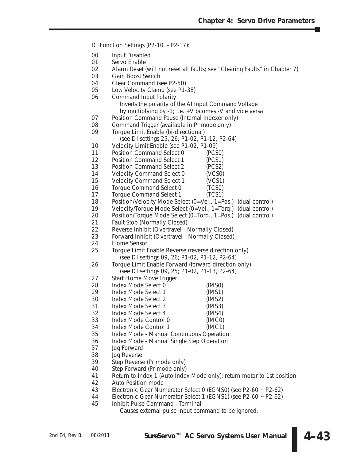DI Function Settings (P2-10 ~ P2-17):

- 00 Input Disabled
- 01 Servo Enable
- 02 Alarm Reset (will not reset all faults; see "Clearing Faults" in Chapter 7)<br>03 Gain Boost Switch
- Gain Boost Switch
- 04 Clear Command (see P2-50)<br>05 Low Velocity Clamp (see P1-
- Low Velocity Clamp (see P1-38)
- 06 Command Input Polarity

Inverts the polarity of the AI Input Command Voltage

- by multiplying by -1; i.e. +V bcomes -V and vice versa
- 07 Position Command Pause (Internal Indexer only)
- 08 Command Trigger (available in Pr mode only)
- 09 Torque Limit Enable (bi-directional)

(see DI settings 25, 26; P1-02, P1-12, P2-64)

- 10 Velocity Limit Enable (see P1-02, P1-09)<br>11 Position Command Select 0 (PCS
- Position Command Select 0 (PCS0)
- 12 Position Command Select 1 (PCS1)
- 13 Position Command Select 2 (PCS2)
- 14 Velocity Command Select 0 (VCS0)
- 15 Velocity Command Select 1 (VCS1)
- 16 Torque Command Select 0 (TCS0)
- 17 Torque Command Select 1 (TCS1)<br>18 Position/Velocity Mode Select (0=Vel.. 1=P
- Position/Velocity Mode Select (0=Vel., 1=Pos.) (dual control)
- 19 Velocity/Torque Mode Select (0=Vel., 1=Torq.) (dual control)<br>20 Position/Torque Mode Select (0=Torq., 1=Pos.) (dual control)
- Position/Torque Mode Select (0=Torq., 1=Pos.) (dual control)
- 21 Fault Stop (Normally Closed)<br>22 Reverse Inhibit (Overtravel I
- 22 Reverse Inhibit (Overtravel Normally Closed)<br>23 Forward Inhibit (Overtravel Normally Closed)
- 23 Forward Inhibit (Overtravel Normally Closed)<br>24 Home Sensor
- Home Sensor
- 25 Torque Limit Enable Reverse (reverse direction only) (see DI settings 09, 26; P1-02, P1-12, P2-64)
- 26 Torque Limit Enable Forward (forward direction only) (see DI settings 09, 25; P1-02, P1-13, P2-64)
- 27 Start Home Move Trigger
- 28 Index Mode Select 0 (IMS0)
- Index Mode Select 1 (IMS1)
- 30 Index Mode Select 2 (IMS2)
- Index Mode Select 3 (IMS3)
- 32 Index Mode Select 4 (IMS4)
- 33 Index Mode Control 0 (IMC0)
- 
- 34 Index Mode Control 1 (IMC1)<br>35 Index Mode Manual Continuous Operatic 35 Index Mode - Manual Continuous Operation
- 36 Index Mode Manual Single Step Operation
- 37 Jog Forward<br>38 Jog Reverse
- Jog Reverse
- 39 Step Reverse (Pr mode only)
- 40 Step Forward (Pr mode only)
- 41 Return to Index 1 (Auto Index Mode only); return motor to 1st position<br>42 Auto Position mode
- 42 Auto Position mode<br>43 Electronic Gear Nur
- 43 Electronic Gear Numerator Select 0 (EGNS0) (see P2-60 ~ P2-62)
- 44 Electronic Gear Numerator Select 1 (EGNS1) (see P2-60 ~ P2-62)
- 45 Inhibit Pulse Command Terminal

Causes external pulse input command to be ignored.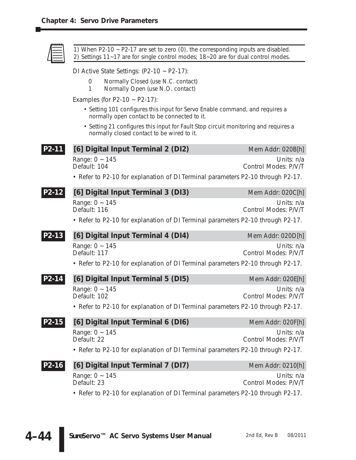|         | 1) When P2-10 $\sim$ P2-17 are set to zero (0), the corresponding inputs are disabled.<br>2) Settings 11-17 are for single control modes; 18-20 are for dual control modes. |                                    |
|---------|-----------------------------------------------------------------------------------------------------------------------------------------------------------------------------|------------------------------------|
|         | DI Active State Settings: $(P2-10 \sim P2-17)$ :                                                                                                                            |                                    |
|         | Normally Closed (use N.C. contact)<br>0<br>Normally Open (use N.O. contact)<br>1                                                                                            |                                    |
|         | Examples (for P2-10 $\sim$ P2-17):                                                                                                                                          |                                    |
|         | • Setting 101 configures this input for Servo Enable command, and requires a<br>normally open contact to be connected to it.                                                |                                    |
|         | • Setting 21 configures this input for Fault Stop circuit monitoring and requires a<br>normally closed contact to be wired to it.                                           |                                    |
| P2-11   | [6] Digital Input Terminal 2 (DI2)                                                                                                                                          | Mem Addr: 020B[h]                  |
|         | Range: $0 \sim 145$<br>Default: 104                                                                                                                                         | Units: n/a<br>Control Modes: P/V/T |
|         | • Refer to P2-10 for explanation of DI Terminal parameters P2-10 through P2-17.                                                                                             |                                    |
| P2-12   | [6] Digital Input Terminal 3 (DI3)                                                                                                                                          | Mem Addr: 020C[h]                  |
|         | Range: $0 \sim 145$<br>Default: 116                                                                                                                                         | Units: n/a<br>Control Modes: P/V/T |
|         | • Refer to P2-10 for explanation of DI Terminal parameters P2-10 through P2-17.                                                                                             |                                    |
| P2-13   | [6] Digital Input Terminal 4 (DI4)                                                                                                                                          | Mem Addr: 020D[h]                  |
|         | Range: $0 \sim 145$<br>Default: 117                                                                                                                                         | Units: n/a<br>Control Modes: P/V/T |
|         | • Refer to P2-10 for explanation of DI Terminal parameters P2-10 through P2-17.                                                                                             |                                    |
| P2-14   | [6] Digital Input Terminal 5 (DI5)                                                                                                                                          | Mem Addr: 020E[h]                  |
|         | Range: $0 \sim 145$<br>Default: 102                                                                                                                                         | Units: n/a<br>Control Modes: P/V/T |
|         | • Refer to P2-10 for explanation of DI Terminal parameters P2-10 through P2-17.                                                                                             |                                    |
| $P2-15$ | [6] Digital Input Terminal 6 (DI6)                                                                                                                                          | Mem Addr: 020F[h]                  |
|         | Range: $0 \sim 145$<br>Default: 22                                                                                                                                          | Units: n/a<br>Control Modes: P/V/T |
|         | • Refer to P2-10 for explanation of DI Terminal parameters P2-10 through P2-17.                                                                                             |                                    |
| P2-16   | [6] Digital Input Terminal 7 (DI7)                                                                                                                                          | Mem Addr: 0210[h]                  |
|         | Range: $0 \sim 145$<br>Default: 23                                                                                                                                          | Units: n/a<br>Control Modes: P/V/T |
|         | • Refer to P2-10 for explanation of DI Terminal parameters P2-10 through P2-17.                                                                                             |                                    |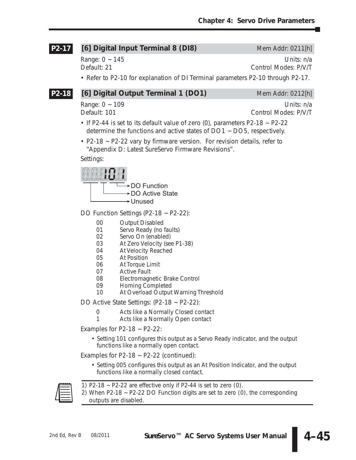### **[6] Digital Input Terminal 8 (DI8)** Mem Addr: 0211[h] **P2-17**

Range: 0 ~ 145 and 145 and 147 and 148 and 149 and 149 and 149 and 149 and 149 and 149 and 149 and 149 and 149 and 149 and 149 and 149 and 149 and 149 and 149 and 149 and 149 and 149 and 149 and 149 and 149 and 149 and 149 Default: 21 Control Modes: P/V/T

• Refer to P2-10 for explanation of DI Terminal parameters P2-10 through P2-17.

### **[6] Digital Output Terminal 1 (DO1)** Mem Addr: 0212[h] **P2-18**

Range: 0 ~ 109 Units: n/a Default: 101 Control Modes: P/V/T

- If P2-44 is set to its default value of zero  $(0)$ , parameters P2-18  $\sim$  P2-22 determine the functions and active states of DO1 ~ DO5, respectively.
- P2-18 ~ P2-22 vary by firmware version. For revision details, refer to "Appendix D: Latest *Sure*Servo Firmware Revisions".

Settings:



DO Function Settings (P2-18 ~ P2-22):

- 00 Output Disabled<br>01 Servo Ready (no
- 01 Servo Ready (no faults)<br>02 Servo On (enabled)
- 02 Servo On (enabled)<br>03 At Zero Velocity (see
- 03 At Zero Velocity (see P1-38)<br>04 At Velocity Reached
- At Velocity Reached
- 05 At Position
- 06 At Torque Limit<br>07 Active Fault
- 07 Active Fault<br>08 Electromagn
- 08 Electromagnetic Brake Control<br>09 Homing Completed
- Homing Completed
- 10 At Overload Output Warning Threshold

DO Active State Settings: (P2-18 ~ P2-22):

- 0 Acts like a Normally Closed contact<br>1 Acts like a Normally Open contact
- Acts like a Normally Open contact

Examples for P2-18  $\sim$  P2-22:

• Setting 101 configures this output as a Servo Ready indicator, and the output functions like a normally open contact.

Examples for P2-18  $\sim$  P2-22 (continued):

• Setting 005 configures this output as an At Position Indicator, and the output functions like a normally closed contact.



*1) P2-18 ~ P2-22 are effective only if P2-44 is set to zero (0).*

*2) When P2-18 ~ P2-22 DO Function digits are set to zero (0), the corresponding outputs are disabled.*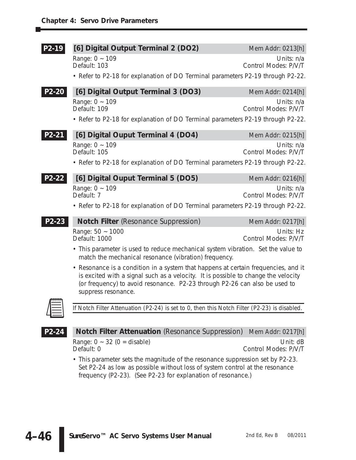| P2-19 | [6] Digital Output Terminal 2 (DO2)                                                                                                                                                                                                                    | Mem Addr: 0213[h]                  |
|-------|--------------------------------------------------------------------------------------------------------------------------------------------------------------------------------------------------------------------------------------------------------|------------------------------------|
|       | Range: $0 \sim 109$<br>Default: 103                                                                                                                                                                                                                    | Units: n/a<br>Control Modes: P/V/T |
|       | • Refer to P2-18 for explanation of DO Terminal parameters P2-19 through P2-22.                                                                                                                                                                        |                                    |
| P2-20 | [6] Digital Output Terminal 3 (DO3)                                                                                                                                                                                                                    | Mem Addr: 0214[h]                  |
|       | Range: $0 \sim 109$<br>Default: 109                                                                                                                                                                                                                    | Units: n/a<br>Control Modes: P/V/T |
|       | • Refer to P2-18 for explanation of DO Terminal parameters P2-19 through P2-22.                                                                                                                                                                        |                                    |
| P2-21 | [6] Digital Ouput Terminal 4 (DO4)                                                                                                                                                                                                                     | Mem Addr: 0215[h]                  |
|       | Range: $0 \sim 109$<br>Default: 105                                                                                                                                                                                                                    | Units: n/a<br>Control Modes: P/V/T |
|       | • Refer to P2-18 for explanation of DO Terminal parameters P2-19 through P2-22.                                                                                                                                                                        |                                    |
| P2-22 | [6] Digital Ouput Terminal 5 (DO5)                                                                                                                                                                                                                     | Mem Addr: 0216[h]                  |
|       | Range: $0 \sim 109$<br>Default: 7                                                                                                                                                                                                                      | Units: n/a<br>Control Modes: P/V/T |
|       | • Refer to P2-18 for explanation of DO Terminal parameters P2-19 through P2-22.                                                                                                                                                                        |                                    |
| P2-23 | <b>Notch Filter</b> (Resonance Suppression)                                                                                                                                                                                                            | Mem Addr: 0217[h]                  |
|       | Range: 50 ~ 1000<br>Default: 1000                                                                                                                                                                                                                      | Units: Hz<br>Control Modes: P/V/T  |
|       | • This parameter is used to reduce mechanical system vibration. Set the value to<br>match the mechanical resonance (vibration) frequency.                                                                                                              |                                    |
|       | • Resonance is a condition in a system that happens at certain frequencies, and it<br>is excited with a signal such as a velocity. It is possible to change the velocity<br>(or frequency) to avoid resonance. P2-23 through P2-26 can also be used to |                                    |



*If Notch Filter Attenuation (P2-24) is set to 0, then this Notch Filter (P2-23) is disabled.*

**P2-24**

**Notch Filter Attenuation** (Resonance Suppression) Mem Addr: 0217[h] Range: 0 ~ 32 (0 = disable) Unit: dB<br>Default: 0 Control Modes: P/V/T Control Modes: P/V/T

• This parameter sets the magnitude of the resonance suppression set by P2-23. Set P2-24 as low as possible without loss of system control at the resonance frequency (P2-23). (See P2-23 for explanation of resonance.)

suppress resonance.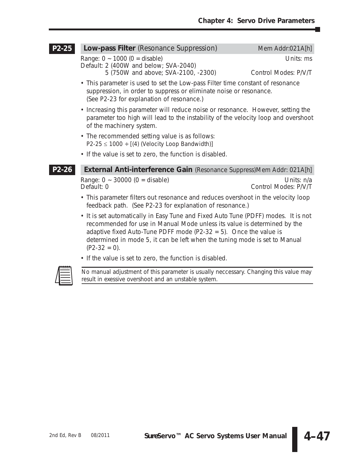#### **Low-pass Filter** (Resonance Suppression) Mem Addr:021A[h] **P2-25**

Range: 0 ~ 1000 (0 = disable) Units: ms Default: 2 (400W and below; SVA-2040)

5 (750W and above; SVA-2100, -2300) Control Modes: P/V/T

- This parameter is used to set the Low-pass Filter time constant of resonance suppression, in order to suppress or eliminate noise or resonance. (See P2-23 for explanation of resonance.)
- Increasing this parameter will reduce noise or resonance. However, setting the parameter too high will lead to the instability of the velocity loop and overshoot of the machinery system.
- The recommended setting value is as follows:  $P2-25 \le 1000 \div [(4)$  (Velocity Loop Bandwidth)]
- If the value is set to zero, the function is disabled.

**P2-26**

**External Anti-interference Gain** (Resonance Suppress)Mem Addr: 021A[h]

Range: 0 ~ 30000 (0 = disable) Units: n/a

Control Modes: P/V/T

- This parameter filters out resonance and reduces overshoot in the velocity loop feedback path. (See P2-23 for explanation of resonance.)
- It is set automatically in Easy Tune and Fixed Auto Tune (PDFF) modes. It is not recommended for use in Manual Mode unless its value is determined by the adaptive fixed Auto-Tune PDFF mode (P2-32 = 5). Once the value is determined in mode 5, it can be left when the tuning mode is set to Manual  $(P2-32 = 0)$ .
- If the value is set to zero, the function is disabled.



*No manual adjustment of this parameter is usually neccessary. Changing this value may result in exessive overshoot and an unstable system.*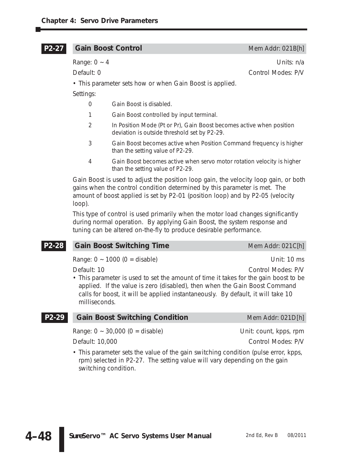#### **Gain Boost Control** Mem Addr: 021B[h] **P2-27**

| Units: n/a |
|------------|
|            |

Default: 0 Control Modes: P/V

• This parameter sets how or when Gain Boost is applied.

Settings:

- 0 Gain Boost is *disabled*.
- 1 Gain Boost controlled by *input terminal*.
- 2 In Position Mode (Pt or Pr), Gain Boost becomes active when *position deviation* is outside threshold set by P2-29.
- 3 Gain Boost becomes active when *Position Command frequency* is higher than the setting value of P2-29.
- 4 Gain Boost becomes active when servo *motor rotation velocity* is higher than the setting value of P2-29.

Gain Boost is used to adjust the position loop gain, the velocity loop gain, or both gains when the control condition determined by this parameter is met. The *amount* of boost applied is set by P2-01 (position loop) and by P2-05 (velocity loop).

This type of control is used primarily when the motor load changes significantly during normal operation. By applying Gain Boost, the system response and tuning can be altered on-the-fly to produce desirable performance.

#### **Gain Boost Switching Time** Mem Addr: 021C[h] **P2-28**

Range: 0 ~ 1000 (0 = disable) Unit: 10 ms

Default: 10 Control Modes: P/V

• This parameter is used to set the amount of time it takes for the gain boost to be applied. If the value is zero (disabled), then when the Gain Boost Command calls for boost, it will be applied instantaneously. By default, it will take 10 milliseconds.

#### **Gain Boost Switching Condition** Mem Addr: 021D[h] **P2-29**

Range:  $0 \sim 30,000$  (0 = disable) Unit: count, kpps, rpm

Default: 10,000 Control Modes: P/V

• This parameter sets the value of the gain switching condition (pulse error, kpps, rpm) selected in P2-27. The setting value will vary depending on the gain switching condition.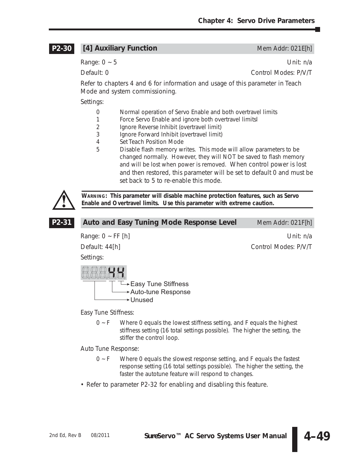#### **[4] Auxiliary Function** Mem Addr: 021E[h] **P2-30**

Range: 0 ~ 5 Unit: n/a

Default: 0 Control Modes: P/V/T

Refer to chapters 4 and 6 for information and usage of this parameter in Teach Mode and system commissioning.

Settings:

- 0 Normal operation of Servo Enable and both overtravel limits
- 1 Force Servo Enable and ignore both overtravel limitsl
- 2 Ignore Reverse Inhibit (overtravel limit)
- 3 Ignore Forward Inhibit (overtravel limit)
- 4 Set Teach Position Mode
- 5 Disable flash memory writes. This mode will allow parameters to be changed normally. However, they will NOT be saved to flash memory and will be lost when power is removed. When control power is lost and then restored, this parameter will be set to default 0 and must be set back to 5 to re-enable this mode.



**WARNING: This parameter will disable machine protection features, such as Servo Enable and Overtravel limits. Use this parameter with extreme caution.**

| P2-31 | <b>Auto and Easy Tuning Mode Response Level</b> | Mem Addr: 021F[h]    |
|-------|-------------------------------------------------|----------------------|
|       | Range: $0 \sim FF$ [h]                          | Unit: n/a            |
|       | Default: 44[h]                                  | Control Modes: P/V/T |
|       | Settings:                                       |                      |
|       | → Easy Tune Stiffness<br>Auto-tune Response     |                      |
|       | <b>→ Unused</b>                                 |                      |

Easy Tune Stiffness:

0 ~ F Where 0 equals the lowest stiffness setting, and F equals the highest stiffness setting (16 total settings possible). The higher the setting, the stiffer the control loop.

Auto Tune Response:

- $0 \sim F$  Where 0 equals the slowest response setting, and F equals the fastest response setting (16 total settings possible). The higher the setting, the faster the autotune feature will respond to changes.
- Refer to parameter P2-32 for enabling and disabling this feature.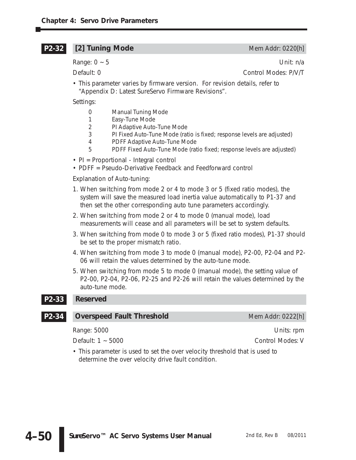#### **[2] Tuning Mode** Mem Addr: 0220[h] **P2-32**

Range:  $0 \sim 5$  Unit: n/a

Default: 0 Control Modes: P/V/T

• This parameter varies by firmware version. For revision details, refer to "Appendix D: Latest *Sure*Servo Firmware Revisions".

Settings:

- 0 Manual Tuning Mode
- 1 Easy-Tune Mode
- 2 PI Adaptive Auto-Tune Mode
- 3 PI Fixed Auto-Tune Mode (ratio is fixed; response levels are adjusted)
- 4 PDFF Adaptive Auto-Tune Mode
- 5 PDFF Fixed Auto-Tune Mode (ratio fixed; response levels are adjusted)
- PI = Proportional Integral control
- PDFF = Pseudo-Derivative Feedback and Feedforward control

Explanation of Auto-tuning:

- 1. When switching from mode 2 or 4 to mode 3 or 5 (fixed ratio modes), the system will save the measured load inertia value automatically to P1-37 and then set the other corresponding auto tune parameters accordingly.
- 2. When switching from mode 2 or 4 to mode 0 (manual mode), load measurements will cease and all parameters will be set to system defaults.
- 3. When switching from mode 0 to mode 3 or 5 (fixed ratio modes), P1-37 should be set to the proper mismatch ratio.
- 4. When switching from mode 3 to mode 0 (manual mode), P2-00, P2-04 and P2- 06 will retain the values determined by the auto-tune mode.
- 5. When switching from mode 5 to mode 0 (manual mode), the setting value of P2-00, P2-04, P2-06, P2-25 and P2-26 will retain the values determined by the auto-tune mode.

#### **Reserved P2-33**

#### **Overspeed Fault Threshold** Mem Addr: 0222[h] **P2-34**

Range: 5000 Units: rpm

Default: 1 ~ 5000 Control Modes: V

• This parameter is used to set the over velocity threshold that is used to determine the over velocity drive fault condition.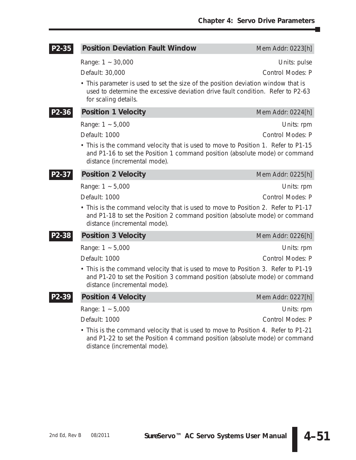| P <sub>2</sub> -35 | <b>Position Deviation Fault Window</b>                                                                                                                                                           | Mem Addr: 0223[h]       |
|--------------------|--------------------------------------------------------------------------------------------------------------------------------------------------------------------------------------------------|-------------------------|
|                    | Range: $1 - 30,000$                                                                                                                                                                              | Units: pulse            |
|                    | Default: 30,000                                                                                                                                                                                  | Control Modes: P        |
|                    | • This parameter is used to set the size of the position deviation window that is<br>used to determine the excessive deviation drive fault condition. Refer to P2-63<br>for scaling details.     |                         |
| P2-36              | <b>Position 1 Velocity</b>                                                                                                                                                                       | Mem Addr: 0224[h]       |
|                    | Range: $1 - 5,000$                                                                                                                                                                               | Units: rpm              |
|                    | Default: 1000                                                                                                                                                                                    | Control Modes: P        |
|                    | • This is the command velocity that is used to move to Position 1. Refer to P1-15<br>and P1-16 to set the Position 1 command position (absolute mode) or command<br>distance (incremental mode). |                         |
| P2-37              | <b>Position 2 Velocity</b>                                                                                                                                                                       | Mem Addr: 0225[h]       |
|                    | Range: $1 - 5,000$                                                                                                                                                                               | Units: rpm              |
|                    | Default: 1000                                                                                                                                                                                    | <b>Control Modes: P</b> |
|                    | • This is the command velocity that is used to move to Position 2. Refer to P1-17<br>and P1-18 to set the Position 2 command position (absolute mode) or command<br>distance (incremental mode). |                         |
| P2-38              | <b>Position 3 Velocity</b>                                                                                                                                                                       | Mem Addr: 0226[h]       |
|                    | Range: $1 - 5,000$                                                                                                                                                                               | Units: rpm              |
|                    | Default: 1000                                                                                                                                                                                    | Control Modes: P        |
|                    | • This is the command velocity that is used to move to Position 3. Refer to P1-19<br>and P1-20 to set the Position 3 command position (absolute mode) or command<br>distance (incremental mode). |                         |
|                    | <b>Position 4 Velocity</b>                                                                                                                                                                       | Mem Addr: 0227[h]       |
|                    | Range: $1 - 5,000$                                                                                                                                                                               | Units: rpm              |
|                    | Default: 1000                                                                                                                                                                                    | Control Modes: P        |

• This is the command velocity that is used to move to Position 4. Refer to P1-21 and P1-22 to set the Position 4 command position (absolute mode) or command distance (incremental mode).

**4–51**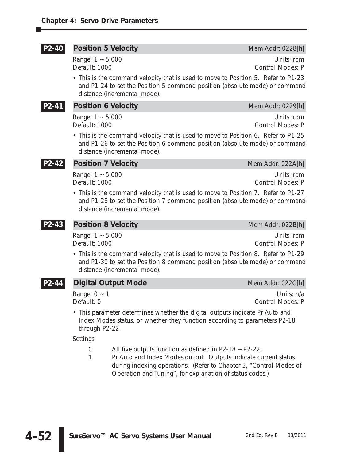#### **Position 5 Velocity Mem Addr: 0228[h] P2-40**

Range: 1 ~ 5,000 Units: rpm

Default: 1000 Control Modes: P

• This is the command velocity that is used to move to Position 5. Refer to P1-23 and P1-24 to set the Position 5 command position (absolute mode) or command distance (incremental mode).

**P2-41**

# **Position 6 Velocity Mem Addr: 0229[h]**

Default: 1000 Control Modes: P

Range: 1 ~ 5,000 Units: rpm

• This is the command velocity that is used to move to Position 6. Refer to P1-25 and P1-26 to set the Position 6 command position (absolute mode) or command distance (incremental mode).

### **P2-42**

Range: 1 ~ 5,000 Units: rpm Default: 1000 Control Modes: P

**Position 7 Velocity Mem Addr: 022A[h] Mem Addr: 022A[h]** 

• This is the command velocity that is used to move to Position 7. Refer to P1-27 and P1-28 to set the Position 7 command position (absolute mode) or command distance (incremental mode).

#### **Position 8 Velocity Mem Addr: 022B[h] Mem Addr: 022B[h] P2-43**

Range: 1 ~ 5,000 Units: rpm Default: 1000 Control Modes: P

• This is the command velocity that is used to move to Position 8. Refer to P1-29 and P1-30 to set the Position 8 command position (absolute mode) or command distance (incremental mode).

| P2-44 Digital Output Mode | Mem Addr: 022C[h] |
|---------------------------|-------------------|
| Range: $0 \sim 1$         | Units: n/a        |
| Default: 0                | Control Modes: P  |
|                           |                   |

• This parameter determines whether the digital outputs indicate Pr Auto and Index Modes status, or whether they function according to parameters P2-18 through P2-22.

Settings:

- 0 All five outputs function as defined in P2-18 ~ P2-22.
- 1 Pr Auto and Index Modes output. Outputs indicate current status during indexing operations. (Refer to Chapter 5, "Control Modes of Operation and Tuning", for explanation of status codes.)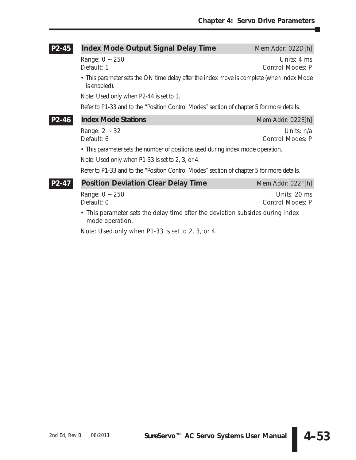### **Index Mode Output Signal Delay Time** Mem Addr: 022D[h] Range: 0 ~ 250 Units: 4 ms Default: 1 Control Modes: P • This parameter sets the ON time delay after the index move is complete (when Index Mode is enabled). Note: Used only when P2-44 is set to 1. Refer to P1-33 and to the "Position Control Modes" section of chapter 5 for more details. **Index Mode Stations** Mem Addr: 022E[h] Range: 2 ~ 32 Units: n/a Default: 6 Control Modes: P • This parameter sets the number of positions used during index mode operation. Note: Used only when P1-33 is set to 2, 3, or 4. Refer to P1-33 and to the "Position Control Modes" section of chapter 5 for more details. **Position Deviation Clear Delay Time** Mem Addr: 022F[h] Range: 0 ~ 250 Units: 20 ms Default: 0 Control Modes: P • This parameter sets the delay time after the deviation subsides during index mode operation. **P2-47 P2-46 P2-45**

Note: Used only when P1-33 is set to 2, 3, or 4.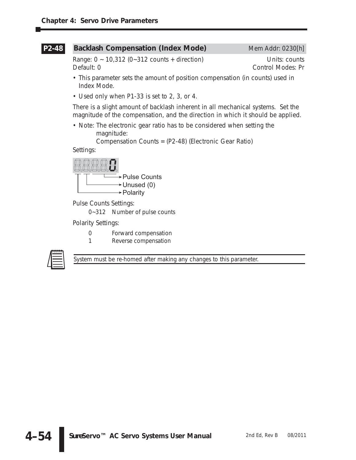#### **Backlash Compensation (Index Mode)** Mem Addr: 0230[h] **P2-48**

Range:  $0 \sim 10,312$  (0~312 counts + direction) Units: counts Default: 0 Control Modes: Pr

- This parameter sets the amount of position compensation (in counts) used in Index Mode.
- Used only when P1-33 is set to 2, 3, or 4.

There is a slight amount of backlash inherent in all mechanical systems. Set the magnitude of the compensation, and the direction in which it should be applied.

• Note: The electronic gear ratio has to be considered when setting the magnitude:

Compensation Counts = (P2-48) (Electronic Gear Ratio)

Settings:



Pulse Counts Settings:

0~312 Number of pulse counts

Polarity Settings:

- 0 Forward compensation
- 1 Reverse compensation



*System must be re-homed after making any changes to this parameter.*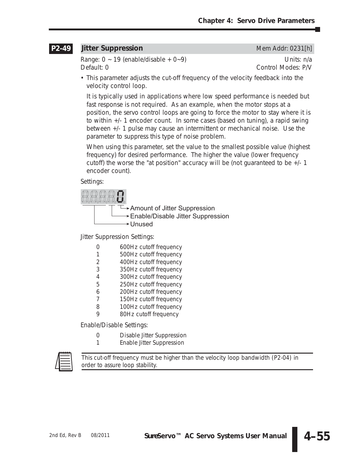#### **Jitter Suppression** Mem Addr: 0231[h] **P2-49**

Range:  $0 \sim 19$  (enable/disable +  $0 \sim 9$ ) Units: n/a Default: 0 Control Modes: P/V

• This parameter adjusts the cut-off frequency of the velocity feedback into the velocity control loop.

It is typically used in applications where low speed performance is needed but fast response is not required. As an example, when the motor stops at a position, the servo control loops are going to force the motor to stay where it is to within +/- 1 encoder count. In some cases (based on tuning), a rapid swing between +/- 1 pulse may cause an intermittent or mechanical noise. Use the parameter to suppress this type of noise problem.

When using this parameter, set the value to the smallest possible value (highest frequency) for desired performance. The higher the value (lower frequency cutoff) the worse the "at position" accuracy will be (not guaranteed to be  $+/-1$ encoder count).

Settings:



Jitter Suppression Settings:

- 0 600Hz cutoff frequency
- 1 500Hz cutoff frequency
- 2 400Hz cutoff frequency
- 3 350Hz cutoff frequency
- 4 300Hz cutoff frequency
- 5 250Hz cutoff frequency
- 6 200Hz cutoff frequency
- 7 150Hz cutoff frequency
- 8 100Hz cutoff frequency
- 9 80Hz cutoff frequency

Enable/Disable Settings:

- 0 Disable Jitter Suppression
- 1 Enable Jitter Suppression



*This cut-off frequency must be higher than the velocity loop bandwidth (P2-04) in order to assure loop stability.*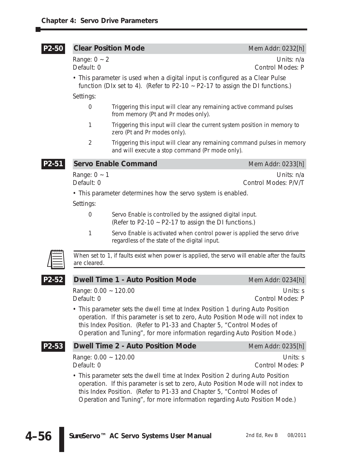#### **Clear Position Mode** Mem Addr: 0232[h] **P2-50**

Range: 0 ~ 2 Units: n/a<br>Default: 0 Control Modes: P Control Modes: P

• This parameter is used when a digital input is configured as a Clear Pulse function (DIx set to 4). (Refer to P2-10  $\sim$  P2-17 to assign the DI functions.)

Settings:

- 0 Triggering this input will clear any remaining active command pulses from memory (Pt and Pr modes only).
- 1 Triggering this input will clear the current system position in memory to zero (Pt and Pr modes only).
- 2 Triggering this input will clear any remaining command pulses in memory and will execute a stop command (Pr mode only).

**Servo Enable Command** Mem Addr: 0233[h]

Range: 0 ~ 1 Units: n/a Default: 0 Control Modes: P/V/T

• This parameter determines how the servo system is enabled.

Settings:

- 0 Servo Enable is controlled by the assigned digital input. (Refer to P2-10  $\sim$  P2-17 to assign the DI functions.)
- 1 Servo Enable is activated when control power is applied the servo drive regardless of the state of the digital input.



**P2-51**

*When set to 1, if faults exist when power is applied, the servo will enable after the faults are cleared.*

### **Dwell Time 1 - Auto Position Mode** Mem Addr: 0234[h] **P2-52**

Range: 0.00 ~ 120.00 Units: s Default: 0 Control Modes: P

• This parameter sets the dwell time at Index Position 1 during Auto Position operation. If this parameter is set to zero, Auto Position Mode will not index to this Index Position. (Refer to P1-33 and Chapter 5, "Control Modes of Operation and Tuning", for more information regarding Auto Position Mode.)

Range: 0.00 ~ 120.00 Units: s Default: 0 Control Modes: P

• This parameter sets the dwell time at Index Position 2 during Auto Position operation. If this parameter is set to zero, Auto Position Mode will not index to this Index Position. (Refer to P1-33 and Chapter 5, "Control Modes of Operation and Tuning", for more information regarding Auto Position Mode.)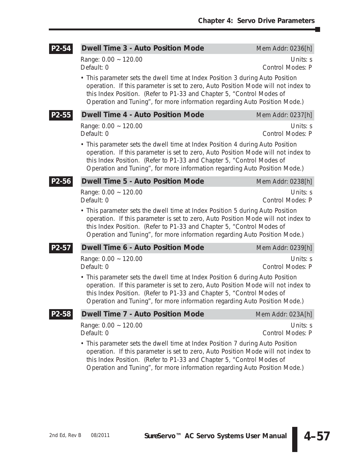٦

| P2-54              | <b>Dwell Time 3 - Auto Position Mode</b>                                                                                                                                                                                                                                                                                  | Mem Addr: 0236[h]                   |
|--------------------|---------------------------------------------------------------------------------------------------------------------------------------------------------------------------------------------------------------------------------------------------------------------------------------------------------------------------|-------------------------------------|
|                    | Range: 0.00 ~ 120.00<br>Default: 0                                                                                                                                                                                                                                                                                        | Units: s<br>Control Modes: P        |
|                    | • This parameter sets the dwell time at Index Position 3 during Auto Position<br>operation. If this parameter is set to zero, Auto Position Mode will not index to<br>this Index Position. (Refer to P1-33 and Chapter 5, "Control Modes of<br>Operation and Tuning", for more information regarding Auto Position Mode.) |                                     |
| P2-55              | <b>Dwell Time 4 - Auto Position Mode</b>                                                                                                                                                                                                                                                                                  | Mem Addr: 0237[h]                   |
|                    | Range: 0.00 ~ 120.00<br>Default: 0                                                                                                                                                                                                                                                                                        | Units: s<br>Control Modes: P        |
|                    | • This parameter sets the dwell time at Index Position 4 during Auto Position<br>operation. If this parameter is set to zero, Auto Position Mode will not index to<br>this Index Position. (Refer to P1-33 and Chapter 5, "Control Modes of<br>Operation and Tuning", for more information regarding Auto Position Mode.) |                                     |
| P2-56              | <b>Dwell Time 5 - Auto Position Mode</b>                                                                                                                                                                                                                                                                                  | Mem Addr: 0238[h]                   |
|                    | Range: 0.00 ~ 120.00<br>Default: 0                                                                                                                                                                                                                                                                                        | Units: s<br>Control Modes: P        |
|                    | • This parameter sets the dwell time at Index Position 5 during Auto Position<br>operation. If this parameter is set to zero, Auto Position Mode will not index to<br>this Index Position. (Refer to P1-33 and Chapter 5, "Control Modes of<br>Operation and Tuning", for more information regarding Auto Position Mode.) |                                     |
| P <sub>2</sub> -57 | <b>Dwell Time 6 - Auto Position Mode</b>                                                                                                                                                                                                                                                                                  | Mem Addr: 0239[h]                   |
|                    | Range: 0.00 ~ 120.00<br>Default: 0                                                                                                                                                                                                                                                                                        | Units: s<br><b>Control Modes: P</b> |
|                    | • This parameter sets the dwell time at Index Position 6 during Auto Position<br>operation. If this parameter is set to zero, Auto Position Mode will not index to<br>this Index Position. (Refer to P1-33 and Chapter 5, "Control Modes of<br>Operation and Tuning", for more information regarding Auto Position Mode.) |                                     |
| P2-58              | <b>Dwell Time 7 - Auto Position Mode</b>                                                                                                                                                                                                                                                                                  | Mem Addr: 023A[h]                   |
|                    | Range: 0.00 ~ 120.00<br>Default: 0                                                                                                                                                                                                                                                                                        | Units: s<br>Control Modes: P        |
|                    | • This parameter sets the dwell time at Index Position 7 during Auto Position<br>operation. If this parameter is set to zero, Auto Position Mode will not index to<br>this Index Position. (Refer to P1-33 and Chapter 5, "Control Modes of<br>Operation and Tuning", for more information regarding Auto Position Mode.) |                                     |

**4–57**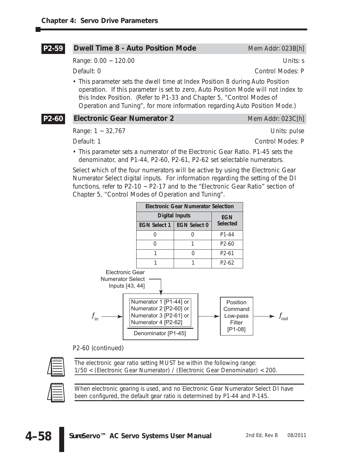| P2-59 | <b>Dwell Time 8 - Auto Position Mode</b>                                                                                                                                                                                                                                                                                  | Mem Addr: 023B[h]       |  |  |  |  |
|-------|---------------------------------------------------------------------------------------------------------------------------------------------------------------------------------------------------------------------------------------------------------------------------------------------------------------------------|-------------------------|--|--|--|--|
|       | Range: $0.00 - 120.00$                                                                                                                                                                                                                                                                                                    | Units: s                |  |  |  |  |
|       | Default: 0                                                                                                                                                                                                                                                                                                                | Control Modes: P        |  |  |  |  |
|       | • This parameter sets the dwell time at Index Position 8 during Auto Position<br>operation. If this parameter is set to zero, Auto Position Mode will not index to<br>this Index Position. (Refer to P1-33 and Chapter 5, "Control Modes of<br>Operation and Tuning", for more information regarding Auto Position Mode.) |                         |  |  |  |  |
| P2-60 | <b>Electronic Gear Numerator 2</b>                                                                                                                                                                                                                                                                                        | Mem Addr: 023C[h]       |  |  |  |  |
|       | Range: $1 - 32,767$                                                                                                                                                                                                                                                                                                       | Units: pulse            |  |  |  |  |
|       | Default: 1                                                                                                                                                                                                                                                                                                                | <b>Control Modes: P</b> |  |  |  |  |
|       | • This parameter sets a numerator of the Electronic Gear Ratio. P1-45 sets the<br>denominator, and P1-44, P2-60, P2-61, P2-62 set selectable numerators.                                                                                                                                                                  |                         |  |  |  |  |
|       | Select which of the four numerators will be active by using the Electronic Gear                                                                                                                                                                                                                                           |                         |  |  |  |  |

Numerator Select digital inputs. For information regarding the setting of the DI functions, refer to P2-10 ~ P2-17 and to the "Electronic Gear Ratio" section of Chapter 5, "Control Modes of Operation and Tuning".



P2-60 (continued)



*The electronic gear ratio setting MUST be within the following range: 1/50 < (Electronic Gear Numerator) / (Electronic Gear Denominator) < 200.*



*When electronic gearing is used, and no Electronic Gear Numerator Select DI have been configured, the default gear ratio is determined by P1-44 and P-145.*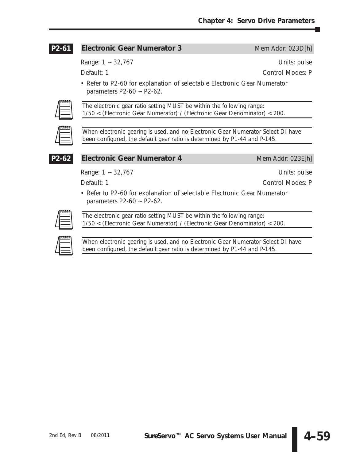#### **Electronic Gear Numerator 3** Mem Addr: 023D[h] **P2-61**

Range: 1 ~ 32,767 Units: pulse

Default: 1 Control Modes: P

• Refer to P2-60 for explanation of selectable Electronic Gear Numerator parameters  $P2-60 \sim P2-62$ .



*The electronic gear ratio setting MUST be within the following range: 1/50 < (Electronic Gear Numerator) / (Electronic Gear Denominator) < 200.*



*When electronic gearing is used, and no Electronic Gear Numerator Select DI have been configured, the default gear ratio is determined by P1-44 and P-145.*



### **Electronic Gear Numerator 4** Mem Addr: 023E[h]

Range: 1 ~ 32,767 Units: pulse

Default: 1 Control Modes: P

• Refer to P2-60 for explanation of selectable Electronic Gear Numerator parameters P2-60 ~ P2-62.



*The electronic gear ratio setting MUST be within the following range: 1/50 < (Electronic Gear Numerator) / (Electronic Gear Denominator) < 200.*

| 00000 |
|-------|
|       |
|       |
|       |

*When electronic gearing is used, and no Electronic Gear Numerator Select DI have been configured, the default gear ratio is determined by P1-44 and P-145.*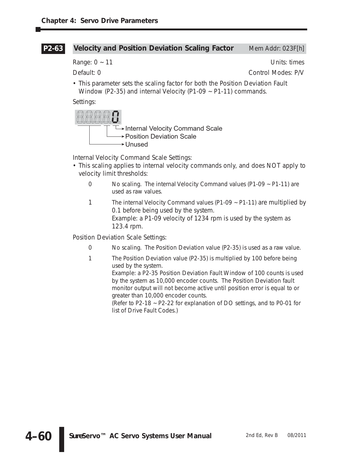#### **Velocity and Position Deviation Scaling Factor** Mem Addr: 023F[h] **P2-63**

Range:  $0 \sim 11$  Units: times

Default: 0 Control Modes: P/V

• This parameter sets the scaling factor for both the Position Deviation Fault Window (P2-35) and internal Velocity (P1-09 ~ P1-11) commands.

Settings:



Internal Velocity Command Scale Settings:

- This scaling applies to internal velocity commands only, and does NOT apply to velocity limit thresholds:
	- 0 No scaling. The internal Velocity Command values (P1-09 ~ P1-11) are used as raw values.
	- 1 The internal Velocity Command values (P1-09 ~ P1-11) are multiplied by 0.1 before being used by the system. Example: a P1-09 velocity of 1234 rpm is used by the system as 123.4 rpm.

Position Deviation Scale Settings:

- 0 No scaling. The Position Deviation value (P2-35) is used as a raw value.
- 1 The Position Deviation value (P2-35) is multiplied by 100 before being used by the system. Example: a P2-35 Position Deviation Fault Window of 100 counts is used by the system as 10,000 encoder counts. The Position Deviation fault monitor output will not become active until position error is equal to or greater than 10,000 encoder counts. (Refer to P2-18 ~ P2-22 for explanation of DO settings, and to P0-01 for list of Drive Fault Codes.)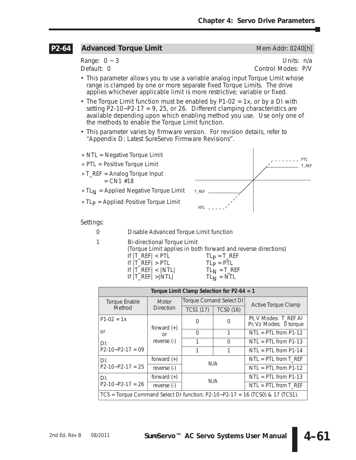#### **Advanced Torque Limit** Mem Addr: 0240[h] **P2-64**

Range: 0 ~ 3 Units: n/a Default: 0 Control Modes: P/V

- This parameter allows you to use a variable analog input Torque Limit whose range is clamped by one or more separate fixed Torque Limits. The drive applies whichever applicable limit is more restrictive; variable or fixed.
- The Torque Limit function must be enabled by P1-02 = 1x, or by a DI with setting P2-10~P2-17 = 9, 25, or 26. Different clamping characteristics are available depending upon which enabling method you use. Use only one of the methods to enable the Torque Limit function.
- This parameter varies by firmware version. For revision details, refer to "Appendix D: Latest *Sure*Servo Firmware Revisions".
- » NTL = Negative Torque Limit
- » PTL = Positive Torque Limit
- » T\_REF = Analog Torque Input  $= CN1$  #18
- » TL<sub>N</sub> = Applied Negative Torque Limit

» TL<sub>P</sub> = Applied Positive Torque Limit



Settings:

- 0 Disable Advanced Torque Limit function
- 1 Bi-directional Torque Limit

(Torque Limit applies in both forward and reverse directions)

- 
- If  $|T_{\text{R}}EF| > PTL$   $TL_P = PTL$ <br>If  $|T_{\text{R}}EF| < |NTL|$   $TL_N = T_{\text{R}}EF$ If  $|T_RE| > |NTL|$

If |T\_REF| < PTL TLP = T\_REF If |T\_REF| < |NTL| TLN = T\_REF

| Torque Limit Clamp Selection for $P2-64 = 1$ |                                                                                 |           |                         |                                                 |  |  |  |  |
|----------------------------------------------|---------------------------------------------------------------------------------|-----------|-------------------------|-------------------------------------------------|--|--|--|--|
| <b>Torque Enable</b>                         | <b>Motor</b>                                                                    |           | Torque Comand Select DI | <b>Active Torque Clamp</b>                      |  |  |  |  |
| Method                                       | <b>Direction</b>                                                                | TCS1 (17) | <b>TCSO (16)</b>        |                                                 |  |  |  |  |
| $P1-02 = 1x$                                 | forward $(+)$                                                                   | O         | 0                       | Pt, V Modes: T_REF AI<br>Pr, Vz Modes: 0 torque |  |  |  |  |
| or                                           | or                                                                              | 0         | 1                       | $NTL = PTL from P1-12$                          |  |  |  |  |
| $D$ l:                                       | reverse (-)                                                                     | 1         | $\Omega$                | $NTL = PTL from P1-13$                          |  |  |  |  |
| $P2-10-P2-17=09$                             |                                                                                 | 1         | 1                       | $NTL = PTL from P1-14$                          |  |  |  |  |
| $D$ l:                                       | forward $(+)$                                                                   | N/A       |                         | $NTL = PTL from T_REF$                          |  |  |  |  |
| $P2-10-P2-17 = 25$                           | reverse (-)                                                                     |           |                         | $NTL = PTL from P1-12$                          |  |  |  |  |
| $D$ l:                                       | forward $(+)$                                                                   |           | N/A                     | $NTL = PTL from P1-13$                          |  |  |  |  |
| $P2-10-P2-17 = 26$                           | reverse (-)                                                                     |           |                         | $NTL = PTL from T_REF$                          |  |  |  |  |
|                                              | $TCS$ = Torque Command Select DI function; P2-10~P2-17 = 16 (TCS0) & 17 (TCS1). |           |                         |                                                 |  |  |  |  |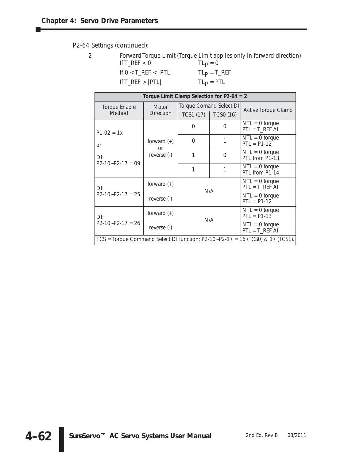P2-64 Settings (continued):

|                            | Forward Torque Limit (Torque Limit applies only in forward direction) |
|----------------------------|-----------------------------------------------------------------------|
| If T REF $< 0$             | $ILD = 0$                                                             |
| If $0 < T$ REF $<$ $ PTL $ | $TLP = T_REF$                                                         |

 $If T_REF > |PTL|$ 

| I Lp             | -   | RFF |
|------------------|-----|-----|
| I L <sub>D</sub> | $=$ | PTI |

| Torque Limit Clamp Selection for $P2-64 = 2$                                    |                            |           |                         |                                      |  |  |  |  |
|---------------------------------------------------------------------------------|----------------------------|-----------|-------------------------|--------------------------------------|--|--|--|--|
| <b>Torque Enable</b>                                                            | <b>Motor</b>               |           | Torque Comand Select DI | Active Torque Clamp                  |  |  |  |  |
| Method                                                                          | <b>Direction</b>           | TCS1 (17) | <b>TCSO (16)</b>        |                                      |  |  |  |  |
| $P1-02 = 1x$                                                                    |                            | 0         | $\Omega$                | $NTL = 0$ torque<br>$PTL = T_REF AI$ |  |  |  |  |
| or                                                                              | forward $(+)$<br><b>or</b> | $\Omega$  |                         | $NTL = 0$ torque<br>$PTL = P1-12$    |  |  |  |  |
| D!                                                                              | reverse (-)                | 1         | $\Omega$                | $NTL = 0$ torque<br>PTL from P1-13   |  |  |  |  |
| $P2-10-P2-17=09$                                                                |                            | 1         |                         | $NTL = 0$ torque<br>PTL from P1-14   |  |  |  |  |
| $D!$ :                                                                          | forward $(+)$              |           | N/A                     | $NTL = 0$ torque<br>$PTL = T_REF AI$ |  |  |  |  |
| $P2-10-P2-17 = 25$                                                              | reverse (-)                |           |                         | $NTL = 0$ torque<br>$PTL = P1-12$    |  |  |  |  |
| $D$ l:                                                                          | forward $(+)$              |           | N/A                     | $NTL = 0$ torque<br>$PTL = P1-13$    |  |  |  |  |
| $P2-10-P2-17 = 26$                                                              | reverse (-)                |           |                         | $NTL = 0$ torque<br>$PTL = T_REF AI$ |  |  |  |  |
| $TCS$ = Torque Command Select DI function; P2-10~P2-17 = 16 (TCS0) & 17 (TCS1). |                            |           |                         |                                      |  |  |  |  |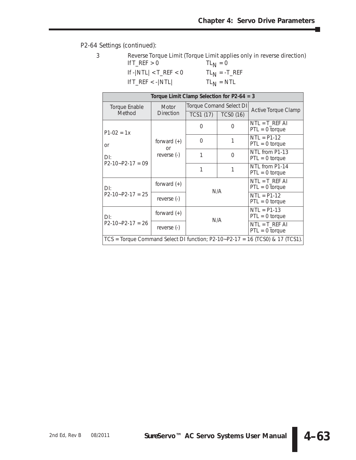٦

P2-64 Settings (continued):

|                                                | Reverse Torque Limit (Torque Limit applies only in reverse direction) |
|------------------------------------------------|-----------------------------------------------------------------------|
| If $T$ <sub>REF</sub> $> 0$                    | $TL_{N} = 0$                                                          |
| If $- NTL  < T_{}REF < 0$                      | $TL_{N} = -T_{R}EF$                                                   |
| If $T_{\text{R}}$ $\leq$ - $\vert$ NTL $\vert$ | $TL_{N} = NTL$                                                        |

| Torque Limit Clamp Selection for $P2-64 = 3$ |                            |           |                                |                                                                                 |  |  |  |  |
|----------------------------------------------|----------------------------|-----------|--------------------------------|---------------------------------------------------------------------------------|--|--|--|--|
| <b>Torque Enable</b>                         | <b>Motor</b>               |           | <b>Torque Comand Select DI</b> | Active Torque Clamp                                                             |  |  |  |  |
| Method                                       | <b>Direction</b>           | TCS1 (17) | <b>TCSO (16)</b>               |                                                                                 |  |  |  |  |
| $P1-02 = 1x$                                 |                            | $\Omega$  | $\Omega$                       | $NTL = T_REF AI$<br>$PTL = 0$ torque                                            |  |  |  |  |
| <b>or</b>                                    | forward $(+)$<br><b>or</b> | $\Omega$  |                                | $NTL = P1-12$<br>$PTL = 0$ torque                                               |  |  |  |  |
| $D$ l:                                       | reverse (-)                | 1         | $\Omega$                       | NTL from P1-13<br>$PTL = 0$ torque                                              |  |  |  |  |
| $P2-10-P2-17=09$                             |                            | 1         |                                | NTL from P1-14<br>$PTL = 0$ torque                                              |  |  |  |  |
| $D$ :                                        | forward $(+)$              |           | N/A                            | $NTL = T_REF AI$<br>$PTL = 0$ torque                                            |  |  |  |  |
| $P2-10-P2-17 = 25$                           | reverse (-)                |           |                                | $NTL = P1-12$<br>$PTL = 0$ torque                                               |  |  |  |  |
| D!                                           | forward $(+)$              |           | N/A                            | $NTL = P1-13$<br>$PTL = 0$ torque                                               |  |  |  |  |
| $P2-10-P2-17 = 26$                           | reverse (-)                |           |                                | $NTL = T_REF AI$<br>$PTL = 0$ torque                                            |  |  |  |  |
|                                              |                            |           |                                | $TCS$ = Torque Command Select DI function; P2-10~P2-17 = 16 (TCS0) & 17 (TCS1). |  |  |  |  |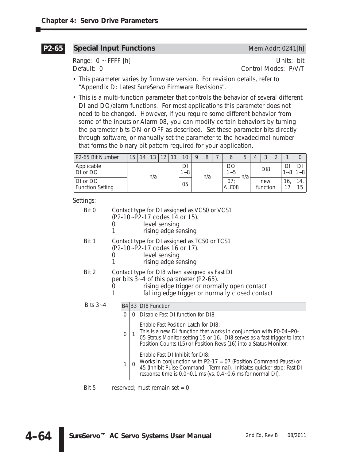#### **Special Input Functions** Mem Addr: 0241[h] **P2-65**

Range: 0 ~ FFFF [h] Units: bit Default: 0 Control Modes: P/V/T

- This parameter varies by firmware version. For revision details, refer to "Appendix D: Latest *Sure*Servo Firmware Revisions".
- This is a multi-function parameter that controls the behavior of several different DI and DO/alarm functions. For most applications this parameter does not need to be changed. However, if you require some different behavior from some of the inputs or Alarm 08, you can modify certain behaviors by turning the parameter bits ON or OFF as described. Set these parameter bits directly through software, or manually set the parameter to the hexadecimal number that forms the binary bit pattern required for your application.

| P2-65 Bit Number                    | 15 | 14. | 13 | 12 | 11         | 10 <sup>°</sup> |  | 8         |              | 5               | 4 | $\Omega$        | $\Omega$ |               |           |
|-------------------------------------|----|-----|----|----|------------|-----------------|--|-----------|--------------|-----------------|---|-----------------|----------|---------------|-----------|
| Applicable<br>DI or DO              |    | n/a |    |    | DI<br>$-8$ | n/a             |  | DO<br>1~5 | n/a          | D <sub>18</sub> |   |                 | 1~8      | D<br>$1 - 81$ |           |
| DI or DO<br><b>Function Setting</b> |    |     |    |    |            | 05              |  |           | 07:<br>ALE08 |                 |   | new<br>function |          | 16,           | 14.<br>15 |

Settings:

Bit 0 Contact type for DI assigned as VCS0 or VCS1

- (P2-10~P2-17 codes 14 or 15).
	- 0 level sensing
	- 1 rising edge sensing
- Bit 1 Contact type for DI assigned as TCS0 or TCS1
	- (P2-10~P2-17 codes 16 or 17).
	- 0 level sensing<br>1 rising edge se
	- rising edge sensing
- Bit 2 Contact type for DI8 when assigned as Fast DI per bits 3~4 of this parameter (P2-65).
	- 0 rising edge trigger or normally open contact
	- 1 falling edge trigger or normally closed contact

Bits 3.

| ~4 |          |   | B4 B3 DI8 Function                                                                                                                                                                                                                                          |
|----|----------|---|-------------------------------------------------------------------------------------------------------------------------------------------------------------------------------------------------------------------------------------------------------------|
|    | $\Omega$ | 0 | Disable Fast DI function for DI8                                                                                                                                                                                                                            |
|    | 0        |   | Enable Fast Position Latch for DI8:<br>This is a new DI function that works in conjunction with P0-04~P0-<br>05 Status Monitor setting 15 or 16. DI8 serves as a fast trigger to latch<br>Position Counts (15) or Position Revs (16) into a Status Monitor. |
|    |          | Ω | Enable Fast DI Inhibit for DI8:<br>Works in conjunction with $P2-17 = 07$ (Position Command Pause) or<br>45 (Inhibit Pulse Command - Terminal). Initiates quicker stop; Fast DI<br>response time is 0.0~0.1 ms (vs. 0.4~0.6 ms for normal DI).              |

Bit  $5$  reserved; must remain set = 0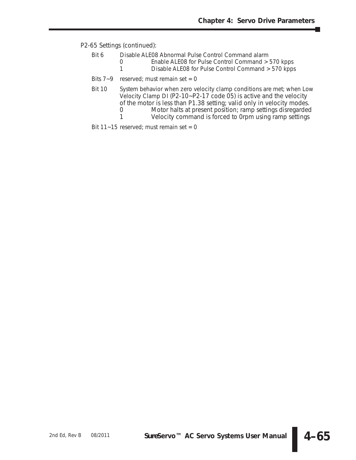P2-65 Settings (continued):

- Bit 6 Disable ALE08 Abnormal Pulse Control Command alarm
	- 0 Enable ALE08 for Pulse Control Command > 570 kpps<br>1 Disable ALE08 for Pulse Control Command > 570 kpps
	- Disable ALE08 for Pulse Control Command > 570 kpps
- Bits  $7-9$  reserved; must remain set = 0
- Bit 10 System behavior when zero velocity clamp conditions are met; when Low Velocity Clamp DI (P2-10~P2-17 code 05) is active and the velocity of the motor is less than P1.38 setting; valid only in velocity modes.<br>0 Motor halts at present position: ramp settings disregarded
	- 0 Motor halts at present position; ramp settings disregarded<br>1 Velocity command is forced to 0rpm using ramp settings
	- Velocity command is forced to 0rpm using ramp settings

Bit  $11 - 15$  reserved; must remain set = 0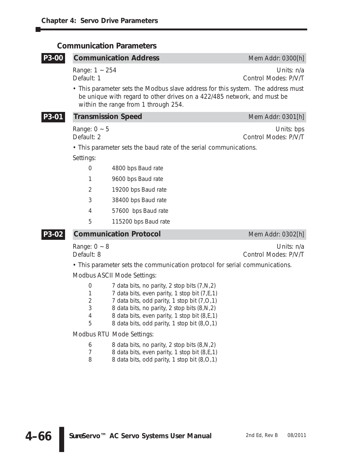### **Communication Parameters**

## **Communication Address** Mem Addr: 0300[h] Range: 1 ~ 254 Units: n/a Default: 1 Control Modes: P/V/T • This parameter sets the Modbus slave address for this system. The address must be unique with regard to other drives on a 422/485 network, and must be within the range from 1 through 254. **Transmission Speed** Mem Addr: 0301[h] Range:  $0 \sim 5$  Units: bps Default: 2 Control Modes: P/V/T • This parameter sets the baud rate of the serial communications. Settings: 0 4800 bps Baud rate 1 9600 bps Baud rate 2 19200 bps Baud rate 3 38400 bps Baud rate 4 57600 bps Baud rate 5 115200 bps Baud rate **Communication Protocol** Mem Addr: 0302[h] Range:  $0 \sim 8$  Units: n/a Default: 8 Control Modes: P/V/T • This parameter sets the communication protocol for serial communications. **P3-02 P3-01 P3-00**

Modbus ASCII Mode Settings:

| $\Omega$ | 7 data bits, no parity, 2 stop bits (7, N, 2)  |
|----------|------------------------------------------------|
| -1       | 7 data bits, even parity, 1 stop bit (7, E, 1) |
| 2        | 7 data bits, odd parity, 1 stop bit $(7,0,1)$  |
| 3        | 8 data bits, no parity, 2 stop bits (8, N, 2)  |

- 4 8 data bits, even parity, 1 stop bit (8,E,1)
- 5 8 data bits, odd parity, 1 stop bit (8,O,1)

Modbus RTU Mode Settings:

- 6 8 data bits, no parity, 2 stop bits (8,N,2)
- 7 8 data bits, even parity, 1 stop bit (8,E,1)
- 8 8 data bits, odd parity, 1 stop bit (8,O,1)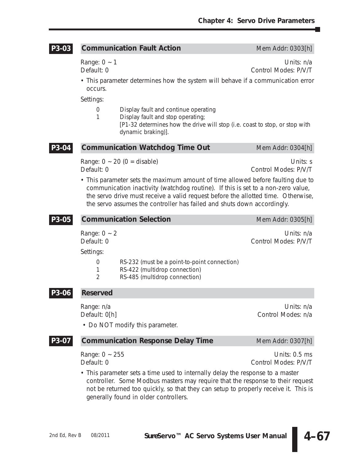#### **Communication Fault Action** Mem Addr: 0303[h] **P3-03**

Range: 0 ~ 1 Units: n/a Default: 0 Control Modes: P/V/T

• This parameter determines how the system will behave if a communication error occurs.

Settings:

- 0 Display fault and continue operating
- 1 Display fault and stop operating;
	- [P1-32 determines how the drive will stop (i.e. coast to stop, or stop with dynamic braking)].

|  | <b>P3-04</b> Communication Watchdog Time Out | Mem Addr: 0304[h] |
|--|----------------------------------------------|-------------------|
|--|----------------------------------------------|-------------------|

Range:  $0 \sim 20$  ( $0 =$  disable) Units: s Default: 0 Control Modes: P/V/T

• This parameter sets the maximum amount of time allowed before faulting due to communication inactivity (watchdog routine). If this is set to a non-zero value, the servo drive must receive a valid request before the allotted time. Otherwise, the servo assumes the controller has failed and shuts down accordingly.

| P3-05 | <b>Communication Selection</b>  | Mem Addr: 0305[h]                                                                                              |                                    |  |  |
|-------|---------------------------------|----------------------------------------------------------------------------------------------------------------|------------------------------------|--|--|
|       | Range: $0 \sim 2$<br>Default: 0 |                                                                                                                | Units: n/a<br>Control Modes: P/V/T |  |  |
|       | Settings:                       |                                                                                                                |                                    |  |  |
|       | 0<br>$\overline{2}$             | RS-232 (must be a point-to-point connection)<br>RS-422 (multidrop connection)<br>RS-485 (multidrop connection) |                                    |  |  |
| P3-06 | <b>Reserved</b>                 |                                                                                                                |                                    |  |  |
|       | Range: n/a<br>Default: 0[h]     | • Do NOT modify this parameter.                                                                                | Units: $n/a$<br>Control Modes: n/a |  |  |
| P3-07 |                                 | <b>Communication Response Delay Time</b>                                                                       | Mem Addr: 0307[h]                  |  |  |
|       | Range: $0 \sim 255$             |                                                                                                                | Units: $0.5$ ms                    |  |  |

- Default: 0 Control Modes: POSTER CONTROL MODES: POSTER CONTROL MODES: POSTER CONTROL MODES: POSTER CONTROL MODES: POSTER CONTROL MODES: POSTER CONTROL MODES: POSTER CONTROL MODES: POSTER CONTROL MODES: POSTER CONTROL MODES
- This parameter sets a time used to internally delay the response to a master controller. Some Modbus masters may require that the response to their request not be returned too quickly, so that they can setup to properly receive it. This is generally found in older controllers.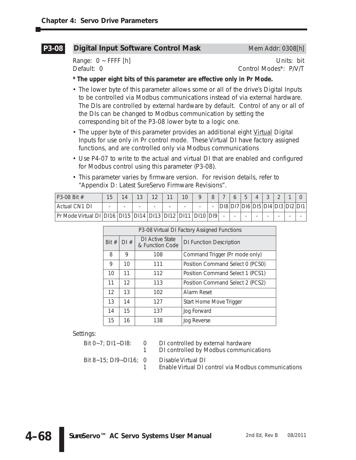#### **Digital Input Software Control Mask** Mem Addr: 0308[h] **P3-08**

Range: 0 ~ FFFF [h] Nange: 0 ~ FFFF [h] Nange: 0 ~ FFFF [h] Nange: 0 ~ FFFF [h] Nange: 0 ~ Nangel 2011 10:00 00:00 00:00 00:00 00:00 00:00 00:00 00:00 00:00 00:00 00:00 00:00 00:00 00:00 00:00 00:00 00:00 00:00 00:00 00:00 Default: 0 Control Modes\*: P/V/T

### **\* The upper eight bits of this parameter are effective only in Pr Mode.**

- The lower byte of this parameter allows some or all of the drive's Digital Inputs to be controlled via Modbus communications instead of via external hardware. The DIs are controlled by external hardware by default. Control of any or all of the DIs can be changed to Modbus communication by setting the corresponding bit of the P3-08 lower byte to a logic one.
- The upper byte of this parameter provides an additional eight Virtual Digital Inputs for use only in Pr control mode. These Virtual DI have factory assigned functions, and are controlled only via Modbus communications
- Use P4-07 to write to the actual and virtual DI that are enabled and configured for Modbus control using this parameter (P3-08).
- This parameter varies by firmware version. For revision details, refer to "Appendix D: Latest *Sure*Servo Firmware Revisions".

| $P3-08 \text{ Bit } #$                                       | 15 |   | $1^{\circ}$ | $1^{\circ}$              | 11 | 10                       |      |      |  |                             |  |  |
|--------------------------------------------------------------|----|---|-------------|--------------------------|----|--------------------------|------|------|--|-----------------------------|--|--|
| Actual CN1 DI                                                |    | - |             | $\overline{\phantom{0}}$ |    | $\overline{\phantom{0}}$ |      | D[8] |  | DI7 DI6 DI5 DI4 DI3 DI2 DI1 |  |  |
| Pr Mode Virtual DI   DI16   DI15   DI14   DI13   DI12   DI11 |    |   |             |                          |    |                          | DI10 |      |  |                             |  |  |

| P3-08 Virtual DI Factory Assigned Functions |     |                                         |                                  |  |  |  |  |
|---------------------------------------------|-----|-----------------------------------------|----------------------------------|--|--|--|--|
| Bit $#$                                     | DI# | DI Active State<br>& Function Code      | <b>DI Function Description</b>   |  |  |  |  |
| 8                                           | 9   | 108                                     | Command Trigger (Pr mode only)   |  |  |  |  |
| 9                                           | 10  | 111<br>Position Command Select 0 (PCS0) |                                  |  |  |  |  |
| 10                                          | 11  | Position Command Select 1 (PCS1)<br>112 |                                  |  |  |  |  |
| 11                                          | 12  | 113                                     | Position Command Select 2 (PCS2) |  |  |  |  |
| 12                                          | 13  | 102                                     | Alarm Reset                      |  |  |  |  |
| 13                                          | 14  | 127                                     | Start Home Move Trigger          |  |  |  |  |
| 14                                          | 15  | 137                                     | Jog Forward                      |  |  |  |  |
| 15                                          | 16  | 138<br>Jog Reverse                      |                                  |  |  |  |  |

Settings:

**4–68**

| Bit 0~7: DI1~DI8:     | $\overline{0}$ | DI controlled by external hardware<br>1 DI controlled by Modbus communications |
|-----------------------|----------------|--------------------------------------------------------------------------------|
| Bit 8~15: DI9~DI16: 0 |                | Disable Virtual DI<br>Enable Virtual DI control via Modbus communications      |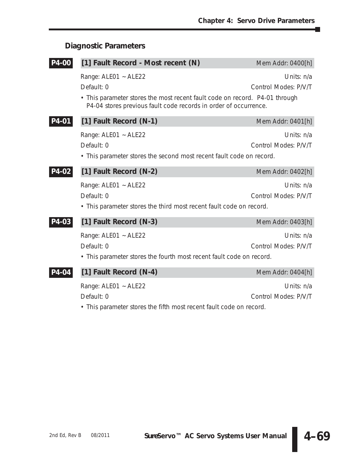# **Diagnostic Parameters**

| P4-00 | [1] Fault Record - Most recent (N)                                                                                                              | Mem Addr: 0400[h]                  |  |  |  |  |  |  |
|-------|-------------------------------------------------------------------------------------------------------------------------------------------------|------------------------------------|--|--|--|--|--|--|
|       | Range: ALE01 ~ ALE22<br>Default: 0                                                                                                              | Units: n/a<br>Control Modes: P/V/T |  |  |  |  |  |  |
|       | • This parameter stores the most recent fault code on record. P4-01 through<br>P4-04 stores previous fault code records in order of occurrence. |                                    |  |  |  |  |  |  |
| P4-01 | [1] Fault Record (N-1)                                                                                                                          | Mem Addr: 0401[h]                  |  |  |  |  |  |  |
|       | Range: ALE01 ~ ALE22                                                                                                                            | Units: $n/a$                       |  |  |  |  |  |  |
|       | Default: 0                                                                                                                                      | Control Modes: P/V/T               |  |  |  |  |  |  |
|       | • This parameter stores the second most recent fault code on record.                                                                            |                                    |  |  |  |  |  |  |
| P4-02 | [1] Fault Record (N-2)                                                                                                                          | Mem Addr: 0402[h]                  |  |  |  |  |  |  |
|       | Range: ALE01 ~ ALE22                                                                                                                            | Units: n/a                         |  |  |  |  |  |  |
|       | Default: 0                                                                                                                                      | Control Modes: P/V/T               |  |  |  |  |  |  |
|       | • This parameter stores the third most recent fault code on record.                                                                             |                                    |  |  |  |  |  |  |
| P4-03 | [1] Fault Record (N-3)                                                                                                                          | Mem Addr: 0403[h]                  |  |  |  |  |  |  |
|       | Range: ALE01 ~ ALE22                                                                                                                            | Units: n/a                         |  |  |  |  |  |  |
|       | Default: 0                                                                                                                                      | Control Modes: P/V/T               |  |  |  |  |  |  |
|       | • This parameter stores the fourth most recent fault code on record.                                                                            |                                    |  |  |  |  |  |  |
| P4-04 | [1] Fault Record (N-4)                                                                                                                          | Mem Addr: 0404[h]                  |  |  |  |  |  |  |
|       | Range: ALE01 ~ ALE22                                                                                                                            | Units: n/a                         |  |  |  |  |  |  |
|       | Default: 0                                                                                                                                      | Control Modes: P/V/T               |  |  |  |  |  |  |

• This parameter stores the fifth most recent fault code on record.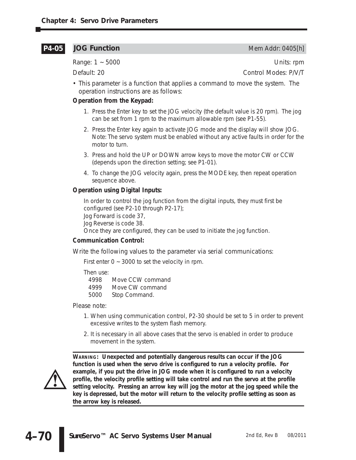### **P4-05**

Range: 1 ~ 5000 Units: rpm

**JOG Function** Mem Addr: 0405[h]

Default: 20 Control Modes: P/V/T

• This parameter is a function that applies a command to move the system. The operation instructions are as follows:

### **Operation from the Keypad:**

- 1. Press the Enter key to set the JOG velocity (the default value is 20 rpm). The jog can be set from 1 rpm to the maximum allowable rpm (see P1-55).
- 2. Press the Enter key again to activate JOG mode and the display will show JOG. Note: The servo system must be enabled without any active faults in order for the motor to turn.
- 3. Press and hold the UP or DOWN arrow keys to move the motor CW or CCW (depends upon the direction setting; see P1-01).
- 4. To change the JOG velocity again, press the MODE key, then repeat operation sequence above.

### **Operation using Digital Inputs:**

In order to control the jog function from the digital inputs, they must first be configured (see P2-10 through P2-17);

Jog Forward is code 37,

Jog Reverse is code 38.

Once they are configured, they can be used to initiate the jog function.

### **Communication Control:**

Write the following values to the parameter via serial communications:

First enter  $0 \sim 3000$  to set the velocity in rpm.

Then use:

- 4999 Move CW command
- 5000 Stop Command.

Please note:

- 1. When using communication control, P2-30 should be set to 5 in order to prevent excessive writes to the system flash memory.
- 2. It is necessary in all above cases that the servo is enabled in order to produce movement in the system.



**WARNING: Unexpected and potentially dangerous results can occur if the JOG function is used when the servo drive is configured to run a velocity profile. For example, if you put the drive in JOG mode when it is configured to run a velocity profile, the velocity profile setting will take control and run the servo at the profile setting velocity. Pressing an arrow key will jog the motor at the jog speed while the key is depressed, but the motor will return to the velocity profile setting as soon as the arrow key is released.**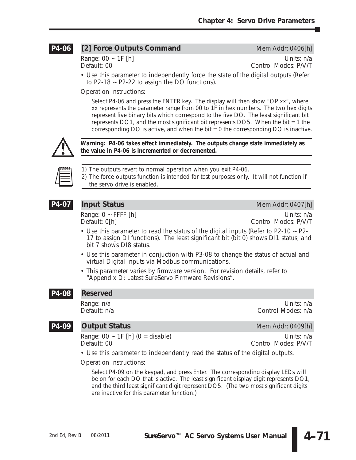#### **[2] Force Outputs Command** Mem Addr: 0406[h] **P4-06**

Range: 00 ~ 1F [h] Units: n/a Control Modes: P/V/T

• Use this parameter to independently force the state of the digital outputs (Refer to P2-18  $\sim$  P2-22 to assign the DO functions).

Operation Instructions:

Select P4-06 and press the ENTER key. The display will then show "OP xx", where xx represents the parameter range from 00 to 1F in hex numbers. The two hex digits represent five binary bits which correspond to the five DO. The least significant bit represents DO1, and the most significant bit represents DO5. When the bit = 1 the corresponding  $DO$  is active, and when the bit  $= 0$  the corresponding  $DO$  is inactive.



**Warning: P4-06 takes effect immediately. The outputs change state immediately as the value in P4-06 is incremented or decremented.**



*1) The outputs revert to normal operation when you exit P4-06. 2) The force outputs function is intended for test purposes only. It will not function if the servo drive is enabled.*

### **P4-07**

Range: 0 ~ FFFF [h] Units: n/a

**Input Status** Mem Addr: 0407[h]

Default: 0[h] Control Modes: P/V/T

- Use this parameter to read the status of the digital inputs (Refer to P2-10 ~ P2- 17 to assign DI functions). The least significant bit (bit 0) shows DI1 status, and bit 7 shows DI8 status.
- Use this parameter in conjuction with P3-08 to change the status of actual and virtual Digital Inputs via Modbus communications.
- This parameter varies by firmware version. For revision details, refer to "Appendix D: Latest *Sure*Servo Firmware Revisions".

#### **Reserved P4-08**

Range: n/a Units: n/a Control Modes: n/a

### **P4-09**

**Output Status Mem Addr: 0409[h]** 

Range: 00 ~ 1F [h] (0 = disable) Units: n/a<br>Default: 00 Control Modes: P/V/T

Control Modes: P/V/T

• Use this parameter to independently read the status of the digital outputs.

Operation instructions:

Select P4-09 on the keypad, and press Enter. The corresponding display LEDs will be on for each DO that is active. The least significant display digit represents DO1, and the third least significant digit represent DO5. (The two most significant digits are inactive for this parameter function.)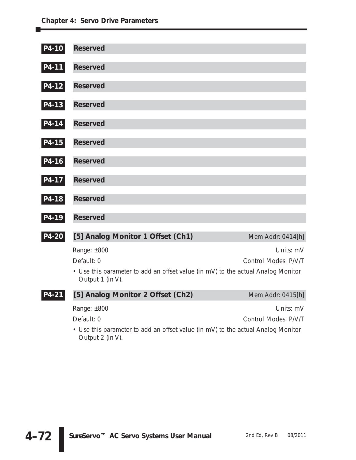| P4-10 | <b>Reserved</b>                                                                                                                   |                                   |
|-------|-----------------------------------------------------------------------------------------------------------------------------------|-----------------------------------|
| P4-11 | <b>Reserved</b>                                                                                                                   |                                   |
| P4-12 | <b>Reserved</b>                                                                                                                   |                                   |
| P4-13 | <b>Reserved</b>                                                                                                                   |                                   |
| P4-14 | <b>Reserved</b>                                                                                                                   |                                   |
| P4-15 | <b>Reserved</b>                                                                                                                   |                                   |
| P4-16 | <b>Reserved</b>                                                                                                                   |                                   |
| P4-17 | <b>Reserved</b>                                                                                                                   |                                   |
| P4-18 | <b>Reserved</b>                                                                                                                   |                                   |
| P4-19 | <b>Reserved</b>                                                                                                                   |                                   |
| P4-20 | [5] Analog Monitor 1 Offset (Ch1)                                                                                                 | Mem Addr: 0414[h]                 |
|       | Range: ±800<br>Default: 0<br>• Use this parameter to add an offset value (in mV) to the actual Analog Monitor<br>Output 1 (in V). | Units: mV<br>Control Modes: P/V/T |
| P4-21 | [5] Analog Monitor 2 Offset (Ch2)                                                                                                 | Mem Addr: 0415[h]                 |
|       | Range: ±800<br>Default: 0<br>• Use this parameter to add an offset value (in mV) to the actual Analog Monitor<br>Output 2 (in V). | Units: mV<br>Control Modes: P/V/T |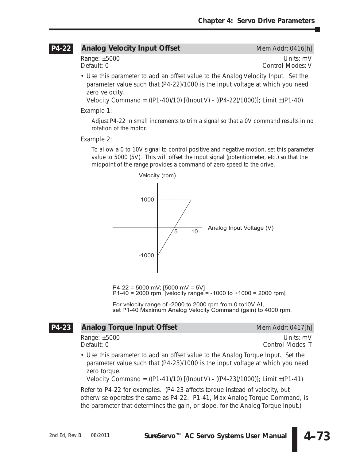## **Analog Velocity Input Offset** Mem Addr: 0416[h] **P4-22**

Range: ±5000 Units: mV<br>Default: 0 Units: mV Units: mV Control Modes: V

• Use this parameter to add an offset value to the Analog Velocity Input. Set the parameter value such that (P4-22)/1000 is the input voltage at which you need zero velocity.

Velocity Command =  $((P1-40)/10)$   $[(Input V) - ((P4-22)/1000)]$ ; Limit  $\pm (P1-40)$ 

Example 1:

Adjust P4-22 in small increments to trim a signal so that a 0V command results in no rotation of the motor.

Example 2:

To allow a 0 to 10V signal to control positive and negative motion, set this parameter value to 5000 (5V). This will offset the input signal (potentiometer, etc.) so that the midpoint of the range provides a command of zero speed to the drive.



P4-22 = 5000 mV; [5000 mV = 5V] P1-40 = 2000 rpm; [velocity range = -1000 to +1000 = 2000 rpm]

For velocity range of -2000 to 2000 rpm from 0 to10V AI, set P1-40 Maximum Analog Velocity Command (gain) to 4000 rpm.

## **Analog Torque Input Offset** Mem Addr: 0417[h] **P4-23**

Range: ±5000 Units: mV

- Control Modes: T
- Use this parameter to add an offset value to the Analog Torque Input. Set the parameter value such that (P4-23)/1000 is the input voltage at which you need zero torque.

Velocity Command =  $((P1-41)/10)$  [(Input V) -  $((P4-23)/1000)$ ]; Limit  $\pm(P1-41)$ 

Refer to P4-22 for examples. (P4-23 affects torque instead of velocity, but otherwise operates the same as P4-22. P1-41, Max Analog Torque Command, is the parameter that determines the gain, or slope, for the Analog Torque Input.)